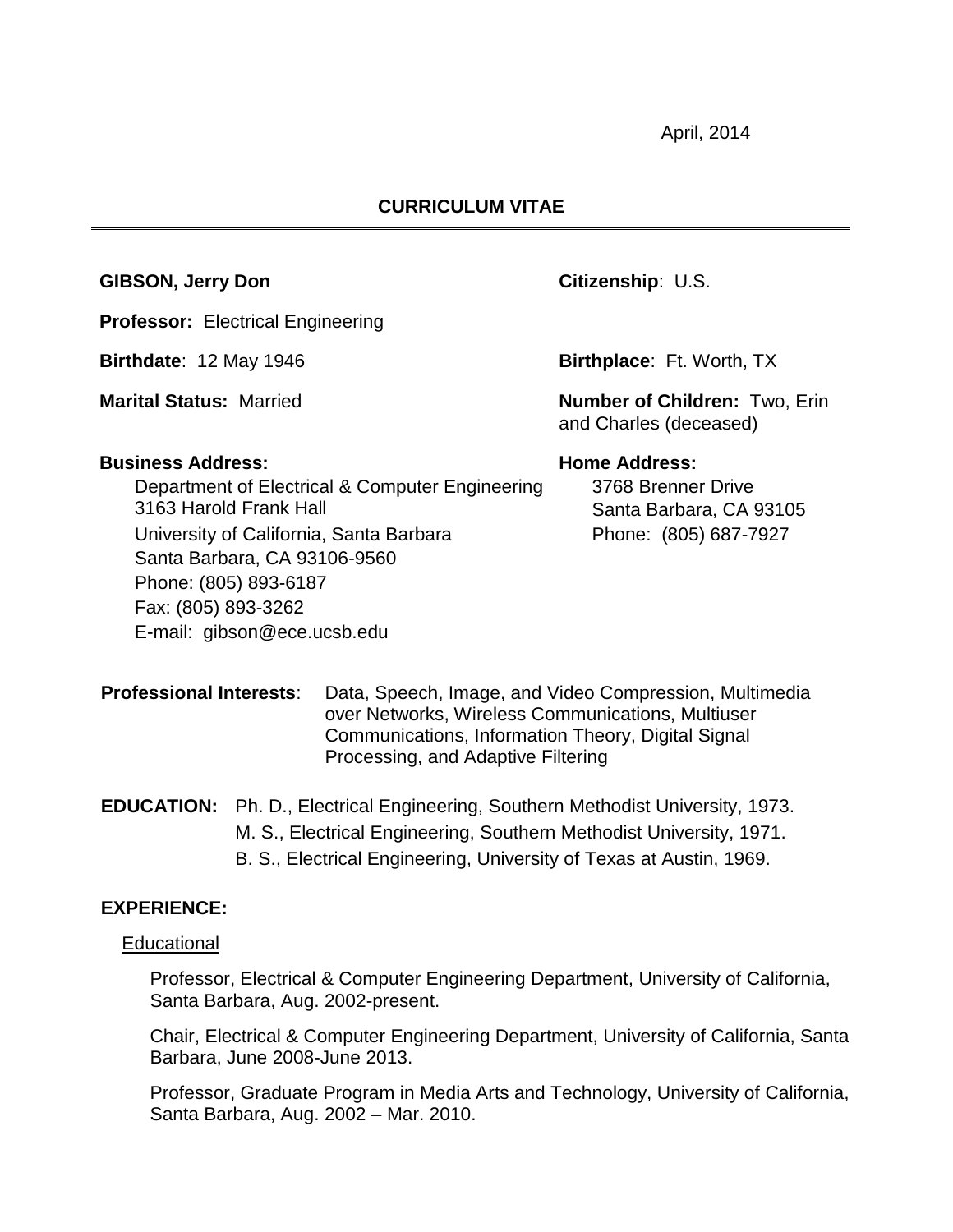April, 2014

#### **CURRICULUM VITAE**

#### **GIBSON, Jerry Don Citizenship**: U.S.

**Professor:** Electrical Engineering

#### **Business Address: Home Address:**

Department of Electrical & Computer Engineering 3163 Harold Frank Hall University of California, Santa Barbara Phone: (805) 687-7927 Santa Barbara, CA 93106-9560 Phone: (805) 893-6187 Fax: (805) 893-3262 E-mail: gibson@ece.ucsb.edu

**Birthdate**: 12 May 1946 **Birthplace**: Ft. Worth, TX

**Marital Status:** Married **Number of Children:** Two, Erin and Charles (deceased)

3768 Brenner Drive Santa Barbara, CA 93105

**Professional Interests**: Data, Speech, Image, and Video Compression, Multimedia over Networks, Wireless Communications, Multiuser Communications, Information Theory, Digital Signal Processing, and Adaptive Filtering

# **EDUCATION:** Ph. D., Electrical Engineering, Southern Methodist University, 1973.

- M. S., Electrical Engineering, Southern Methodist University, 1971.
- B. S., Electrical Engineering, University of Texas at Austin, 1969.

## **EXPERIENCE:**

#### **Educational**

Professor, Electrical & Computer Engineering Department, University of California, Santa Barbara, Aug. 2002-present.

Chair, Electrical & Computer Engineering Department, University of California, Santa Barbara, June 2008-June 2013.

Professor, Graduate Program in Media Arts and Technology, University of California, Santa Barbara, Aug. 2002 – Mar. 2010.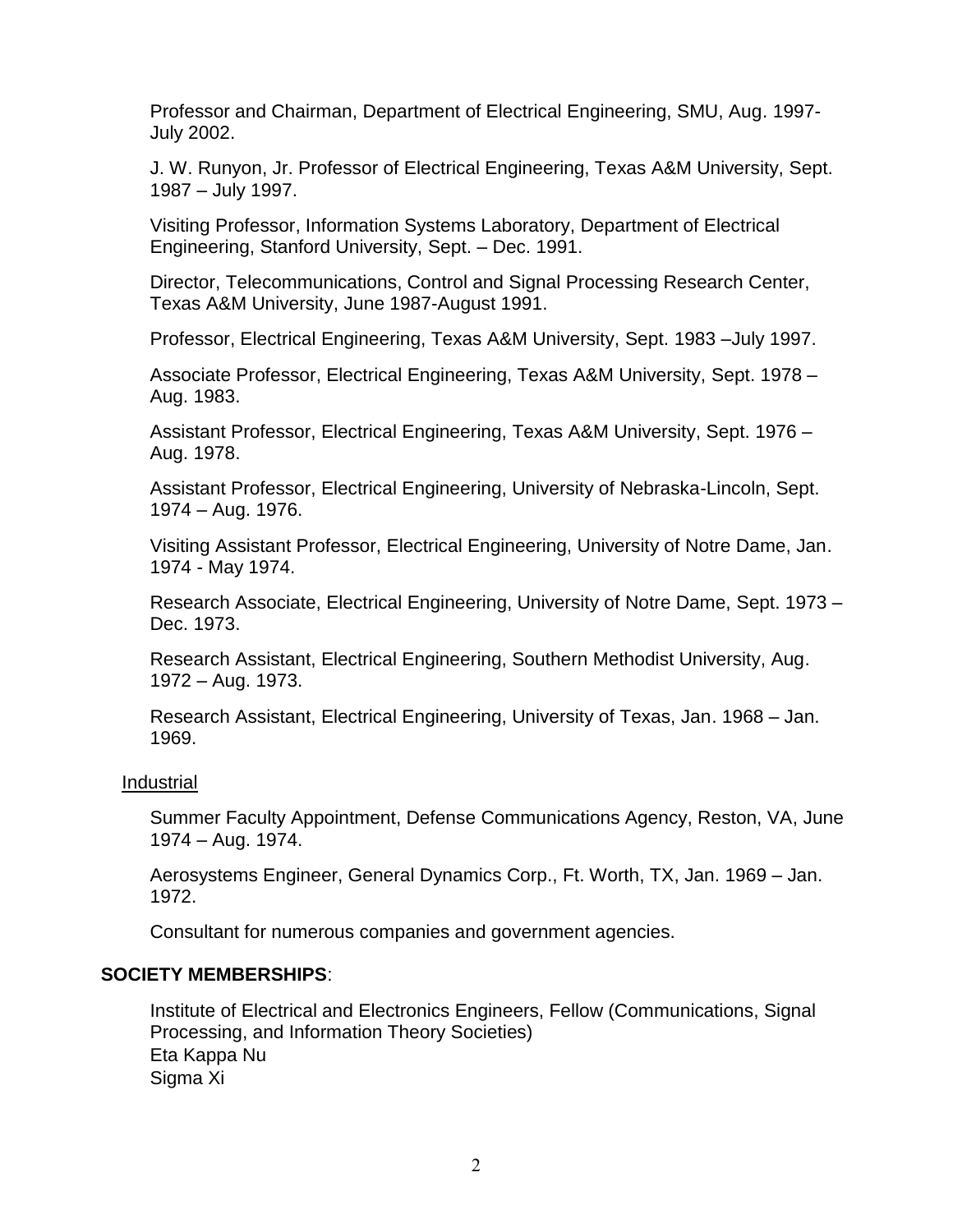Professor and Chairman, Department of Electrical Engineering, SMU, Aug. 1997- July 2002.

J. W. Runyon, Jr. Professor of Electrical Engineering, Texas A&M University, Sept. 1987 – July 1997.

Visiting Professor, Information Systems Laboratory, Department of Electrical Engineering, Stanford University, Sept. – Dec. 1991.

Director, Telecommunications, Control and Signal Processing Research Center, Texas A&M University, June 1987-August 1991.

Professor, Electrical Engineering, Texas A&M University, Sept. 1983 –July 1997.

Associate Professor, Electrical Engineering, Texas A&M University, Sept. 1978 – Aug. 1983.

Assistant Professor, Electrical Engineering, Texas A&M University, Sept. 1976 – Aug. 1978.

Assistant Professor, Electrical Engineering, University of Nebraska-Lincoln, Sept. 1974 – Aug. 1976.

Visiting Assistant Professor, Electrical Engineering, University of Notre Dame, Jan. 1974 - May 1974.

Research Associate, Electrical Engineering, University of Notre Dame, Sept. 1973 – Dec. 1973.

Research Assistant, Electrical Engineering, Southern Methodist University, Aug. 1972 – Aug. 1973.

Research Assistant, Electrical Engineering, University of Texas, Jan. 1968 – Jan. 1969.

#### Industrial

Summer Faculty Appointment, Defense Communications Agency, Reston, VA, June 1974 – Aug. 1974.

Aerosystems Engineer, General Dynamics Corp., Ft. Worth, TX, Jan. 1969 – Jan. 1972.

Consultant for numerous companies and government agencies.

## **SOCIETY MEMBERSHIPS**:

Institute of Electrical and Electronics Engineers, Fellow (Communications, Signal Processing, and Information Theory Societies) Eta Kappa Nu Sigma Xi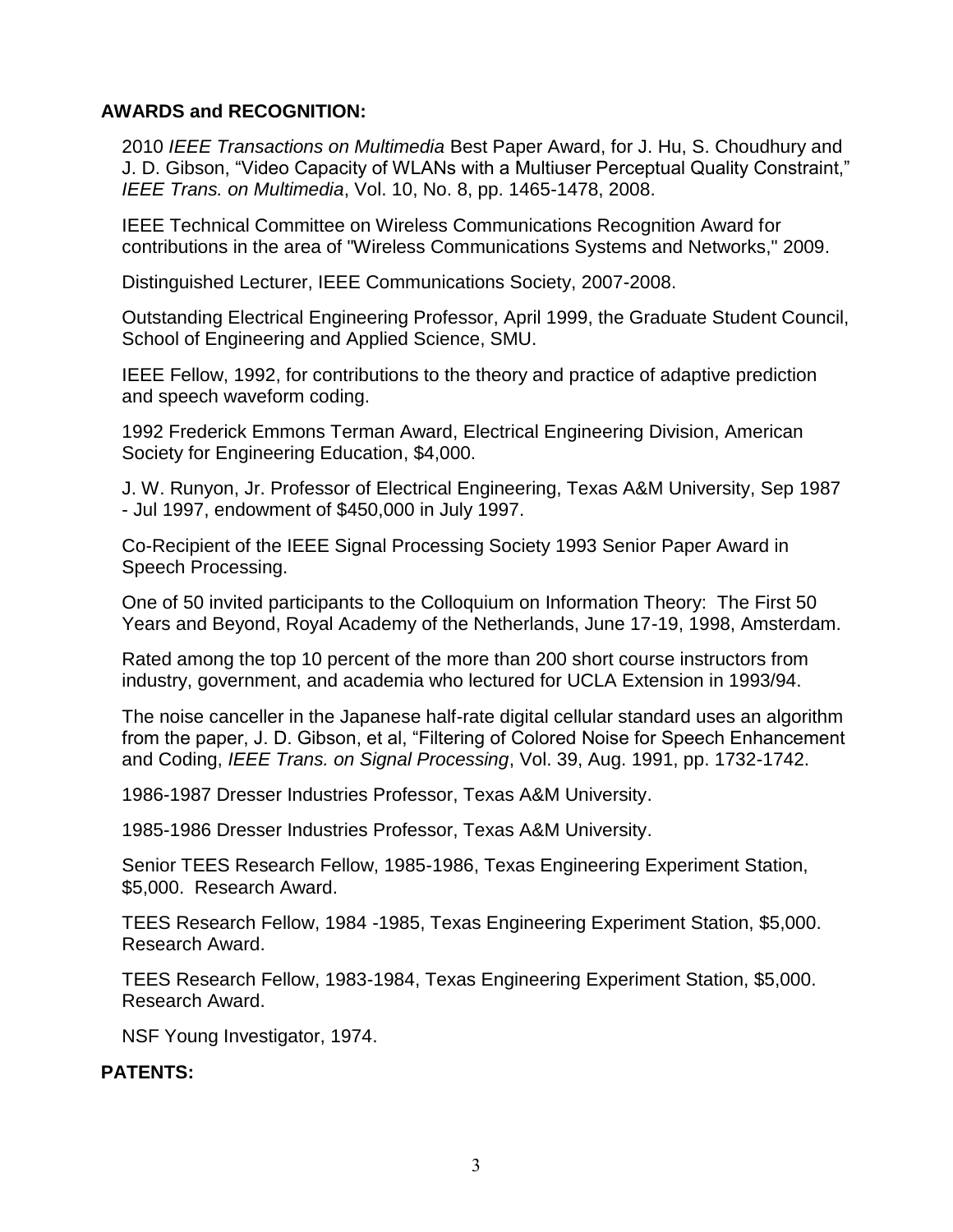## **AWARDS and RECOGNITION:**

2010 *IEEE Transactions on Multimedia* Best Paper Award, for J. Hu, S. Choudhury and J. D. Gibson, "Video Capacity of WLANs with a Multiuser Perceptual Quality Constraint," *IEEE Trans. on Multimedia*, Vol. 10, No. 8, pp. 1465-1478, 2008.

IEEE Technical Committee on Wireless Communications Recognition Award for contributions in the area of "Wireless Communications Systems and Networks," 2009.

Distinguished Lecturer, IEEE Communications Society, 2007-2008.

Outstanding Electrical Engineering Professor, April 1999, the Graduate Student Council, School of Engineering and Applied Science, SMU.

IEEE Fellow, 1992, for contributions to the theory and practice of adaptive prediction and speech waveform coding.

1992 Frederick Emmons Terman Award, Electrical Engineering Division, American Society for Engineering Education, \$4,000.

J. W. Runyon, Jr. Professor of Electrical Engineering, Texas A&M University, Sep 1987 - Jul 1997, endowment of \$450,000 in July 1997.

Co-Recipient of the IEEE Signal Processing Society 1993 Senior Paper Award in Speech Processing.

One of 50 invited participants to the Colloquium on Information Theory: The First 50 Years and Beyond, Royal Academy of the Netherlands, June 17-19, 1998, Amsterdam.

Rated among the top 10 percent of the more than 200 short course instructors from industry, government, and academia who lectured for UCLA Extension in 1993/94.

The noise canceller in the Japanese half-rate digital cellular standard uses an algorithm from the paper, J. D. Gibson, et al, "Filtering of Colored Noise for Speech Enhancement and Coding, *IEEE Trans. on Signal Processing*, Vol. 39, Aug. 1991, pp. 1732-1742.

1986-1987 Dresser Industries Professor, Texas A&M University.

1985-1986 Dresser Industries Professor, Texas A&M University.

Senior TEES Research Fellow, 1985-1986, Texas Engineering Experiment Station, \$5,000. Research Award.

TEES Research Fellow, 1984 -1985, Texas Engineering Experiment Station, \$5,000. Research Award.

TEES Research Fellow, 1983-1984, Texas Engineering Experiment Station, \$5,000. Research Award.

NSF Young Investigator, 1974.

## **PATENTS:**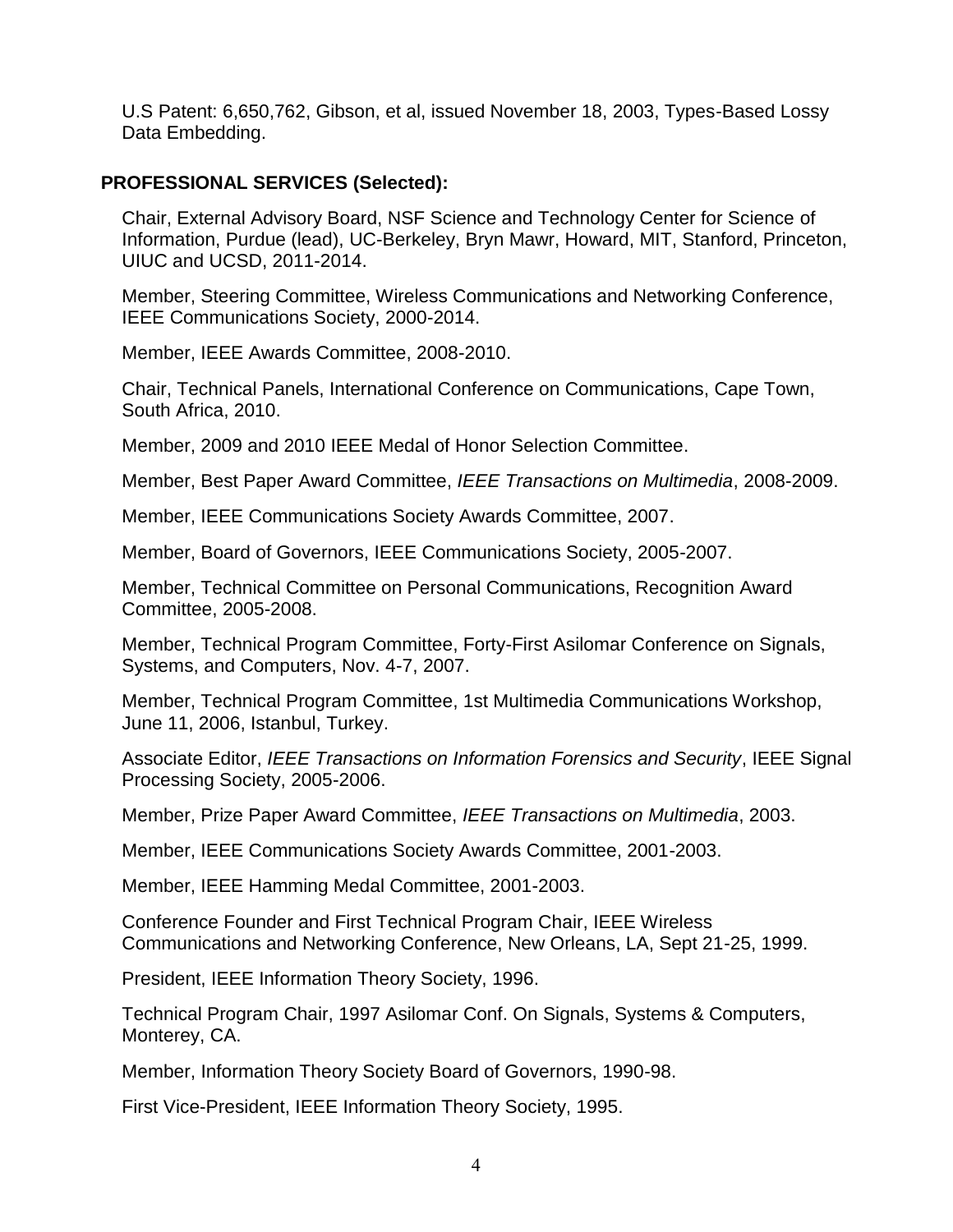U.S Patent: 6,650,762, Gibson, et al, issued November 18, 2003, Types-Based Lossy Data Embedding.

## **PROFESSIONAL SERVICES (Selected):**

Chair, External Advisory Board, NSF Science and Technology Center for Science of Information, Purdue (lead), UC-Berkeley, Bryn Mawr, Howard, MIT, Stanford, Princeton, UIUC and UCSD, 2011-2014.

Member, Steering Committee, Wireless Communications and Networking Conference, IEEE Communications Society, 2000-2014.

Member, IEEE Awards Committee, 2008-2010.

Chair, Technical Panels, International Conference on Communications, Cape Town, South Africa, 2010.

Member, 2009 and 2010 IEEE Medal of Honor Selection Committee.

Member, Best Paper Award Committee, *IEEE Transactions on Multimedia*, 2008-2009.

Member, IEEE Communications Society Awards Committee, 2007.

Member, Board of Governors, IEEE Communications Society, 2005-2007.

Member, Technical Committee on Personal Communications, Recognition Award Committee, 2005-2008.

Member, Technical Program Committee, Forty-First Asilomar Conference on Signals, Systems, and Computers, Nov. 4-7, 2007.

Member, Technical Program Committee, 1st Multimedia Communications Workshop, June 11, 2006, Istanbul, Turkey.

Associate Editor, *IEEE Transactions on Information Forensics and Security*, IEEE Signal Processing Society, 2005-2006.

Member, Prize Paper Award Committee, *IEEE Transactions on Multimedia*, 2003.

Member, IEEE Communications Society Awards Committee, 2001-2003.

Member, IEEE Hamming Medal Committee, 2001-2003.

Conference Founder and First Technical Program Chair, IEEE Wireless Communications and Networking Conference, New Orleans, LA, Sept 21-25, 1999.

President, IEEE Information Theory Society, 1996.

Technical Program Chair, 1997 Asilomar Conf. On Signals, Systems & Computers, Monterey, CA.

Member, Information Theory Society Board of Governors, 1990-98.

First Vice-President, IEEE Information Theory Society, 1995.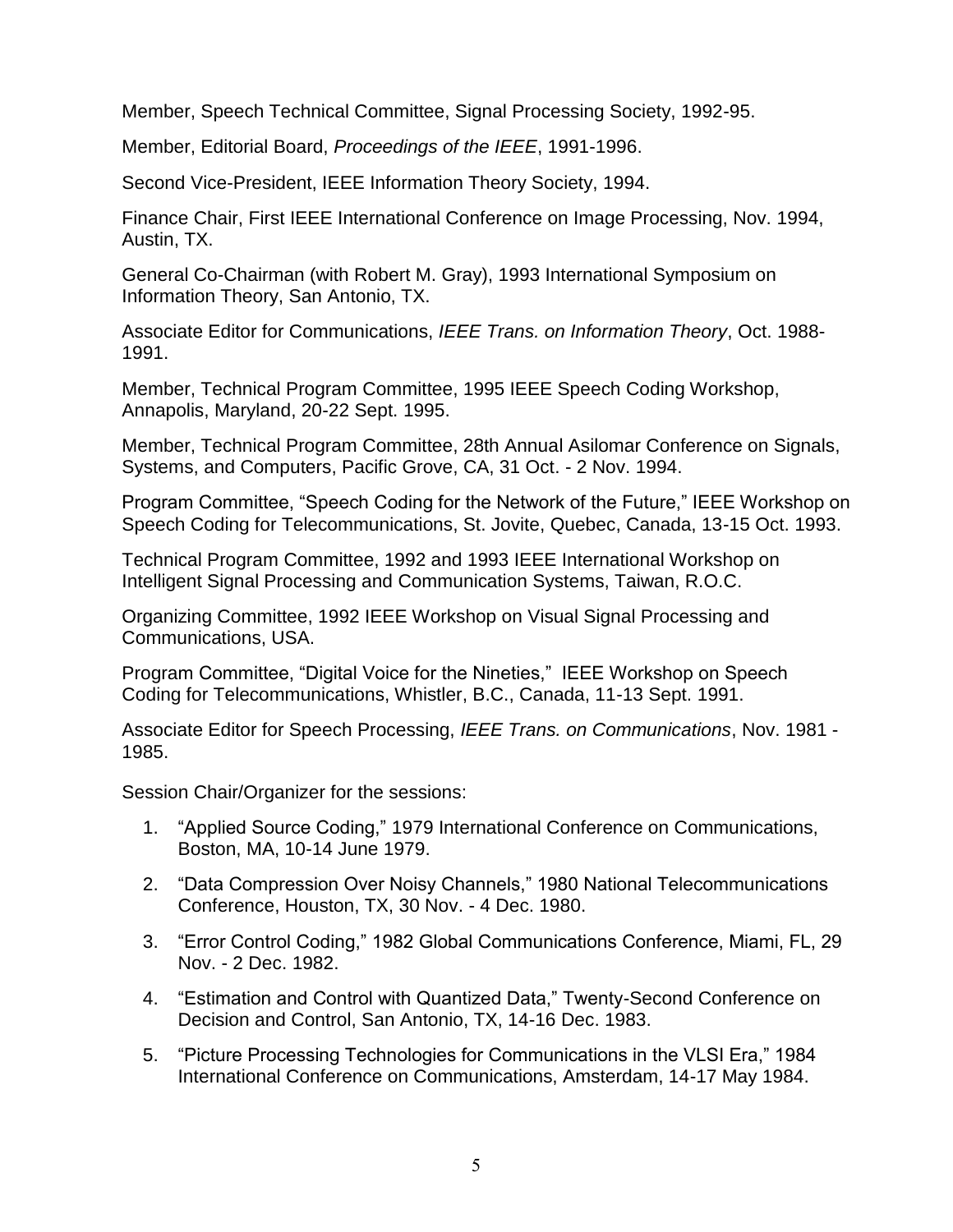Member, Speech Technical Committee, Signal Processing Society, 1992-95.

Member, Editorial Board, *Proceedings of the IEEE*, 1991-1996.

Second Vice-President, IEEE Information Theory Society, 1994.

Finance Chair, First IEEE International Conference on Image Processing, Nov. 1994, Austin, TX.

General Co-Chairman (with Robert M. Gray), 1993 International Symposium on Information Theory, San Antonio, TX.

Associate Editor for Communications, *IEEE Trans. on Information Theory*, Oct. 1988- 1991.

Member, Technical Program Committee, 1995 IEEE Speech Coding Workshop, Annapolis, Maryland, 20-22 Sept. 1995.

Member, Technical Program Committee, 28th Annual Asilomar Conference on Signals, Systems, and Computers, Pacific Grove, CA, 31 Oct. - 2 Nov. 1994.

Program Committee, "Speech Coding for the Network of the Future," IEEE Workshop on Speech Coding for Telecommunications, St. Jovite, Quebec, Canada, 13-15 Oct. 1993.

Technical Program Committee, 1992 and 1993 IEEE International Workshop on Intelligent Signal Processing and Communication Systems, Taiwan, R.O.C.

Organizing Committee, 1992 IEEE Workshop on Visual Signal Processing and Communications, USA.

Program Committee, "Digital Voice for the Nineties," IEEE Workshop on Speech Coding for Telecommunications, Whistler, B.C., Canada, 11-13 Sept. 1991.

Associate Editor for Speech Processing, *IEEE Trans. on Communications*, Nov. 1981 - 1985.

Session Chair/Organizer for the sessions:

- 1. "Applied Source Coding," 1979 International Conference on Communications, Boston, MA, 10-14 June 1979.
- 2. "Data Compression Over Noisy Channels," 1980 National Telecommunications Conference, Houston, TX, 30 Nov. - 4 Dec. 1980.
- 3. "Error Control Coding," 1982 Global Communications Conference, Miami, FL, 29 Nov. - 2 Dec. 1982.
- 4. "Estimation and Control with Quantized Data," Twenty-Second Conference on Decision and Control, San Antonio, TX, 14-16 Dec. 1983.
- 5. "Picture Processing Technologies for Communications in the VLSI Era," 1984 International Conference on Communications, Amsterdam, 14-17 May 1984.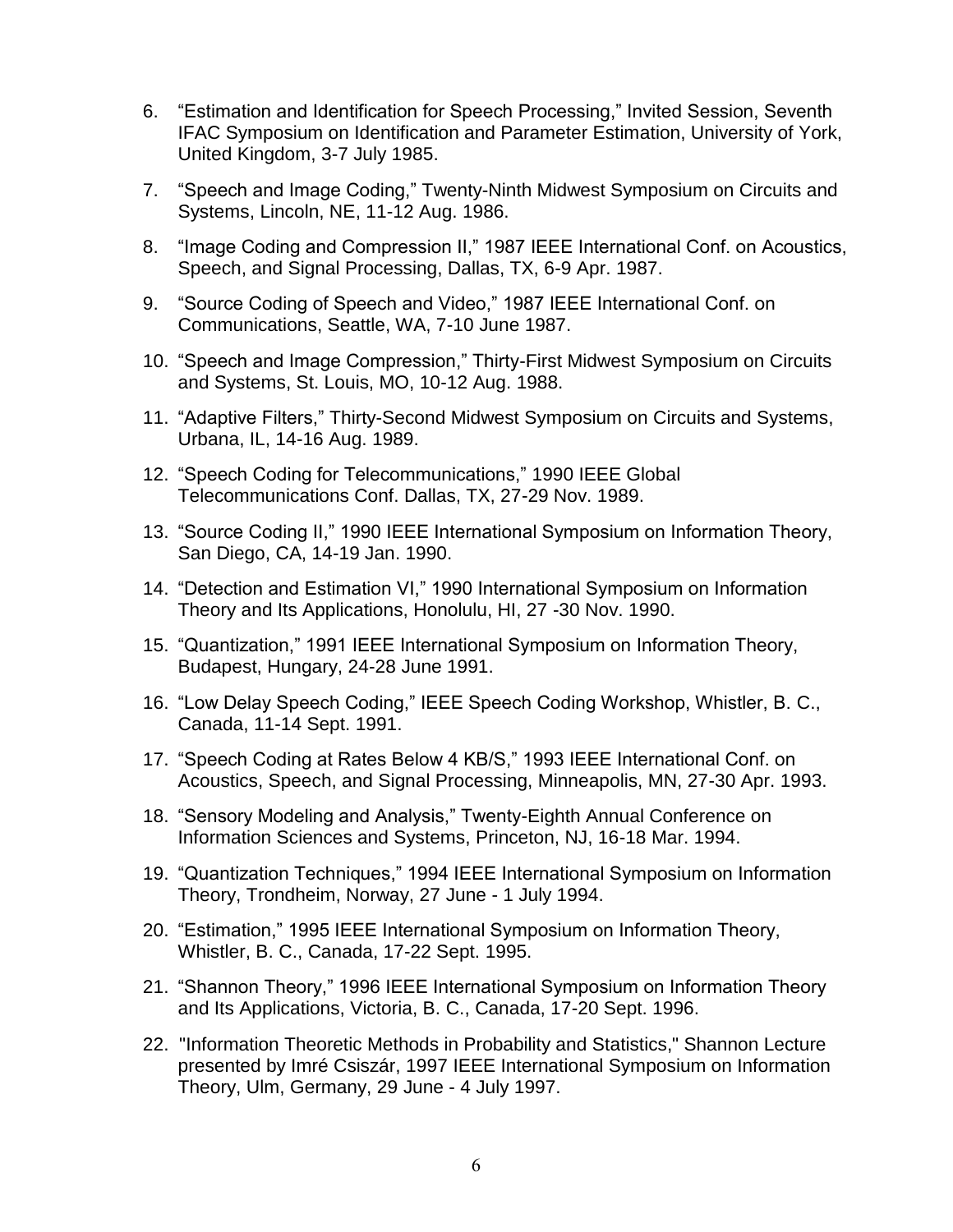- 6. "Estimation and Identification for Speech Processing," Invited Session, Seventh IFAC Symposium on Identification and Parameter Estimation, University of York, United Kingdom, 3-7 July 1985.
- 7. "Speech and Image Coding," Twenty-Ninth Midwest Symposium on Circuits and Systems, Lincoln, NE, 11-12 Aug. 1986.
- 8. "Image Coding and Compression II," 1987 IEEE International Conf. on Acoustics, Speech, and Signal Processing, Dallas, TX, 6-9 Apr. 1987.
- 9. "Source Coding of Speech and Video," 1987 IEEE International Conf. on Communications, Seattle, WA, 7-10 June 1987.
- 10. "Speech and Image Compression," Thirty-First Midwest Symposium on Circuits and Systems, St. Louis, MO, 10-12 Aug. 1988.
- 11. "Adaptive Filters," Thirty-Second Midwest Symposium on Circuits and Systems, Urbana, IL, 14-16 Aug. 1989.
- 12. "Speech Coding for Telecommunications," 1990 IEEE Global Telecommunications Conf. Dallas, TX, 27-29 Nov. 1989.
- 13. "Source Coding II," 1990 IEEE International Symposium on Information Theory, San Diego, CA, 14-19 Jan. 1990.
- 14. "Detection and Estimation VI," 1990 International Symposium on Information Theory and Its Applications, Honolulu, HI, 27 -30 Nov. 1990.
- 15. "Quantization," 1991 IEEE International Symposium on Information Theory, Budapest, Hungary, 24-28 June 1991.
- 16. "Low Delay Speech Coding," IEEE Speech Coding Workshop, Whistler, B. C., Canada, 11-14 Sept. 1991.
- 17. "Speech Coding at Rates Below 4 KB/S," 1993 IEEE International Conf. on Acoustics, Speech, and Signal Processing, Minneapolis, MN, 27-30 Apr. 1993.
- 18. "Sensory Modeling and Analysis," Twenty-Eighth Annual Conference on Information Sciences and Systems, Princeton, NJ, 16-18 Mar. 1994.
- 19. "Quantization Techniques," 1994 IEEE International Symposium on Information Theory, Trondheim, Norway, 27 June - 1 July 1994.
- 20. "Estimation," 1995 IEEE International Symposium on Information Theory, Whistler, B. C., Canada, 17-22 Sept. 1995.
- 21. "Shannon Theory," 1996 IEEE International Symposium on Information Theory and Its Applications, Victoria, B. C., Canada, 17-20 Sept. 1996.
- 22. "Information Theoretic Methods in Probability and Statistics," Shannon Lecture presented by Imré Csiszár, 1997 IEEE International Symposium on Information Theory, Ulm, Germany, 29 June - 4 July 1997.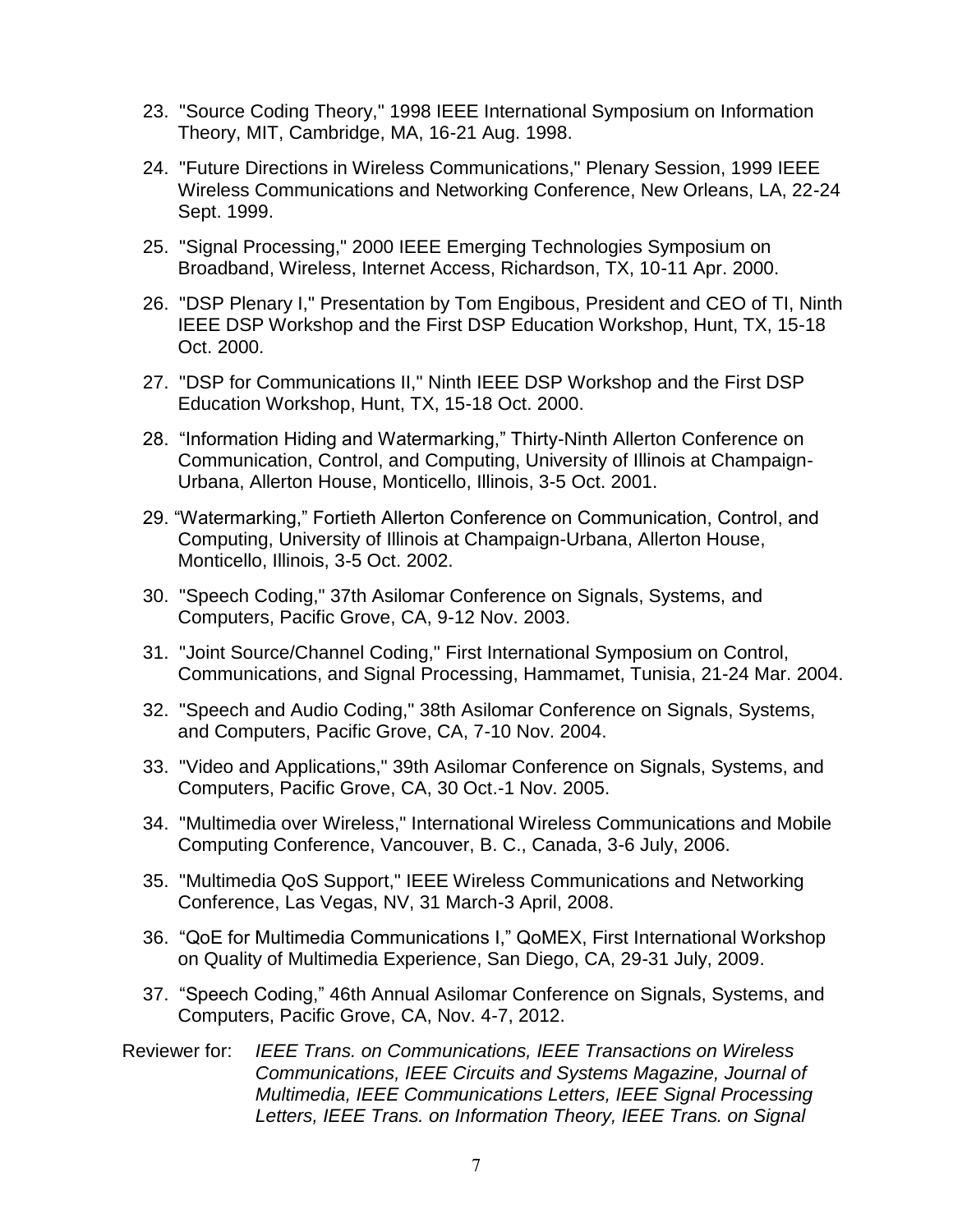- 23. "Source Coding Theory," 1998 IEEE International Symposium on Information Theory, MIT, Cambridge, MA, 16-21 Aug. 1998.
- 24. "Future Directions in Wireless Communications," Plenary Session, 1999 IEEE Wireless Communications and Networking Conference, New Orleans, LA, 22-24 Sept. 1999.
- 25. "Signal Processing," 2000 IEEE Emerging Technologies Symposium on Broadband, Wireless, Internet Access, Richardson, TX, 10-11 Apr. 2000.
- 26. "DSP Plenary I," Presentation by Tom Engibous, President and CEO of TI, Ninth IEEE DSP Workshop and the First DSP Education Workshop, Hunt, TX, 15-18 Oct. 2000.
- 27. "DSP for Communications II," Ninth IEEE DSP Workshop and the First DSP Education Workshop, Hunt, TX, 15-18 Oct. 2000.
- 28. "Information Hiding and Watermarking," Thirty-Ninth Allerton Conference on Communication, Control, and Computing, University of Illinois at Champaign-Urbana, Allerton House, Monticello, Illinois, 3-5 Oct. 2001.
- 29. "Watermarking," Fortieth Allerton Conference on Communication, Control, and Computing, University of Illinois at Champaign-Urbana, Allerton House, Monticello, Illinois, 3-5 Oct. 2002.
- 30. "Speech Coding," 37th Asilomar Conference on Signals, Systems, and Computers, Pacific Grove, CA, 9-12 Nov. 2003.
- 31. "Joint Source/Channel Coding," First International Symposium on Control, Communications, and Signal Processing, Hammamet, Tunisia, 21-24 Mar. 2004.
- 32. "Speech and Audio Coding," 38th Asilomar Conference on Signals, Systems, and Computers, Pacific Grove, CA, 7-10 Nov. 2004.
- 33. "Video and Applications," 39th Asilomar Conference on Signals, Systems, and Computers, Pacific Grove, CA, 30 Oct.-1 Nov. 2005.
- 34. "Multimedia over Wireless," International Wireless Communications and Mobile Computing Conference, Vancouver, B. C., Canada, 3-6 July, 2006.
- 35. "Multimedia QoS Support," IEEE Wireless Communications and Networking Conference, Las Vegas, NV, 31 March-3 April, 2008.
- 36. "QoE for Multimedia Communications I," QoMEX, First International Workshop on Quality of Multimedia Experience, San Diego, CA, 29-31 July, 2009.
- 37. "Speech Coding," 46th Annual Asilomar Conference on Signals, Systems, and Computers, Pacific Grove, CA, Nov. 4-7, 2012.
- Reviewer for: *IEEE Trans. on Communications, IEEE Transactions on Wireless Communications, IEEE Circuits and Systems Magazine, Journal of Multimedia, IEEE Communications Letters, IEEE Signal Processing Letters, IEEE Trans. on Information Theory, IEEE Trans. on Signal*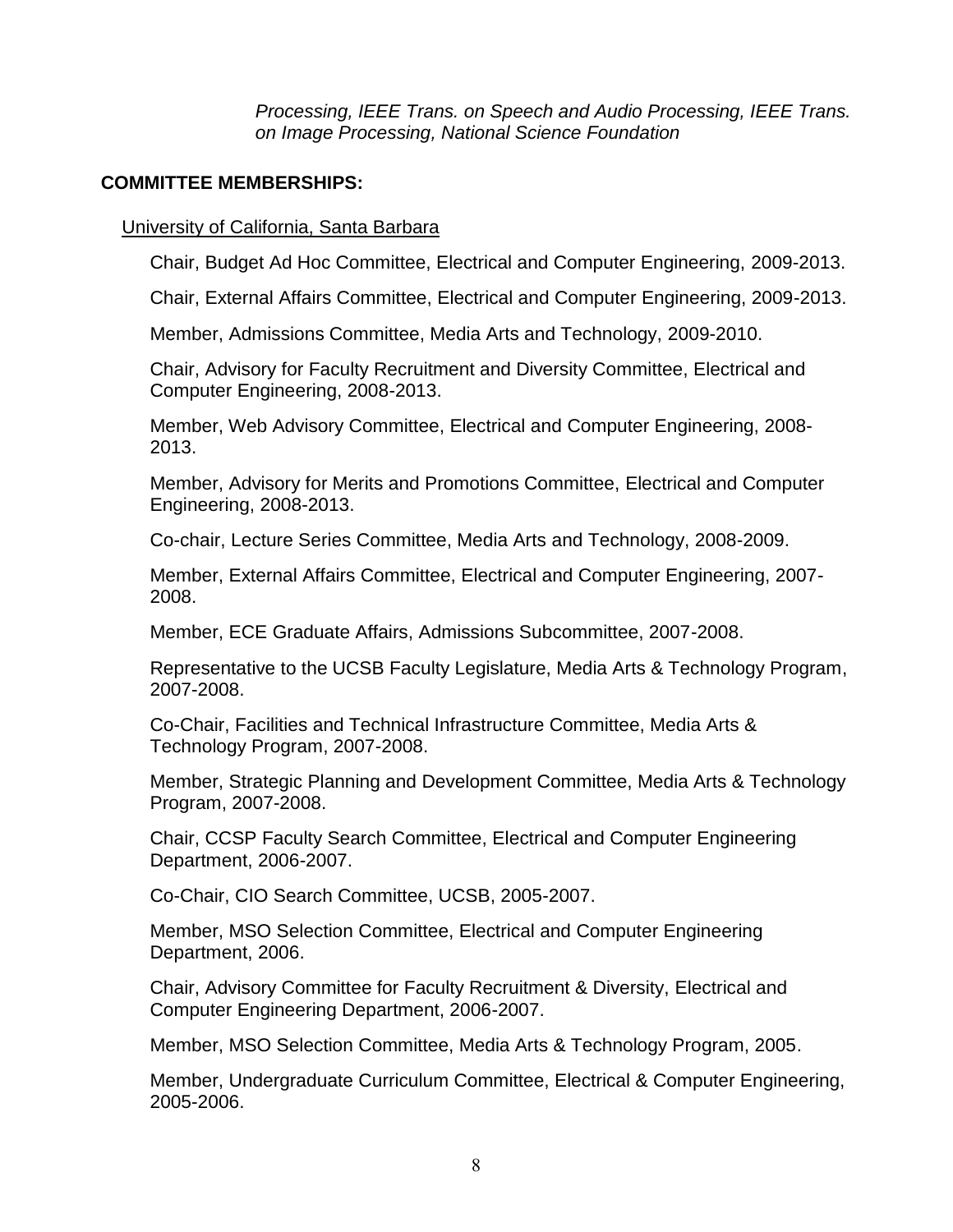*Processing, IEEE Trans. on Speech and Audio Processing, IEEE Trans. on Image Processing, National Science Foundation*

## **COMMITTEE MEMBERSHIPS:**

## University of California, Santa Barbara

Chair, Budget Ad Hoc Committee, Electrical and Computer Engineering, 2009-2013.

Chair, External Affairs Committee, Electrical and Computer Engineering, 2009-2013.

Member, Admissions Committee, Media Arts and Technology, 2009-2010.

Chair, Advisory for Faculty Recruitment and Diversity Committee, Electrical and Computer Engineering, 2008-2013.

Member, Web Advisory Committee, Electrical and Computer Engineering, 2008- 2013.

Member, Advisory for Merits and Promotions Committee, Electrical and Computer Engineering, 2008-2013.

Co-chair, Lecture Series Committee, Media Arts and Technology, 2008-2009.

Member, External Affairs Committee, Electrical and Computer Engineering, 2007- 2008.

Member, ECE Graduate Affairs, Admissions Subcommittee, 2007-2008.

Representative to the UCSB Faculty Legislature, Media Arts & Technology Program, 2007-2008.

Co-Chair, Facilities and Technical Infrastructure Committee, Media Arts & Technology Program, 2007-2008.

Member, Strategic Planning and Development Committee, Media Arts & Technology Program, 2007-2008.

Chair, CCSP Faculty Search Committee, Electrical and Computer Engineering Department, 2006-2007.

Co-Chair, CIO Search Committee, UCSB, 2005-2007.

Member, MSO Selection Committee, Electrical and Computer Engineering Department, 2006.

Chair, Advisory Committee for Faculty Recruitment & Diversity, Electrical and Computer Engineering Department, 2006-2007.

Member, MSO Selection Committee, Media Arts & Technology Program, 2005.

Member, Undergraduate Curriculum Committee, Electrical & Computer Engineering, 2005-2006.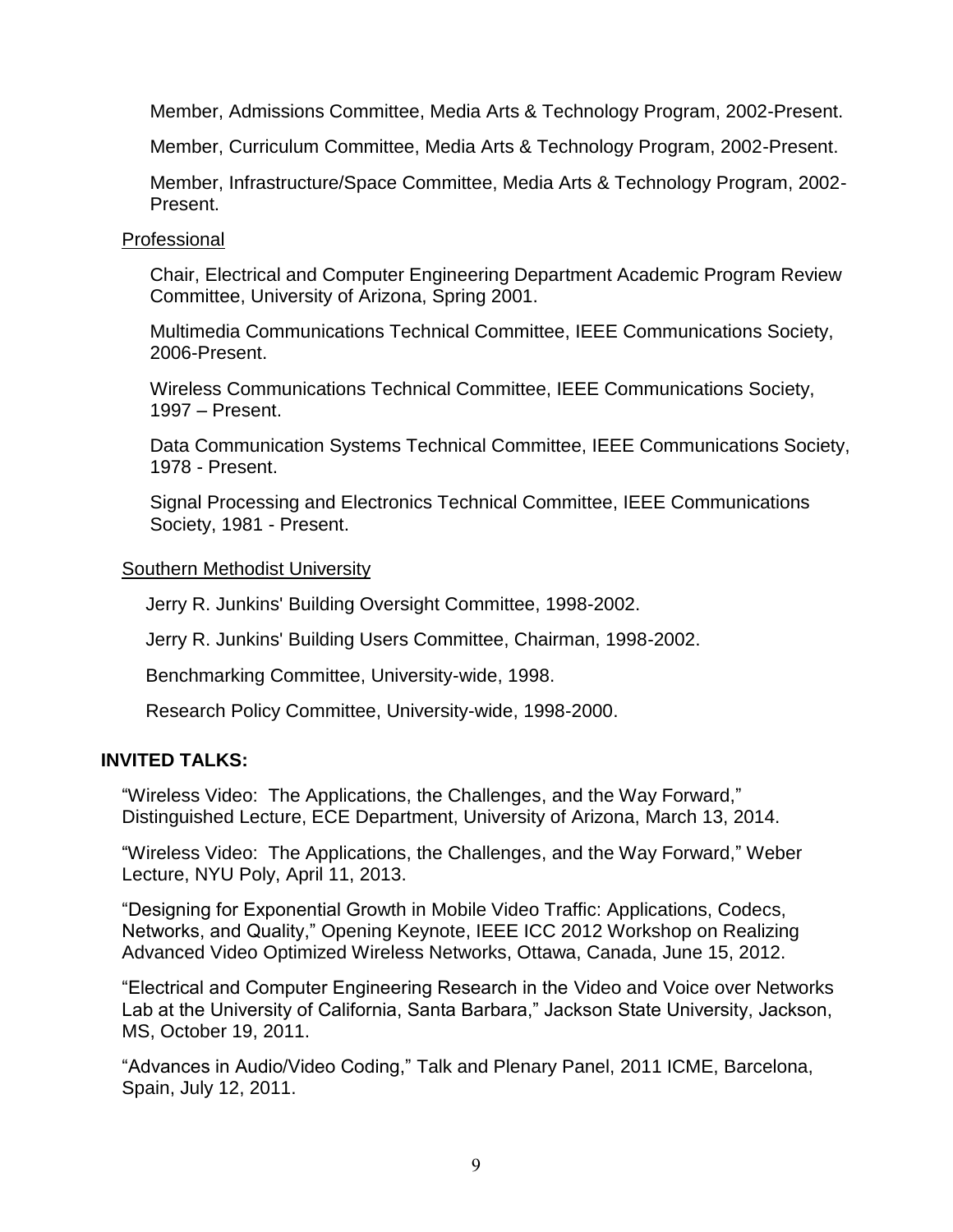Member, Admissions Committee, Media Arts & Technology Program, 2002-Present.

Member, Curriculum Committee, Media Arts & Technology Program, 2002-Present.

Member, Infrastructure/Space Committee, Media Arts & Technology Program, 2002- Present.

#### Professional

Chair, Electrical and Computer Engineering Department Academic Program Review Committee, University of Arizona, Spring 2001.

Multimedia Communications Technical Committee, IEEE Communications Society, 2006-Present.

Wireless Communications Technical Committee, IEEE Communications Society, 1997 – Present.

Data Communication Systems Technical Committee, IEEE Communications Society, 1978 - Present.

Signal Processing and Electronics Technical Committee, IEEE Communications Society, 1981 - Present.

## Southern Methodist University

Jerry R. Junkins' Building Oversight Committee, 1998-2002.

Jerry R. Junkins' Building Users Committee, Chairman, 1998-2002.

Benchmarking Committee, University-wide, 1998.

Research Policy Committee, University-wide, 1998-2000.

# **INVITED TALKS:**

"Wireless Video: The Applications, the Challenges, and the Way Forward," Distinguished Lecture, ECE Department, University of Arizona, March 13, 2014.

"Wireless Video: The Applications, the Challenges, and the Way Forward," Weber Lecture, NYU Poly, April 11, 2013.

"Designing for Exponential Growth in Mobile Video Traffic: Applications, Codecs, Networks, and Quality," Opening Keynote, IEEE ICC 2012 Workshop on Realizing Advanced Video Optimized Wireless Networks, Ottawa, Canada, June 15, 2012.

"Electrical and Computer Engineering Research in the Video and Voice over Networks Lab at the University of California, Santa Barbara," Jackson State University, Jackson, MS, October 19, 2011.

"Advances in Audio/Video Coding," Talk and Plenary Panel, 2011 ICME, Barcelona, Spain, July 12, 2011.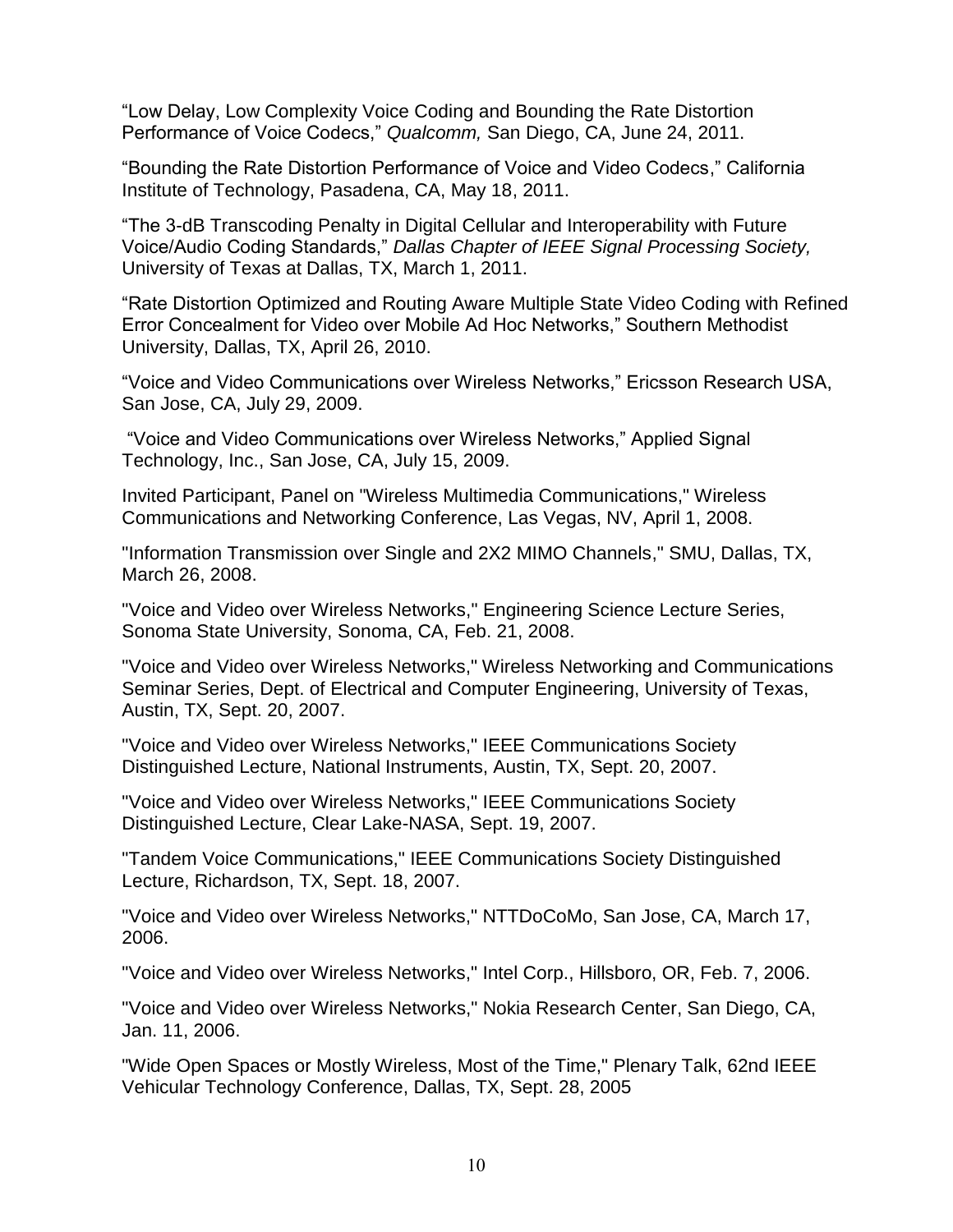"Low Delay, Low Complexity Voice Coding and Bounding the Rate Distortion Performance of Voice Codecs," *Qualcomm,* San Diego, CA, June 24, 2011.

"Bounding the Rate Distortion Performance of Voice and Video Codecs," California Institute of Technology, Pasadena, CA, May 18, 2011.

"The 3-dB Transcoding Penalty in Digital Cellular and Interoperability with Future Voice/Audio Coding Standards," *Dallas Chapter of IEEE Signal Processing Society,*  University of Texas at Dallas, TX, March 1, 2011.

"Rate Distortion Optimized and Routing Aware Multiple State Video Coding with Refined Error Concealment for Video over Mobile Ad Hoc Networks," Southern Methodist University, Dallas, TX, April 26, 2010.

"Voice and Video Communications over Wireless Networks," Ericsson Research USA, San Jose, CA, July 29, 2009.

"Voice and Video Communications over Wireless Networks," Applied Signal Technology, Inc., San Jose, CA, July 15, 2009.

Invited Participant, Panel on "Wireless Multimedia Communications," Wireless Communications and Networking Conference, Las Vegas, NV, April 1, 2008.

"Information Transmission over Single and 2X2 MIMO Channels," SMU, Dallas, TX, March 26, 2008.

"Voice and Video over Wireless Networks," Engineering Science Lecture Series, Sonoma State University, Sonoma, CA, Feb. 21, 2008.

"Voice and Video over Wireless Networks," Wireless Networking and Communications Seminar Series, Dept. of Electrical and Computer Engineering, University of Texas, Austin, TX, Sept. 20, 2007.

"Voice and Video over Wireless Networks," IEEE Communications Society Distinguished Lecture, National Instruments, Austin, TX, Sept. 20, 2007.

"Voice and Video over Wireless Networks," IEEE Communications Society Distinguished Lecture, Clear Lake-NASA, Sept. 19, 2007.

"Tandem Voice Communications," IEEE Communications Society Distinguished Lecture, Richardson, TX, Sept. 18, 2007.

"Voice and Video over Wireless Networks," NTTDoCoMo, San Jose, CA, March 17, 2006.

"Voice and Video over Wireless Networks," Intel Corp., Hillsboro, OR, Feb. 7, 2006.

"Voice and Video over Wireless Networks," Nokia Research Center, San Diego, CA, Jan. 11, 2006.

"Wide Open Spaces or Mostly Wireless, Most of the Time," Plenary Talk, 62nd IEEE Vehicular Technology Conference, Dallas, TX, Sept. 28, 2005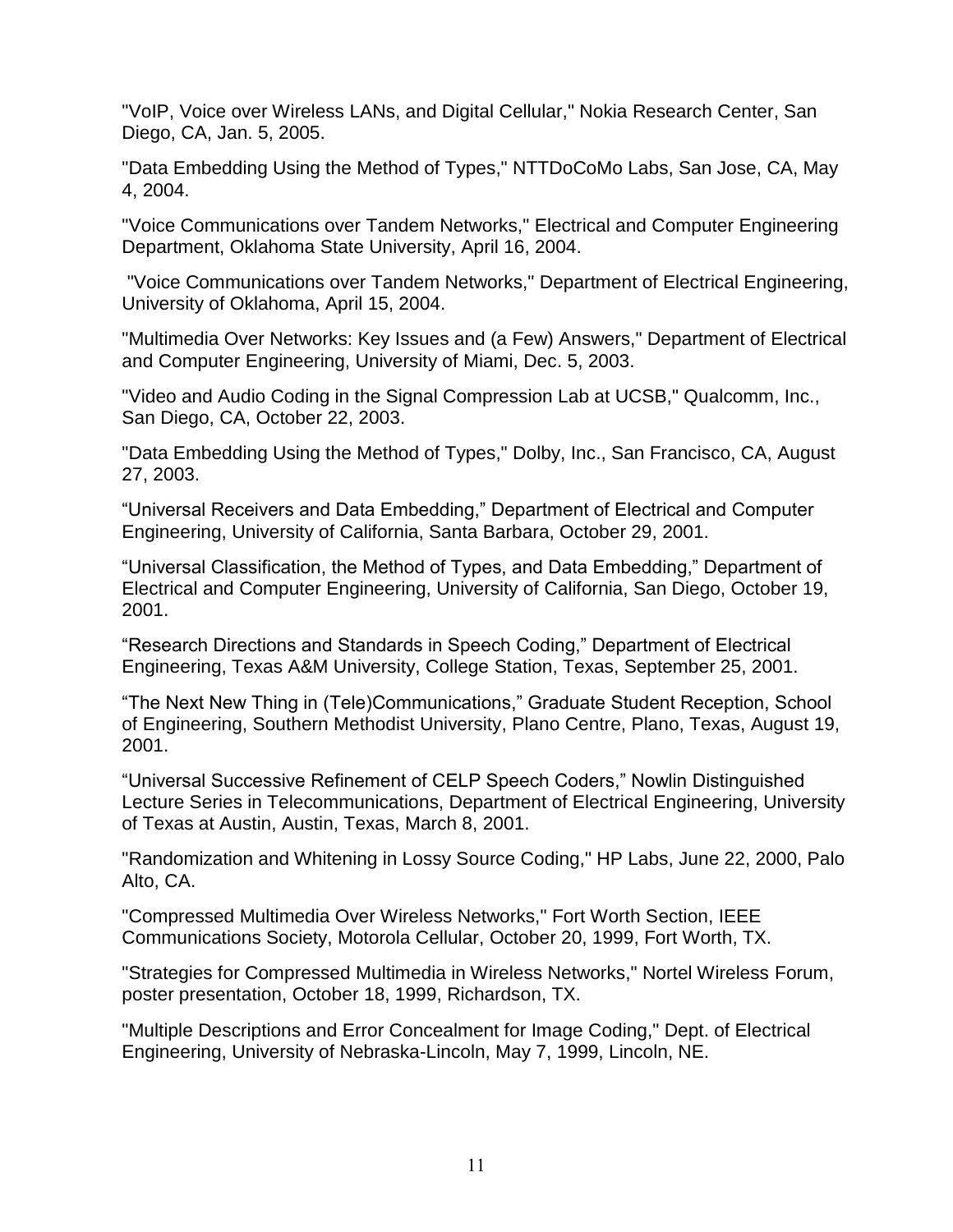"VoIP, Voice over Wireless LANs, and Digital Cellular," Nokia Research Center, San Diego, CA, Jan. 5, 2005.

"Data Embedding Using the Method of Types," NTTDoCoMo Labs, San Jose, CA, May 4, 2004.

"Voice Communications over Tandem Networks," Electrical and Computer Engineering Department, Oklahoma State University, April 16, 2004.

"Voice Communications over Tandem Networks," Department of Electrical Engineering, University of Oklahoma, April 15, 2004.

"Multimedia Over Networks: Key Issues and (a Few) Answers," Department of Electrical and Computer Engineering, University of Miami, Dec. 5, 2003.

"Video and Audio Coding in the Signal Compression Lab at UCSB," Qualcomm, Inc., San Diego, CA, October 22, 2003.

"Data Embedding Using the Method of Types," Dolby, Inc., San Francisco, CA, August 27, 2003.

"Universal Receivers and Data Embedding," Department of Electrical and Computer Engineering, University of California, Santa Barbara, October 29, 2001.

"Universal Classification, the Method of Types, and Data Embedding," Department of Electrical and Computer Engineering, University of California, San Diego, October 19, 2001.

"Research Directions and Standards in Speech Coding," Department of Electrical Engineering, Texas A&M University, College Station, Texas, September 25, 2001.

"The Next New Thing in (Tele)Communications," Graduate Student Reception, School of Engineering, Southern Methodist University, Plano Centre, Plano, Texas, August 19, 2001.

"Universal Successive Refinement of CELP Speech Coders," Nowlin Distinguished Lecture Series in Telecommunications, Department of Electrical Engineering, University of Texas at Austin, Austin, Texas, March 8, 2001.

"Randomization and Whitening in Lossy Source Coding," HP Labs, June 22, 2000, Palo Alto, CA.

"Compressed Multimedia Over Wireless Networks," Fort Worth Section, IEEE Communications Society, Motorola Cellular, October 20, 1999, Fort Worth, TX.

"Strategies for Compressed Multimedia in Wireless Networks," Nortel Wireless Forum, poster presentation, October 18, 1999, Richardson, TX.

"Multiple Descriptions and Error Concealment for Image Coding," Dept. of Electrical Engineering, University of Nebraska-Lincoln, May 7, 1999, Lincoln, NE.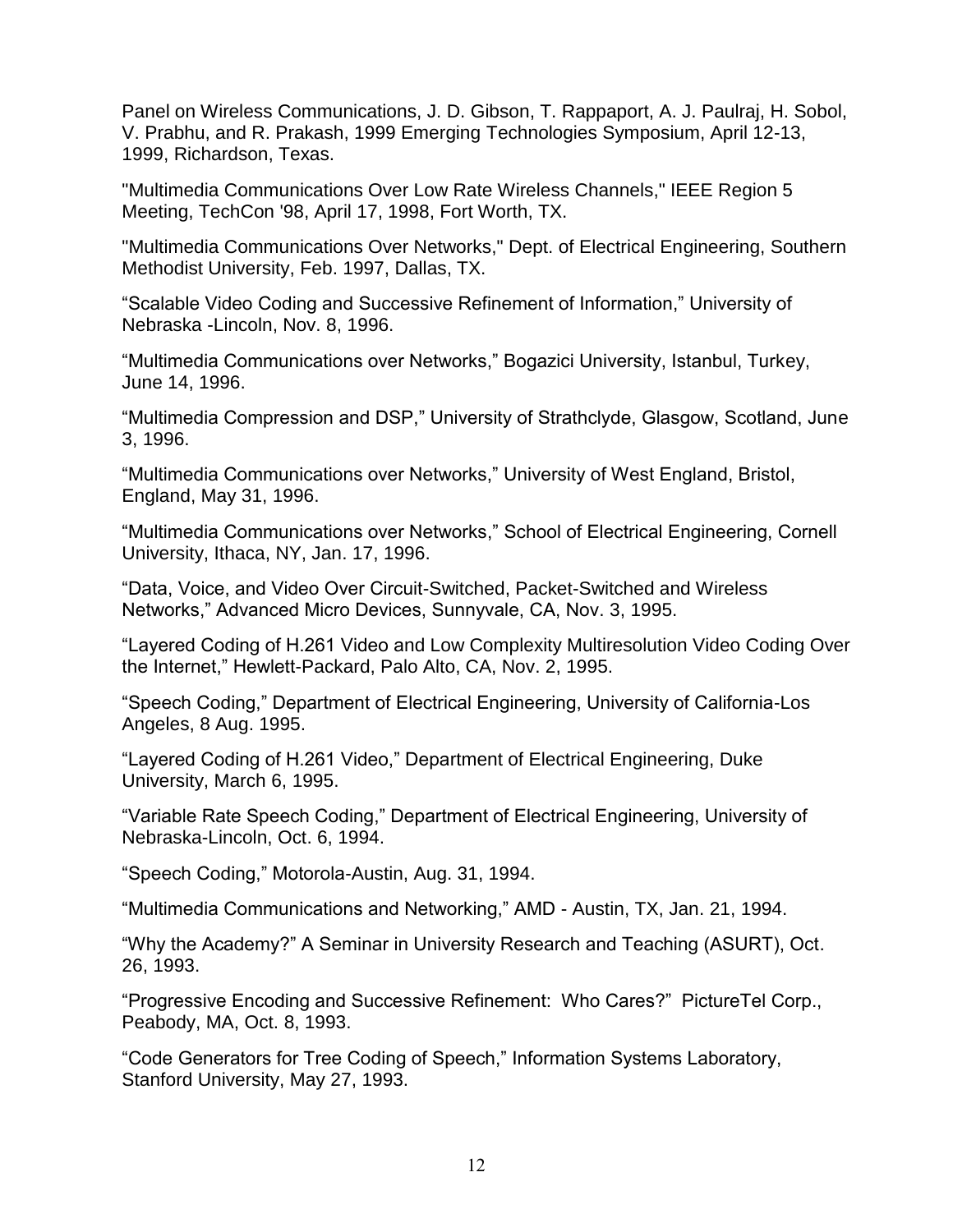Panel on Wireless Communications, J. D. Gibson, T. Rappaport, A. J. Paulraj, H. Sobol, V. Prabhu, and R. Prakash, 1999 Emerging Technologies Symposium, April 12-13, 1999, Richardson, Texas.

"Multimedia Communications Over Low Rate Wireless Channels," IEEE Region 5 Meeting, TechCon '98, April 17, 1998, Fort Worth, TX.

"Multimedia Communications Over Networks," Dept. of Electrical Engineering, Southern Methodist University, Feb. 1997, Dallas, TX.

"Scalable Video Coding and Successive Refinement of Information," University of Nebraska -Lincoln, Nov. 8, 1996.

"Multimedia Communications over Networks," Bogazici University, Istanbul, Turkey, June 14, 1996.

"Multimedia Compression and DSP," University of Strathclyde, Glasgow, Scotland, June 3, 1996.

"Multimedia Communications over Networks," University of West England, Bristol, England, May 31, 1996.

"Multimedia Communications over Networks," School of Electrical Engineering, Cornell University, Ithaca, NY, Jan. 17, 1996.

"Data, Voice, and Video Over Circuit-Switched, Packet-Switched and Wireless Networks," Advanced Micro Devices, Sunnyvale, CA, Nov. 3, 1995.

"Layered Coding of H.261 Video and Low Complexity Multiresolution Video Coding Over the Internet," Hewlett-Packard, Palo Alto, CA, Nov. 2, 1995.

"Speech Coding," Department of Electrical Engineering, University of California-Los Angeles, 8 Aug. 1995.

"Layered Coding of H.261 Video," Department of Electrical Engineering, Duke University, March 6, 1995.

"Variable Rate Speech Coding," Department of Electrical Engineering, University of Nebraska-Lincoln, Oct. 6, 1994.

"Speech Coding," Motorola-Austin, Aug. 31, 1994.

"Multimedia Communications and Networking," AMD - Austin, TX, Jan. 21, 1994.

"Why the Academy?" A Seminar in University Research and Teaching (ASURT), Oct. 26, 1993.

"Progressive Encoding and Successive Refinement: Who Cares?" PictureTel Corp., Peabody, MA, Oct. 8, 1993.

"Code Generators for Tree Coding of Speech," Information Systems Laboratory, Stanford University, May 27, 1993.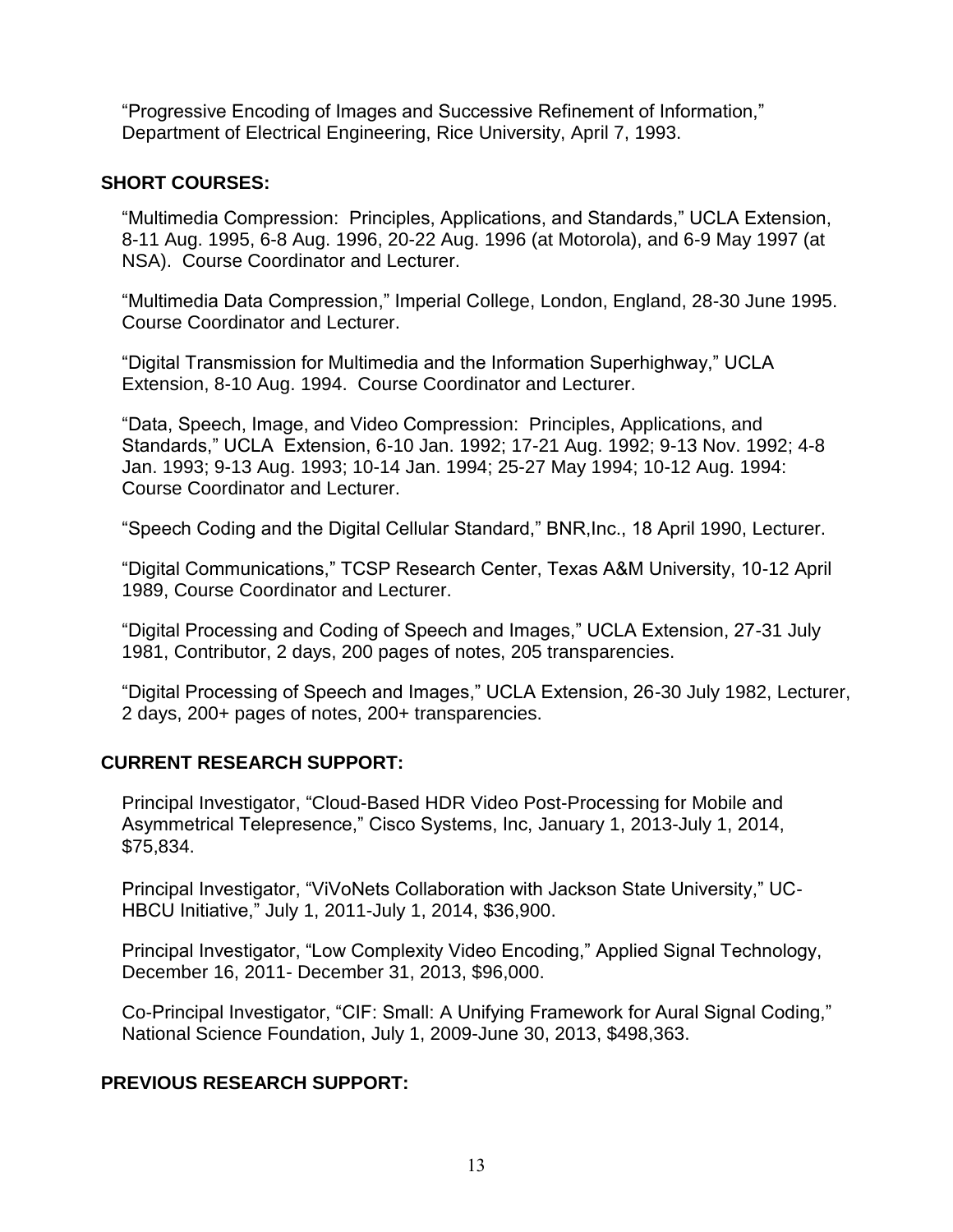"Progressive Encoding of Images and Successive Refinement of Information," Department of Electrical Engineering, Rice University, April 7, 1993.

## **SHORT COURSES:**

"Multimedia Compression: Principles, Applications, and Standards," UCLA Extension, 8-11 Aug. 1995, 6-8 Aug. 1996, 20-22 Aug. 1996 (at Motorola), and 6-9 May 1997 (at NSA). Course Coordinator and Lecturer.

"Multimedia Data Compression," Imperial College, London, England, 28-30 June 1995. Course Coordinator and Lecturer.

"Digital Transmission for Multimedia and the Information Superhighway," UCLA Extension, 8-10 Aug. 1994. Course Coordinator and Lecturer.

"Data, Speech, Image, and Video Compression: Principles, Applications, and Standards," UCLA Extension, 6-10 Jan. 1992; 17-21 Aug. 1992; 9-13 Nov. 1992; 4-8 Jan. 1993; 9-13 Aug. 1993; 10-14 Jan. 1994; 25-27 May 1994; 10-12 Aug. 1994: Course Coordinator and Lecturer.

"Speech Coding and the Digital Cellular Standard," BNR,Inc., 18 April 1990, Lecturer.

"Digital Communications," TCSP Research Center, Texas A&M University, 10-12 April 1989, Course Coordinator and Lecturer.

"Digital Processing and Coding of Speech and Images," UCLA Extension, 27-31 July 1981, Contributor, 2 days, 200 pages of notes, 205 transparencies.

"Digital Processing of Speech and Images," UCLA Extension, 26-30 July 1982, Lecturer, 2 days, 200+ pages of notes, 200+ transparencies.

# **CURRENT RESEARCH SUPPORT:**

Principal Investigator, "Cloud-Based HDR Video Post-Processing for Mobile and Asymmetrical Telepresence," Cisco Systems, Inc, January 1, 2013-July 1, 2014, \$75,834.

Principal Investigator, "ViVoNets Collaboration with Jackson State University," UC-HBCU Initiative," July 1, 2011-July 1, 2014, \$36,900.

Principal Investigator, "Low Complexity Video Encoding," Applied Signal Technology, December 16, 2011- December 31, 2013, \$96,000.

Co-Principal Investigator, "CIF: Small: A Unifying Framework for Aural Signal Coding," National Science Foundation, July 1, 2009-June 30, 2013, \$498,363.

# **PREVIOUS RESEARCH SUPPORT:**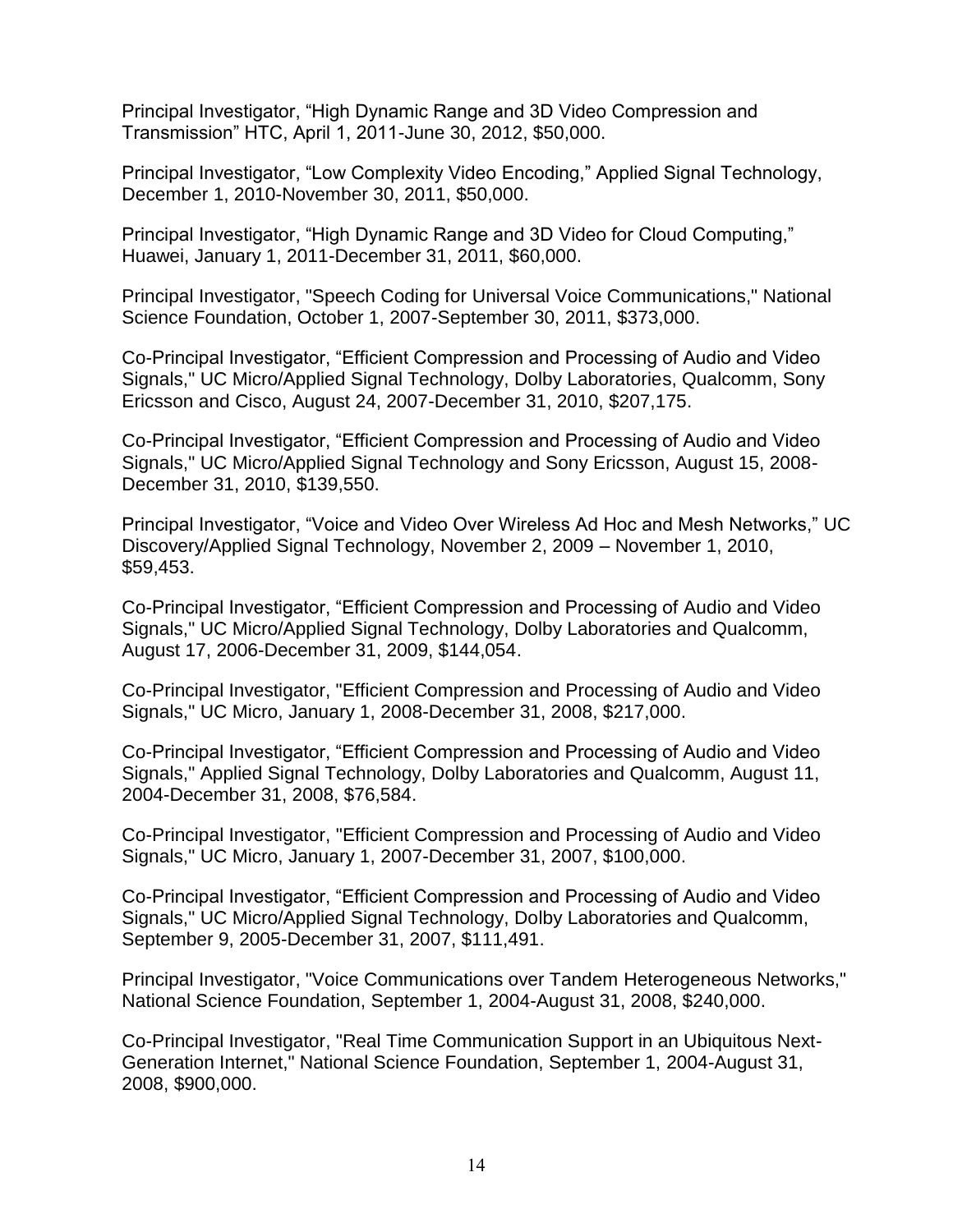Principal Investigator, "High Dynamic Range and 3D Video Compression and Transmission" HTC, April 1, 2011-June 30, 2012, \$50,000.

Principal Investigator, "Low Complexity Video Encoding," Applied Signal Technology, December 1, 2010-November 30, 2011, \$50,000.

Principal Investigator, "High Dynamic Range and 3D Video for Cloud Computing," Huawei, January 1, 2011-December 31, 2011, \$60,000.

Principal Investigator, "Speech Coding for Universal Voice Communications," National Science Foundation, October 1, 2007-September 30, 2011, \$373,000.

Co-Principal Investigator, "Efficient Compression and Processing of Audio and Video Signals," UC Micro/Applied Signal Technology, Dolby Laboratories, Qualcomm, Sony Ericsson and Cisco, August 24, 2007-December 31, 2010, \$207,175.

Co-Principal Investigator, "Efficient Compression and Processing of Audio and Video Signals," UC Micro/Applied Signal Technology and Sony Ericsson, August 15, 2008- December 31, 2010, \$139,550.

Principal Investigator, "Voice and Video Over Wireless Ad Hoc and Mesh Networks," UC Discovery/Applied Signal Technology, November 2, 2009 – November 1, 2010, \$59,453.

Co-Principal Investigator, "Efficient Compression and Processing of Audio and Video Signals," UC Micro/Applied Signal Technology, Dolby Laboratories and Qualcomm, August 17, 2006-December 31, 2009, \$144,054.

Co-Principal Investigator, "Efficient Compression and Processing of Audio and Video Signals," UC Micro, January 1, 2008-December 31, 2008, \$217,000.

Co-Principal Investigator, "Efficient Compression and Processing of Audio and Video Signals," Applied Signal Technology, Dolby Laboratories and Qualcomm, August 11, 2004-December 31, 2008, \$76,584.

Co-Principal Investigator, "Efficient Compression and Processing of Audio and Video Signals," UC Micro, January 1, 2007-December 31, 2007, \$100,000.

Co-Principal Investigator, "Efficient Compression and Processing of Audio and Video Signals," UC Micro/Applied Signal Technology, Dolby Laboratories and Qualcomm, September 9, 2005-December 31, 2007, \$111,491.

Principal Investigator, "Voice Communications over Tandem Heterogeneous Networks," National Science Foundation, September 1, 2004-August 31, 2008, \$240,000.

Co-Principal Investigator, "Real Time Communication Support in an Ubiquitous Next-Generation Internet," National Science Foundation, September 1, 2004-August 31, 2008, \$900,000.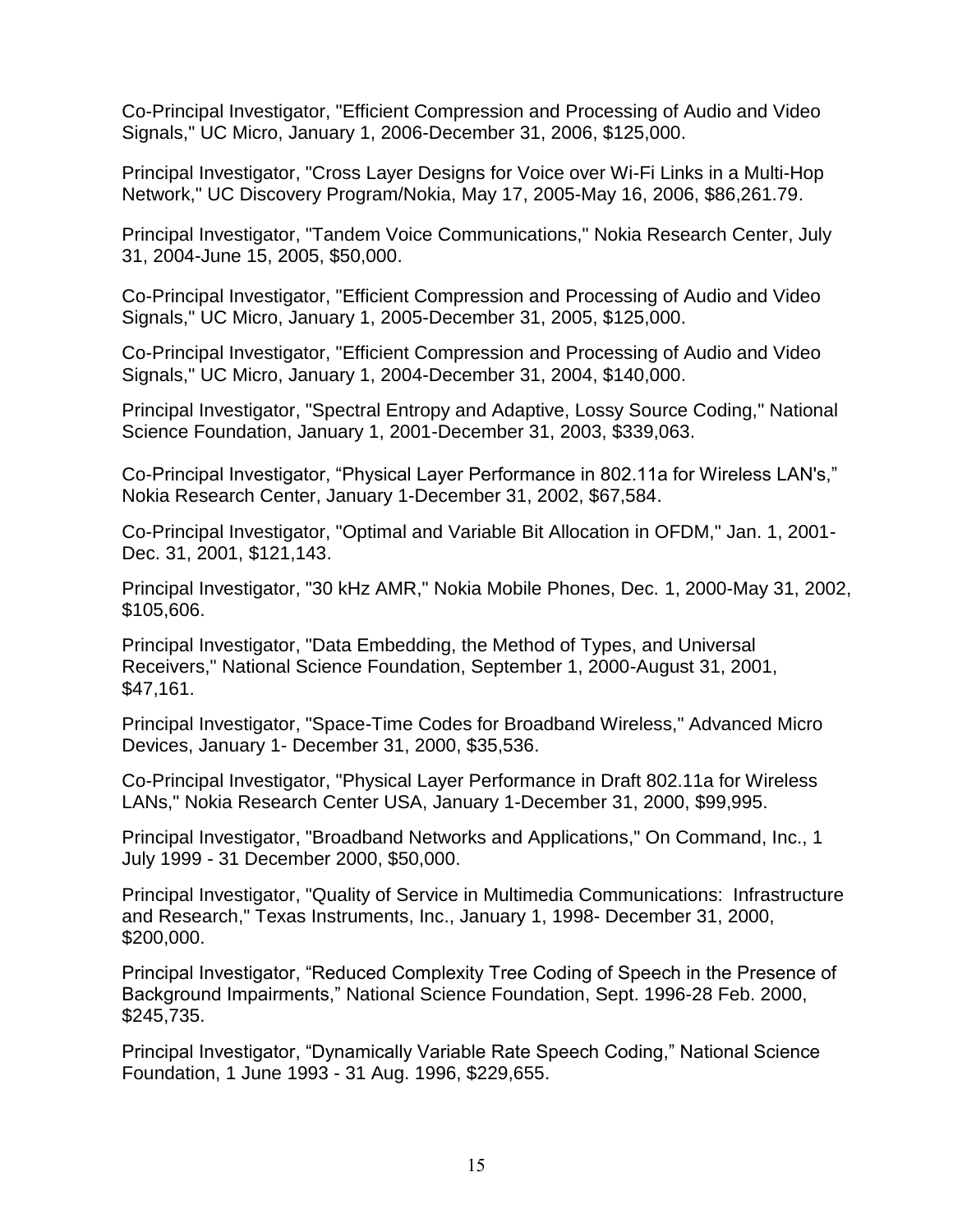Co-Principal Investigator, "Efficient Compression and Processing of Audio and Video Signals," UC Micro, January 1, 2006-December 31, 2006, \$125,000.

Principal Investigator, "Cross Layer Designs for Voice over Wi-Fi Links in a Multi-Hop Network," UC Discovery Program/Nokia, May 17, 2005-May 16, 2006, \$86,261.79.

Principal Investigator, "Tandem Voice Communications," Nokia Research Center, July 31, 2004-June 15, 2005, \$50,000.

Co-Principal Investigator, "Efficient Compression and Processing of Audio and Video Signals," UC Micro, January 1, 2005-December 31, 2005, \$125,000.

Co-Principal Investigator, "Efficient Compression and Processing of Audio and Video Signals," UC Micro, January 1, 2004-December 31, 2004, \$140,000.

Principal Investigator, "Spectral Entropy and Adaptive, Lossy Source Coding," National Science Foundation, January 1, 2001-December 31, 2003, \$339,063.

Co-Principal Investigator, "Physical Layer Performance in 802.11a for Wireless LAN's," Nokia Research Center, January 1-December 31, 2002, \$67,584.

Co-Principal Investigator, "Optimal and Variable Bit Allocation in OFDM," Jan. 1, 2001- Dec. 31, 2001, \$121,143.

Principal Investigator, "30 kHz AMR," Nokia Mobile Phones, Dec. 1, 2000-May 31, 2002, \$105,606.

Principal Investigator, "Data Embedding, the Method of Types, and Universal Receivers," National Science Foundation, September 1, 2000-August 31, 2001, \$47,161.

Principal Investigator, "Space-Time Codes for Broadband Wireless," Advanced Micro Devices, January 1- December 31, 2000, \$35,536.

Co-Principal Investigator, "Physical Layer Performance in Draft 802.11a for Wireless LANs," Nokia Research Center USA, January 1-December 31, 2000, \$99,995.

Principal Investigator, "Broadband Networks and Applications," On Command, Inc., 1 July 1999 - 31 December 2000, \$50,000.

Principal Investigator, "Quality of Service in Multimedia Communications: Infrastructure and Research," Texas Instruments, Inc., January 1, 1998- December 31, 2000, \$200,000.

Principal Investigator, "Reduced Complexity Tree Coding of Speech in the Presence of Background Impairments," National Science Foundation, Sept. 1996-28 Feb. 2000, \$245,735.

Principal Investigator, "Dynamically Variable Rate Speech Coding," National Science Foundation, 1 June 1993 - 31 Aug. 1996, \$229,655.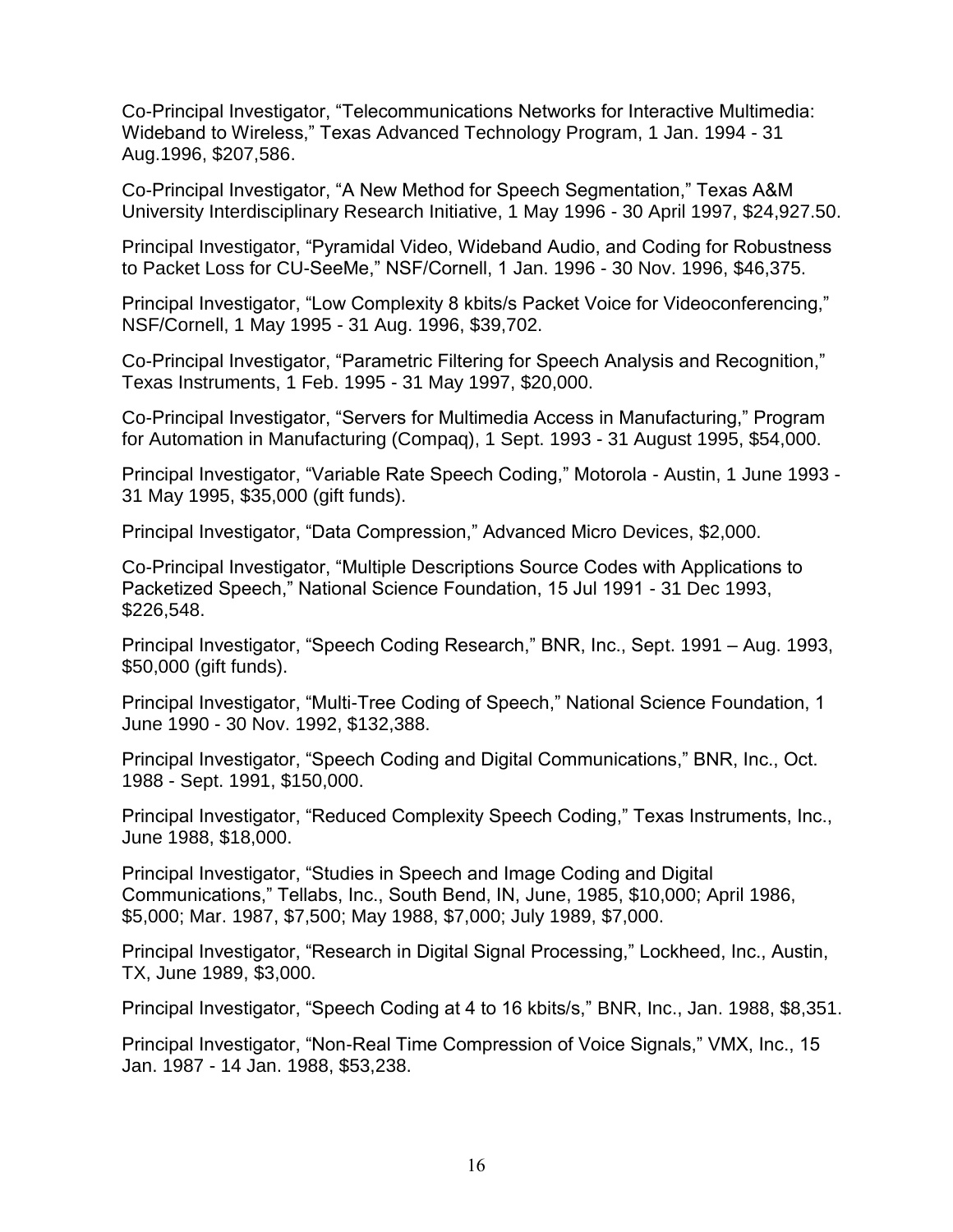Co-Principal Investigator, "Telecommunications Networks for Interactive Multimedia: Wideband to Wireless," Texas Advanced Technology Program, 1 Jan. 1994 - 31 Aug.1996, \$207,586.

Co-Principal Investigator, "A New Method for Speech Segmentation," Texas A&M University Interdisciplinary Research Initiative, 1 May 1996 - 30 April 1997, \$24,927.50.

Principal Investigator, "Pyramidal Video, Wideband Audio, and Coding for Robustness to Packet Loss for CU-SeeMe," NSF/Cornell, 1 Jan. 1996 - 30 Nov. 1996, \$46,375.

Principal Investigator, "Low Complexity 8 kbits/s Packet Voice for Videoconferencing," NSF/Cornell, 1 May 1995 - 31 Aug. 1996, \$39,702.

Co-Principal Investigator, "Parametric Filtering for Speech Analysis and Recognition," Texas Instruments, 1 Feb. 1995 - 31 May 1997, \$20,000.

Co-Principal Investigator, "Servers for Multimedia Access in Manufacturing," Program for Automation in Manufacturing (Compaq), 1 Sept. 1993 - 31 August 1995, \$54,000.

Principal Investigator, "Variable Rate Speech Coding," Motorola - Austin, 1 June 1993 - 31 May 1995, \$35,000 (gift funds).

Principal Investigator, "Data Compression," Advanced Micro Devices, \$2,000.

Co-Principal Investigator, "Multiple Descriptions Source Codes with Applications to Packetized Speech," National Science Foundation, 15 Jul 1991 - 31 Dec 1993, \$226,548.

Principal Investigator, "Speech Coding Research," BNR, Inc., Sept. 1991 – Aug. 1993, \$50,000 (gift funds).

Principal Investigator, "Multi-Tree Coding of Speech," National Science Foundation, 1 June 1990 - 30 Nov. 1992, \$132,388.

Principal Investigator, "Speech Coding and Digital Communications," BNR, Inc., Oct. 1988 - Sept. 1991, \$150,000.

Principal Investigator, "Reduced Complexity Speech Coding," Texas Instruments, Inc., June 1988, \$18,000.

Principal Investigator, "Studies in Speech and Image Coding and Digital Communications," Tellabs, Inc., South Bend, IN, June, 1985, \$10,000; April 1986, \$5,000; Mar. 1987, \$7,500; May 1988, \$7,000; July 1989, \$7,000.

Principal Investigator, "Research in Digital Signal Processing," Lockheed, Inc., Austin, TX, June 1989, \$3,000.

Principal Investigator, "Speech Coding at 4 to 16 kbits/s," BNR, Inc., Jan. 1988, \$8,351.

Principal Investigator, "Non-Real Time Compression of Voice Signals," VMX, Inc., 15 Jan. 1987 - 14 Jan. 1988, \$53,238.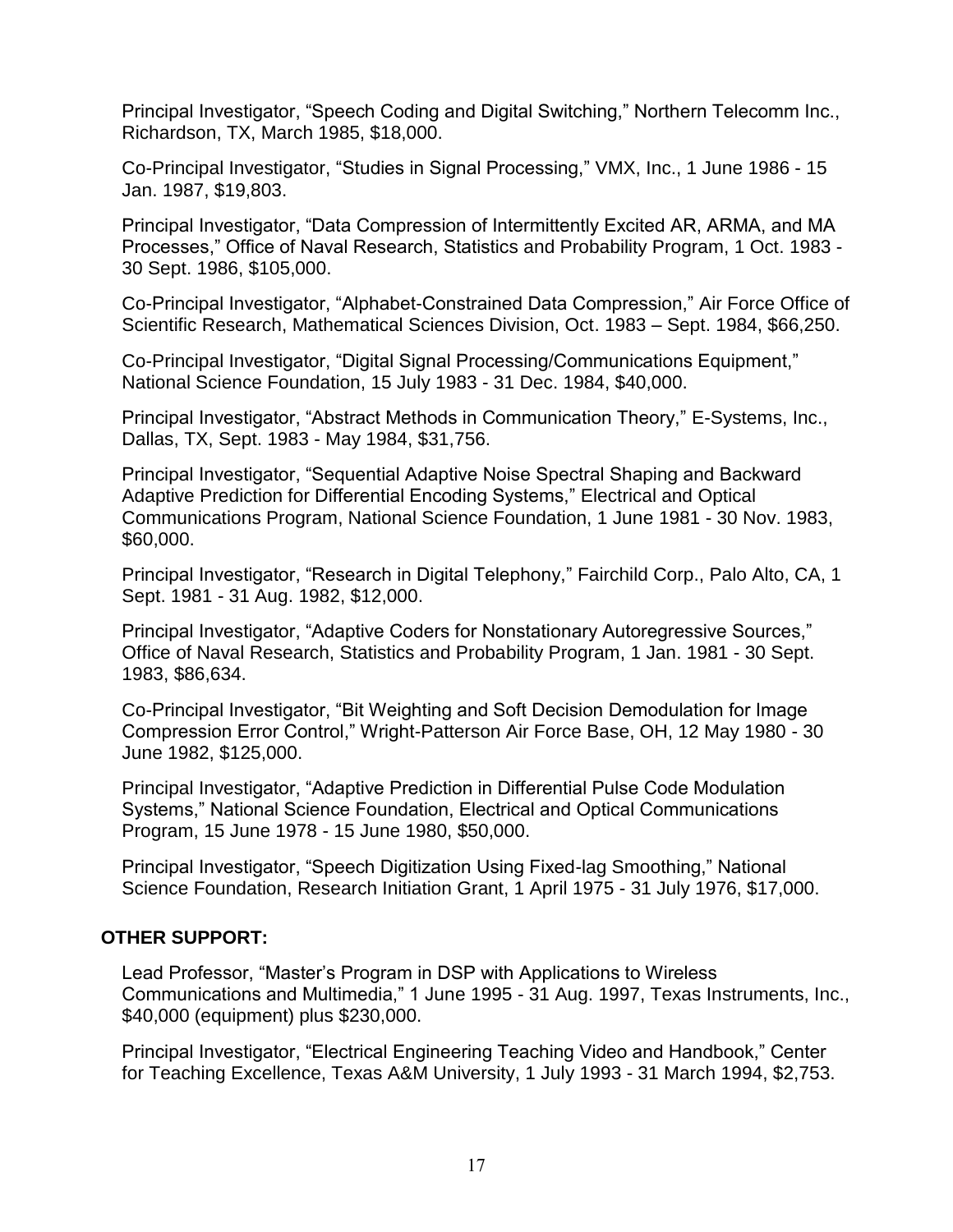Principal Investigator, "Speech Coding and Digital Switching," Northern Telecomm Inc., Richardson, TX, March 1985, \$18,000.

Co-Principal Investigator, "Studies in Signal Processing," VMX, Inc., 1 June 1986 - 15 Jan. 1987, \$19,803.

Principal Investigator, "Data Compression of Intermittently Excited AR, ARMA, and MA Processes," Office of Naval Research, Statistics and Probability Program, 1 Oct. 1983 - 30 Sept. 1986, \$105,000.

Co-Principal Investigator, "Alphabet-Constrained Data Compression," Air Force Office of Scientific Research, Mathematical Sciences Division, Oct. 1983 – Sept. 1984, \$66,250.

Co-Principal Investigator, "Digital Signal Processing/Communications Equipment," National Science Foundation, 15 July 1983 - 31 Dec. 1984, \$40,000.

Principal Investigator, "Abstract Methods in Communication Theory," E-Systems, Inc., Dallas, TX, Sept. 1983 - May 1984, \$31,756.

Principal Investigator, "Sequential Adaptive Noise Spectral Shaping and Backward Adaptive Prediction for Differential Encoding Systems," Electrical and Optical Communications Program, National Science Foundation, 1 June 1981 - 30 Nov. 1983, \$60,000.

Principal Investigator, "Research in Digital Telephony," Fairchild Corp., Palo Alto, CA, 1 Sept. 1981 - 31 Aug. 1982, \$12,000.

Principal Investigator, "Adaptive Coders for Nonstationary Autoregressive Sources," Office of Naval Research, Statistics and Probability Program, 1 Jan. 1981 - 30 Sept. 1983, \$86,634.

Co-Principal Investigator, "Bit Weighting and Soft Decision Demodulation for Image Compression Error Control," Wright-Patterson Air Force Base, OH, 12 May 1980 - 30 June 1982, \$125,000.

Principal Investigator, "Adaptive Prediction in Differential Pulse Code Modulation Systems," National Science Foundation, Electrical and Optical Communications Program, 15 June 1978 - 15 June 1980, \$50,000.

Principal Investigator, "Speech Digitization Using Fixed-lag Smoothing," National Science Foundation, Research Initiation Grant, 1 April 1975 - 31 July 1976, \$17,000.

## **OTHER SUPPORT:**

Lead Professor, "Master's Program in DSP with Applications to Wireless Communications and Multimedia," 1 June 1995 - 31 Aug. 1997, Texas Instruments, Inc., \$40,000 (equipment) plus \$230,000.

Principal Investigator, "Electrical Engineering Teaching Video and Handbook," Center for Teaching Excellence, Texas A&M University, 1 July 1993 - 31 March 1994, \$2,753.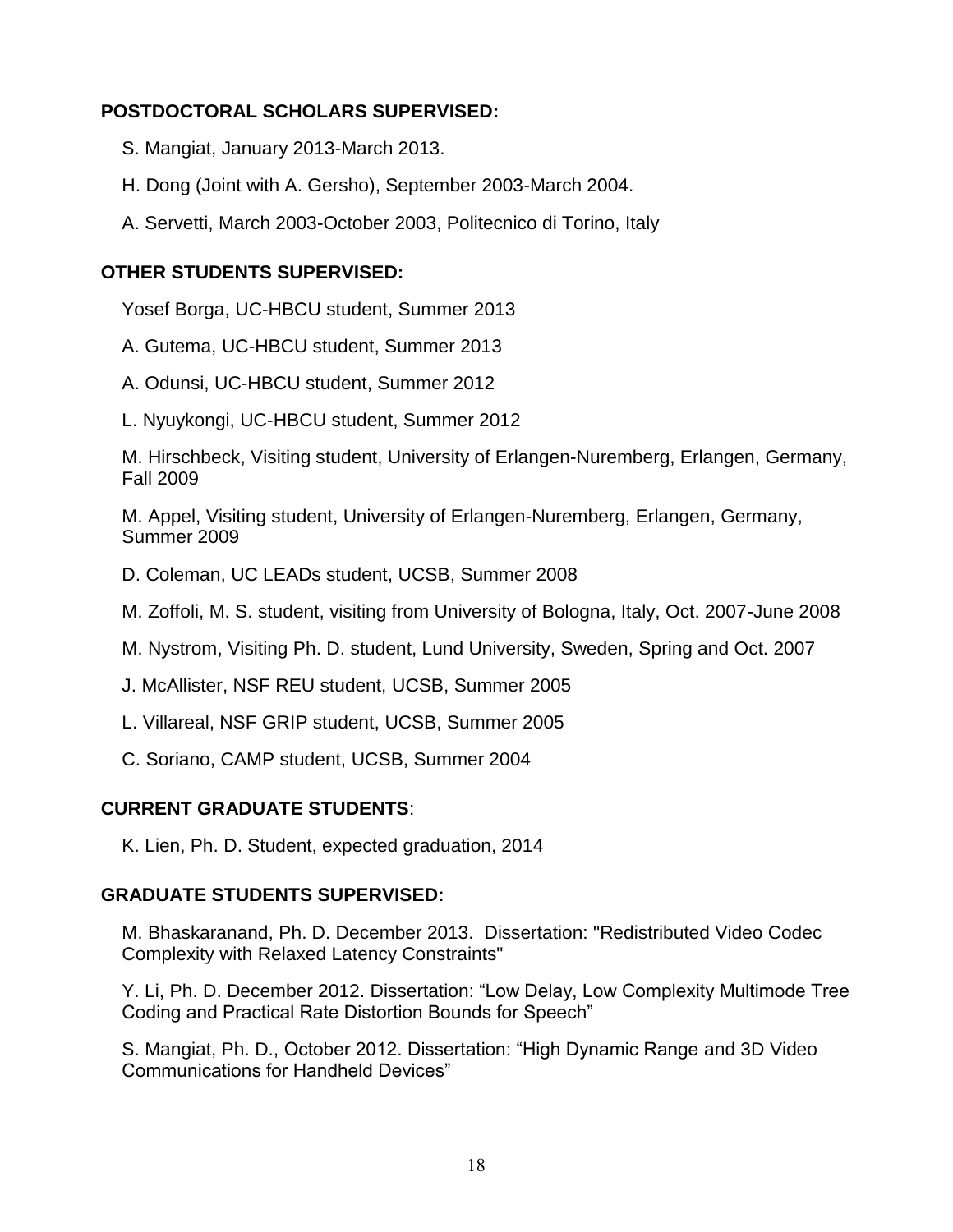# **POSTDOCTORAL SCHOLARS SUPERVISED:**

- S. Mangiat, January 2013-March 2013.
- H. Dong (Joint with A. Gersho), September 2003-March 2004.
- A. Servetti, March 2003-October 2003, Politecnico di Torino, Italy

## **OTHER STUDENTS SUPERVISED:**

Yosef Borga, UC-HBCU student, Summer 2013

- A. Gutema, UC-HBCU student, Summer 2013
- A. Odunsi, UC-HBCU student, Summer 2012
- L. Nyuykongi, UC-HBCU student, Summer 2012

M. Hirschbeck, Visiting student, University of Erlangen-Nuremberg, Erlangen, Germany, Fall 2009

M. Appel, Visiting student, University of Erlangen-Nuremberg, Erlangen, Germany, Summer 2009

- D. Coleman, UC LEADs student, UCSB, Summer 2008
- M. Zoffoli, M. S. student, visiting from University of Bologna, Italy, Oct. 2007-June 2008
- M. Nystrom, Visiting Ph. D. student, Lund University, Sweden, Spring and Oct. 2007
- J. McAllister, NSF REU student, UCSB, Summer 2005
- L. Villareal, NSF GRIP student, UCSB, Summer 2005
- C. Soriano, CAMP student, UCSB, Summer 2004

# **CURRENT GRADUATE STUDENTS**:

K. Lien, Ph. D. Student, expected graduation, 2014

## **GRADUATE STUDENTS SUPERVISED:**

M. Bhaskaranand, Ph. D. December 2013. Dissertation: "Redistributed Video Codec Complexity with Relaxed Latency Constraints"

Y. Li, Ph. D. December 2012. Dissertation: "Low Delay, Low Complexity Multimode Tree Coding and Practical Rate Distortion Bounds for Speech"

S. Mangiat, Ph. D., October 2012. Dissertation: "High Dynamic Range and 3D Video Communications for Handheld Devices"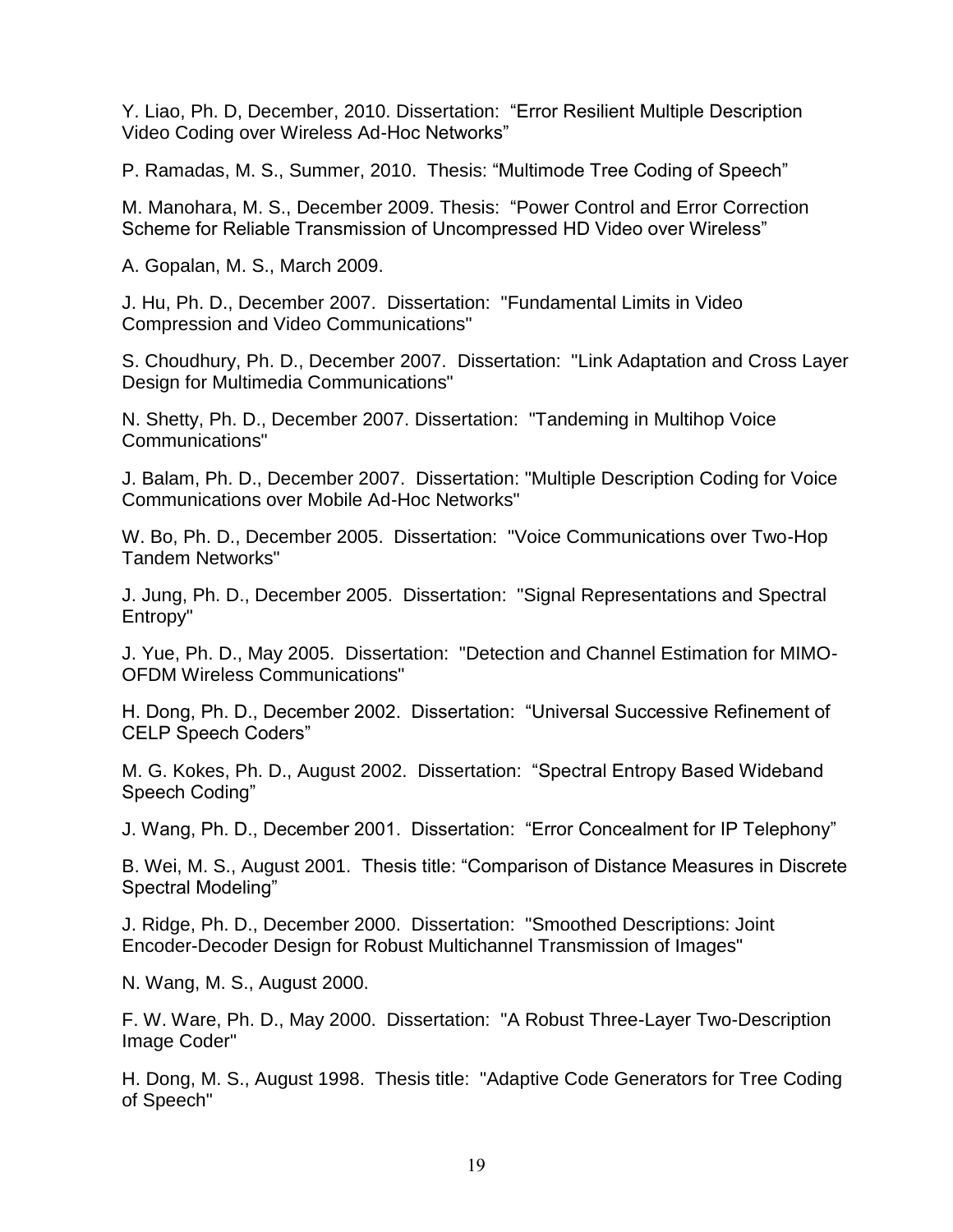Y. Liao, Ph. D, December, 2010. Dissertation: "Error Resilient Multiple Description Video Coding over Wireless Ad-Hoc Networks"

P. Ramadas, M. S., Summer, 2010. Thesis: "Multimode Tree Coding of Speech"

M. Manohara, M. S., December 2009. Thesis: "Power Control and Error Correction Scheme for Reliable Transmission of Uncompressed HD Video over Wireless"

A. Gopalan, M. S., March 2009.

J. Hu, Ph. D., December 2007. Dissertation: "Fundamental Limits in Video Compression and Video Communications"

S. Choudhury, Ph. D., December 2007. Dissertation: "Link Adaptation and Cross Layer Design for Multimedia Communications"

N. Shetty, Ph. D., December 2007. Dissertation: "Tandeming in Multihop Voice Communications"

J. Balam, Ph. D., December 2007. Dissertation: "Multiple Description Coding for Voice Communications over Mobile Ad-Hoc Networks"

W. Bo, Ph. D., December 2005. Dissertation: "Voice Communications over Two-Hop Tandem Networks"

J. Jung, Ph. D., December 2005. Dissertation: "Signal Representations and Spectral Entropy"

J. Yue, Ph. D., May 2005. Dissertation: "Detection and Channel Estimation for MIMO-OFDM Wireless Communications"

H. Dong, Ph. D., December 2002. Dissertation: "Universal Successive Refinement of CELP Speech Coders"

M. G. Kokes, Ph. D., August 2002. Dissertation: "Spectral Entropy Based Wideband Speech Coding"

J. Wang, Ph. D., December 2001. Dissertation: "Error Concealment for IP Telephony"

B. Wei, M. S., August 2001. Thesis title: "Comparison of Distance Measures in Discrete Spectral Modeling"

J. Ridge, Ph. D., December 2000. Dissertation: "Smoothed Descriptions: Joint Encoder-Decoder Design for Robust Multichannel Transmission of Images"

N. Wang, M. S., August 2000.

F. W. Ware, Ph. D., May 2000. Dissertation: "A Robust Three-Layer Two-Description Image Coder"

H. Dong, M. S., August 1998. Thesis title: "Adaptive Code Generators for Tree Coding of Speech"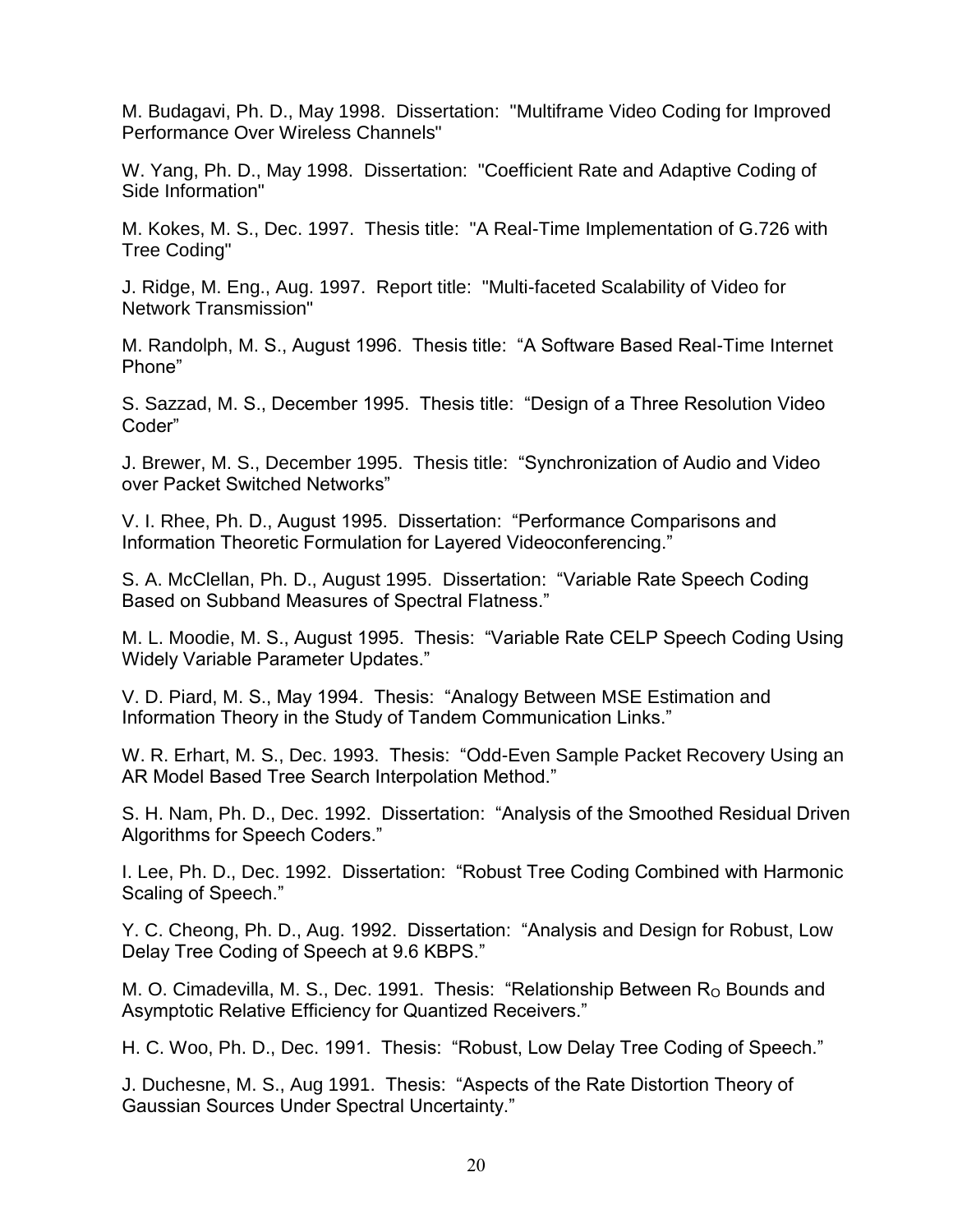M. Budagavi, Ph. D., May 1998. Dissertation: "Multiframe Video Coding for Improved Performance Over Wireless Channels"

W. Yang, Ph. D., May 1998. Dissertation: "Coefficient Rate and Adaptive Coding of Side Information"

M. Kokes, M. S., Dec. 1997. Thesis title: "A Real-Time Implementation of G.726 with Tree Coding"

J. Ridge, M. Eng., Aug. 1997. Report title: "Multi-faceted Scalability of Video for Network Transmission"

M. Randolph, M. S., August 1996. Thesis title: "A Software Based Real-Time Internet Phone"

S. Sazzad, M. S., December 1995. Thesis title: "Design of a Three Resolution Video Coder"

J. Brewer, M. S., December 1995. Thesis title: "Synchronization of Audio and Video over Packet Switched Networks"

V. I. Rhee, Ph. D., August 1995. Dissertation: "Performance Comparisons and Information Theoretic Formulation for Layered Videoconferencing."

S. A. McClellan, Ph. D., August 1995. Dissertation: "Variable Rate Speech Coding Based on Subband Measures of Spectral Flatness."

M. L. Moodie, M. S., August 1995. Thesis: "Variable Rate CELP Speech Coding Using Widely Variable Parameter Updates."

V. D. Piard, M. S., May 1994. Thesis: "Analogy Between MSE Estimation and Information Theory in the Study of Tandem Communication Links."

W. R. Erhart, M. S., Dec. 1993. Thesis: "Odd-Even Sample Packet Recovery Using an AR Model Based Tree Search Interpolation Method."

S. H. Nam, Ph. D., Dec. 1992. Dissertation: "Analysis of the Smoothed Residual Driven Algorithms for Speech Coders."

I. Lee, Ph. D., Dec. 1992. Dissertation: "Robust Tree Coding Combined with Harmonic Scaling of Speech."

Y. C. Cheong, Ph. D., Aug. 1992. Dissertation: "Analysis and Design for Robust, Low Delay Tree Coding of Speech at 9.6 KBPS."

M. O. Cimadevilla, M. S., Dec. 1991. Thesis: "Relationship Between  $R_0$  Bounds and Asymptotic Relative Efficiency for Quantized Receivers."

H. C. Woo, Ph. D., Dec. 1991. Thesis: "Robust, Low Delay Tree Coding of Speech."

J. Duchesne, M. S., Aug 1991. Thesis: "Aspects of the Rate Distortion Theory of Gaussian Sources Under Spectral Uncertainty."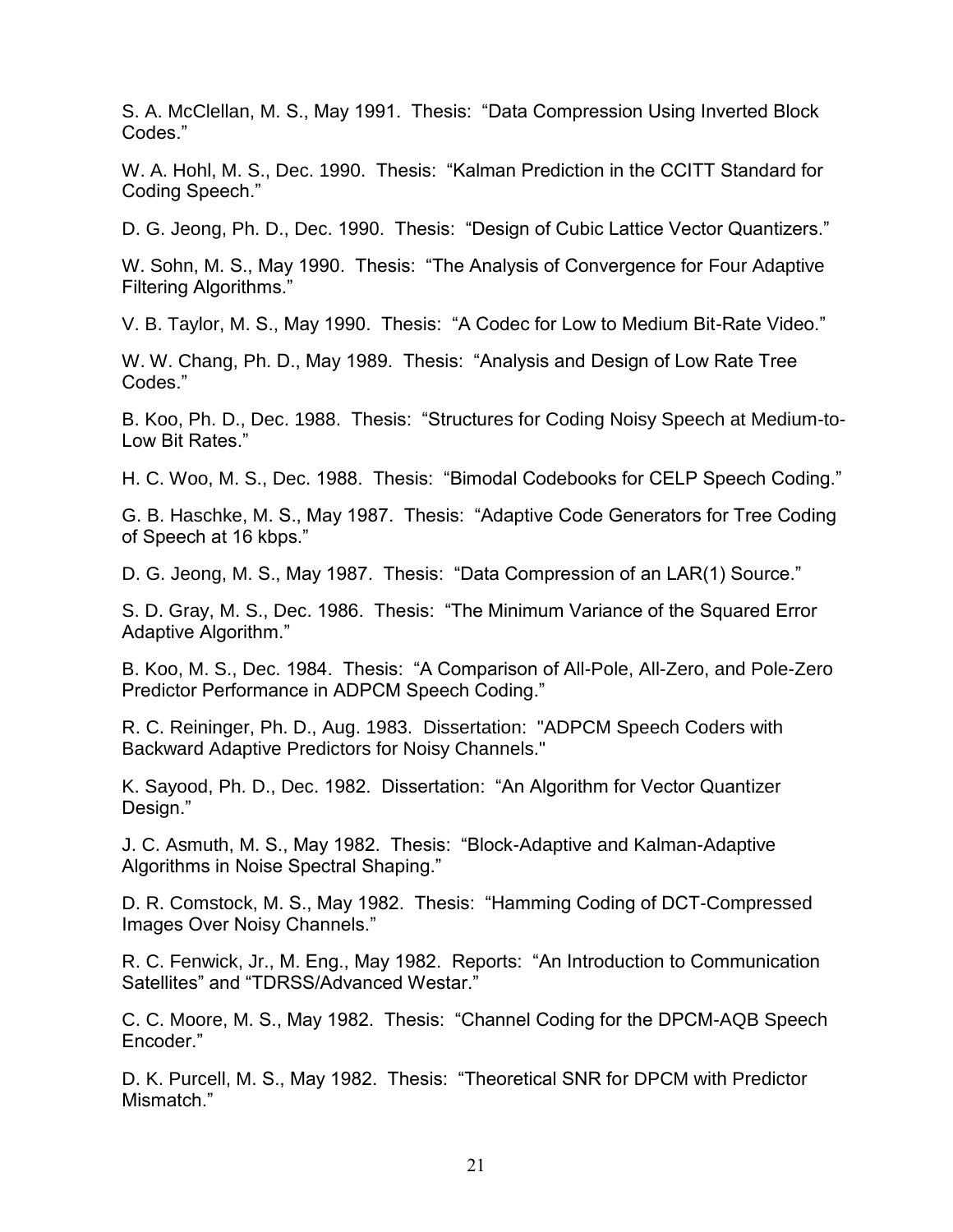S. A. McClellan, M. S., May 1991. Thesis: "Data Compression Using Inverted Block Codes."

W. A. Hohl, M. S., Dec. 1990. Thesis: "Kalman Prediction in the CCITT Standard for Coding Speech."

D. G. Jeong, Ph. D., Dec. 1990. Thesis: "Design of Cubic Lattice Vector Quantizers."

W. Sohn, M. S., May 1990. Thesis: "The Analysis of Convergence for Four Adaptive Filtering Algorithms."

V. B. Taylor, M. S., May 1990. Thesis: "A Codec for Low to Medium Bit-Rate Video."

W. W. Chang, Ph. D., May 1989. Thesis: "Analysis and Design of Low Rate Tree Codes."

B. Koo, Ph. D., Dec. 1988. Thesis: "Structures for Coding Noisy Speech at Medium-to-Low Bit Rates."

H. C. Woo, M. S., Dec. 1988. Thesis: "Bimodal Codebooks for CELP Speech Coding."

G. B. Haschke, M. S., May 1987. Thesis: "Adaptive Code Generators for Tree Coding of Speech at 16 kbps."

D. G. Jeong, M. S., May 1987. Thesis: "Data Compression of an LAR(1) Source."

S. D. Gray, M. S., Dec. 1986. Thesis: "The Minimum Variance of the Squared Error Adaptive Algorithm."

B. Koo, M. S., Dec. 1984. Thesis: "A Comparison of All-Pole, All-Zero, and Pole-Zero Predictor Performance in ADPCM Speech Coding."

R. C. Reininger, Ph. D., Aug. 1983. Dissertation: "ADPCM Speech Coders with Backward Adaptive Predictors for Noisy Channels."

K. Sayood, Ph. D., Dec. 1982. Dissertation: "An Algorithm for Vector Quantizer Design."

J. C. Asmuth, M. S., May 1982. Thesis: "Block-Adaptive and Kalman-Adaptive Algorithms in Noise Spectral Shaping."

D. R. Comstock, M. S., May 1982. Thesis: "Hamming Coding of DCT-Compressed Images Over Noisy Channels."

R. C. Fenwick, Jr., M. Eng., May 1982. Reports: "An Introduction to Communication Satellites" and "TDRSS/Advanced Westar."

C. C. Moore, M. S., May 1982. Thesis: "Channel Coding for the DPCM-AQB Speech Encoder."

D. K. Purcell, M. S., May 1982. Thesis: "Theoretical SNR for DPCM with Predictor Mismatch<sup>"</sup>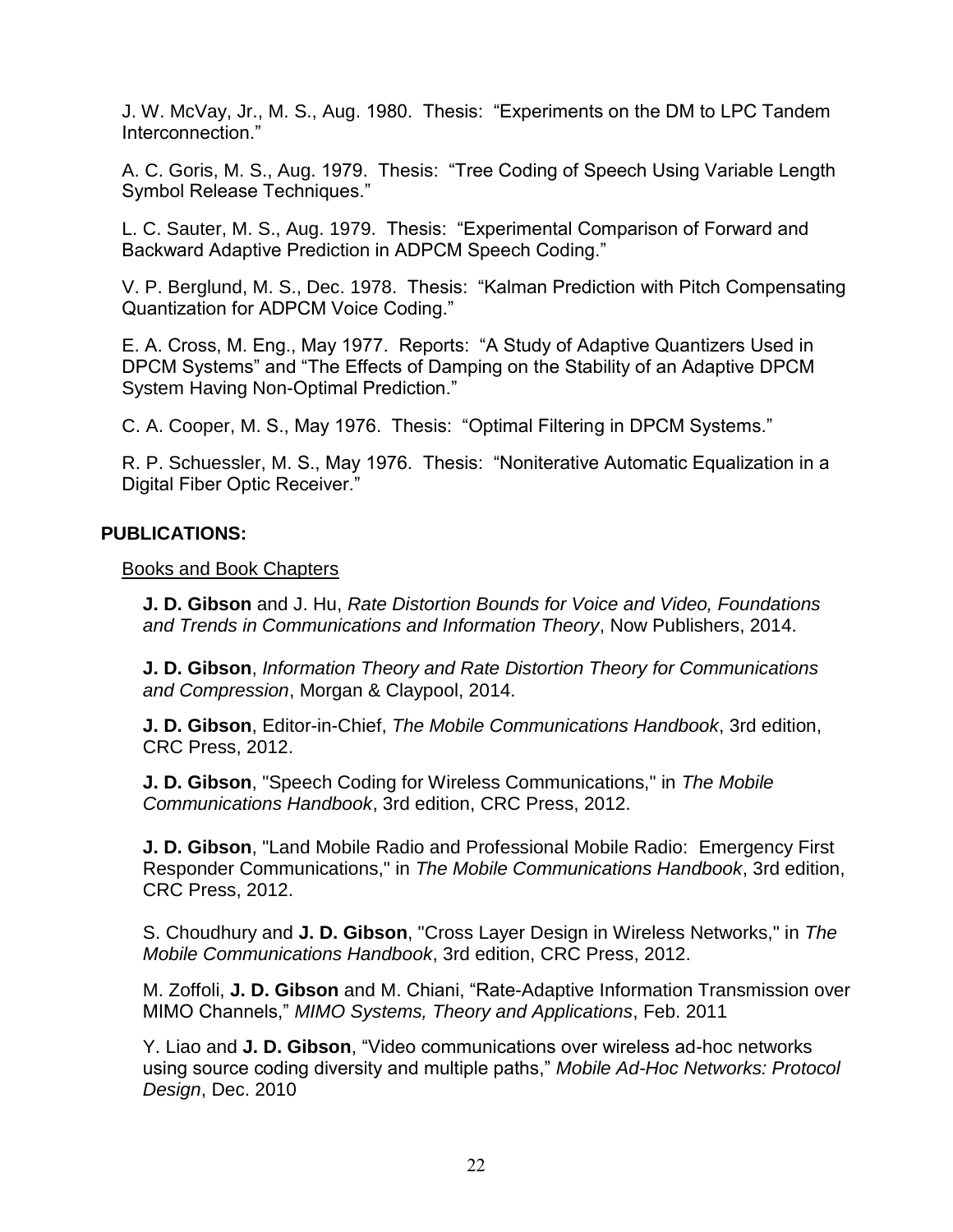J. W. McVay, Jr., M. S., Aug. 1980. Thesis: "Experiments on the DM to LPC Tandem Interconnection."

A. C. Goris, M. S., Aug. 1979. Thesis: "Tree Coding of Speech Using Variable Length Symbol Release Techniques."

L. C. Sauter, M. S., Aug. 1979. Thesis: "Experimental Comparison of Forward and Backward Adaptive Prediction in ADPCM Speech Coding."

V. P. Berglund, M. S., Dec. 1978. Thesis: "Kalman Prediction with Pitch Compensating Quantization for ADPCM Voice Coding."

E. A. Cross, M. Eng., May 1977. Reports: "A Study of Adaptive Quantizers Used in DPCM Systems" and "The Effects of Damping on the Stability of an Adaptive DPCM System Having Non-Optimal Prediction."

C. A. Cooper, M. S., May 1976. Thesis: "Optimal Filtering in DPCM Systems."

R. P. Schuessler, M. S., May 1976. Thesis: "Noniterative Automatic Equalization in a Digital Fiber Optic Receiver."

#### **PUBLICATIONS:**

Books and Book Chapters

**J. D. Gibson** and J. Hu, *Rate Distortion Bounds for Voice and Video, Foundations and Trends in Communications and Information Theory*, Now Publishers, 2014.

**J. D. Gibson**, *Information Theory and Rate Distortion Theory for Communications and Compression*, Morgan & Claypool, 2014.

**J. D. Gibson**, Editor-in-Chief, *The Mobile Communications Handbook*, 3rd edition, CRC Press, 2012.

**J. D. Gibson**, "Speech Coding for Wireless Communications," in *The Mobile Communications Handbook*, 3rd edition, CRC Press, 2012.

**J. D. Gibson**, "Land Mobile Radio and Professional Mobile Radio: Emergency First Responder Communications," in *The Mobile Communications Handbook*, 3rd edition, CRC Press, 2012.

S. Choudhury and **J. D. Gibson**, "Cross Layer Design in Wireless Networks," in *The Mobile Communications Handbook*, 3rd edition, CRC Press, 2012.

M. Zoffoli, **J. D. Gibson** and M. Chiani, "Rate-Adaptive Information Transmission over MIMO Channels," *MIMO Systems, Theory and Applications*, Feb. 2011

Y. Liao and **J. D. Gibson**, "Video communications over wireless ad-hoc networks using source coding diversity and multiple paths," *Mobile Ad-Hoc Networks: Protocol Design*, Dec. 2010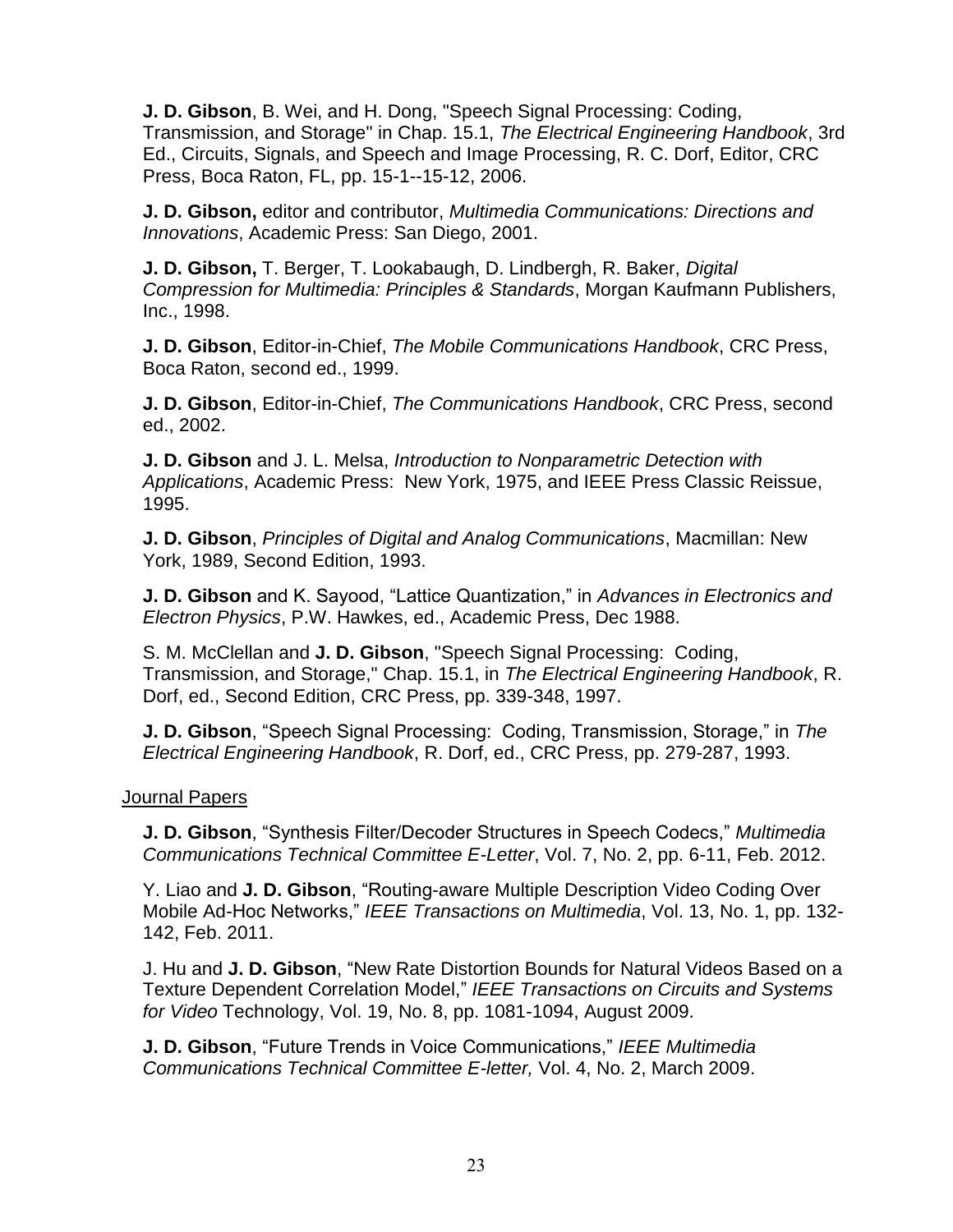**J. D. Gibson**, B. Wei, and H. Dong, "Speech Signal Processing: Coding, Transmission, and Storage" in Chap. 15.1, *The Electrical Engineering Handbook*, 3rd Ed., Circuits, Signals, and Speech and Image Processing, R. C. Dorf, Editor, CRC Press, Boca Raton, FL, pp. 15-1--15-12, 2006.

**J. D. Gibson,** editor and contributor, *Multimedia Communications: Directions and Innovations*, Academic Press: San Diego, 2001.

**J. D. Gibson,** T. Berger, T. Lookabaugh, D. Lindbergh, R. Baker, *Digital Compression for Multimedia: Principles & Standards*, Morgan Kaufmann Publishers, Inc., 1998.

**J. D. Gibson**, Editor-in-Chief, *The Mobile Communications Handbook*, CRC Press, Boca Raton, second ed., 1999.

**J. D. Gibson**, Editor-in-Chief, *The Communications Handbook*, CRC Press, second ed., 2002.

**J. D. Gibson** and J. L. Melsa, *Introduction to Nonparametric Detection with Applications*, Academic Press: New York, 1975, and IEEE Press Classic Reissue, 1995.

**J. D. Gibson**, *Principles of Digital and Analog Communications*, Macmillan: New York, 1989, Second Edition, 1993.

**J. D. Gibson** and K. Sayood, "Lattice Quantization," in *Advances in Electronics and Electron Physics*, P.W. Hawkes, ed., Academic Press, Dec 1988.

S. M. McClellan and **J. D. Gibson**, "Speech Signal Processing: Coding, Transmission, and Storage," Chap. 15.1, in *The Electrical Engineering Handbook*, R. Dorf, ed., Second Edition, CRC Press, pp. 339-348, 1997.

**J. D. Gibson**, "Speech Signal Processing: Coding, Transmission, Storage," in *The Electrical Engineering Handbook*, R. Dorf, ed., CRC Press, pp. 279-287, 1993.

#### Journal Papers

**J. D. Gibson**, "Synthesis Filter/Decoder Structures in Speech Codecs," *Multimedia Communications Technical Committee E-Letter*, Vol. 7, No. 2, pp. 6-11, Feb. 2012.

Y. Liao and **J. D. Gibson**, "Routing-aware Multiple Description Video Coding Over Mobile Ad-Hoc Networks," *IEEE Transactions on Multimedia*, Vol. 13, No. 1, pp. 132- 142, Feb. 2011.

J. Hu and **J. D. Gibson**, "New Rate Distortion Bounds for Natural Videos Based on a Texture Dependent Correlation Model," *IEEE Transactions on Circuits and Systems for Video* Technology, Vol. 19, No. 8, pp. 1081-1094, August 2009.

**J. D. Gibson**, "Future Trends in Voice Communications," *IEEE Multimedia Communications Technical Committee E-letter,* Vol. 4, No. 2, March 2009.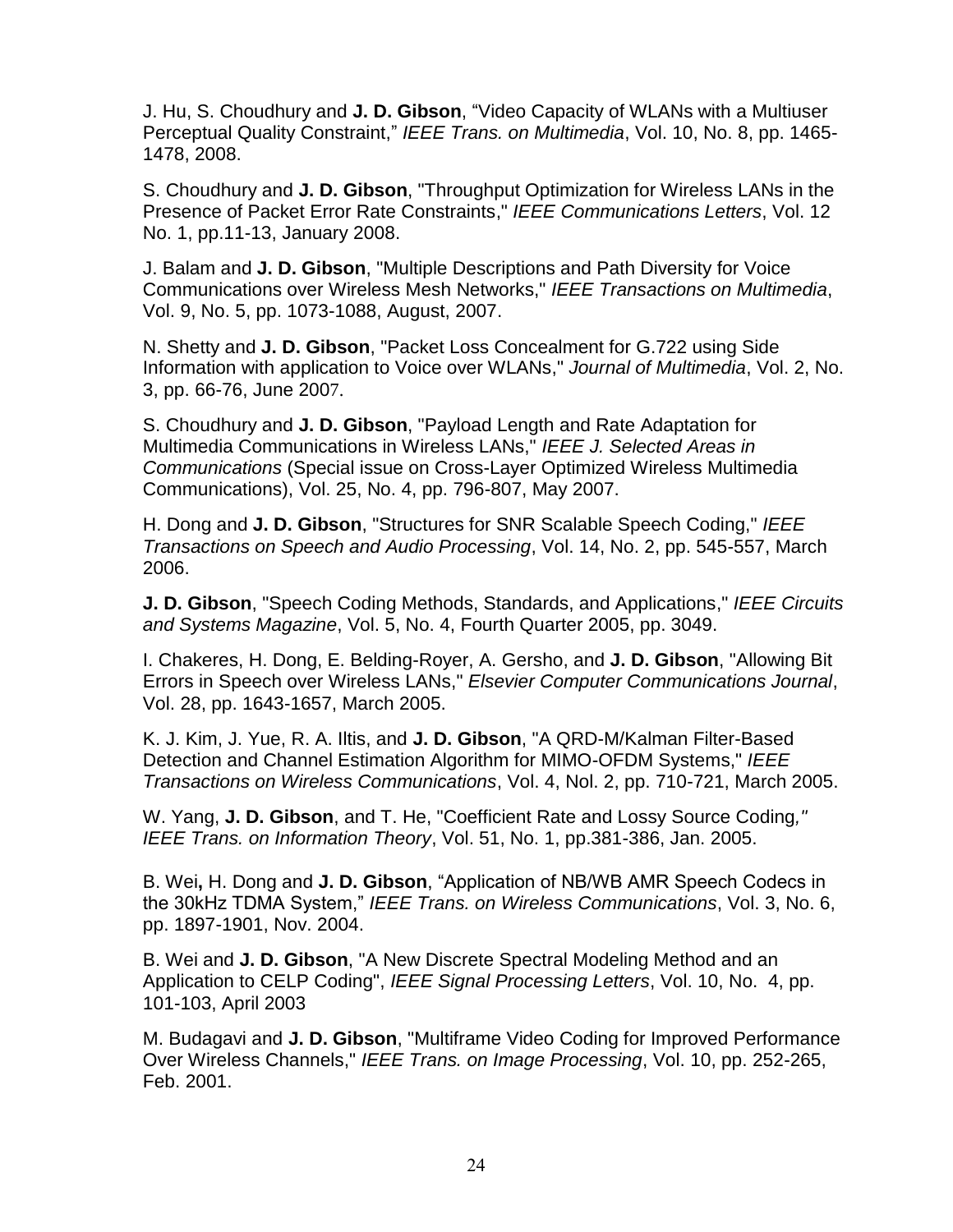J. Hu, S. Choudhury and **J. D. Gibson**, "Video Capacity of WLANs with a Multiuser Perceptual Quality Constraint," *IEEE Trans. on Multimedia*, Vol. 10, No. 8, pp. 1465- 1478, 2008.

S. Choudhury and **J. D. Gibson**, "Throughput Optimization for Wireless LANs in the Presence of Packet Error Rate Constraints," *IEEE Communications Letters*, Vol. 12 No. 1, pp.11-13, January 2008.

J. Balam and **J. D. Gibson**, "Multiple Descriptions and Path Diversity for Voice Communications over Wireless Mesh Networks," *IEEE Transactions on Multimedia*, Vol. 9, No. 5, pp. 1073-1088, August, 2007.

N. Shetty and **J. D. Gibson**, "Packet Loss Concealment for G.722 using Side Information with application to Voice over WLANs," *Journal of Multimedia*, Vol. 2, No. 3, pp. 66-76, June 2007.

S. Choudhury and **J. D. Gibson**, "Payload Length and Rate Adaptation for Multimedia Communications in Wireless LANs," *IEEE J. Selected Areas in Communications* (Special issue on Cross-Layer Optimized Wireless Multimedia Communications), Vol. 25, No. 4, pp. 796-807, May 2007.

H. Dong and **J. D. Gibson**, "Structures for SNR Scalable Speech Coding," *IEEE Transactions on Speech and Audio Processing*, Vol. 14, No. 2, pp. 545-557, March 2006.

**J. D. Gibson**, "Speech Coding Methods, Standards, and Applications," *IEEE Circuits and Systems Magazine*, Vol. 5, No. 4, Fourth Quarter 2005, pp. 3049.

I. Chakeres, H. Dong, E. Belding-Royer, A. Gersho, and **J. D. Gibson**, "Allowing Bit Errors in Speech over Wireless LANs," *Elsevier Computer Communications Journal*, Vol. 28, pp. 1643-1657, March 2005.

K. J. Kim, J. Yue, R. A. Iltis, and **J. D. Gibson**, "A QRD-M/Kalman Filter-Based Detection and Channel Estimation Algorithm for MIMO-OFDM Systems," *IEEE Transactions on Wireless Communications*, Vol. 4, Nol. 2, pp. 710-721, March 2005.

W. Yang, **J. D. Gibson**, and T. He, "Coefficient Rate and Lossy Source Coding*," IEEE Trans. on Information Theory*, Vol. 51, No. 1, pp.381-386, Jan. 2005.

B. Wei**,** H. Dong and **J. D. Gibson**, "Application of NB/WB AMR Speech Codecs in the 30kHz TDMA System," *IEEE Trans. on Wireless Communications*, Vol. 3, No. 6, pp. 1897-1901, Nov. 2004.

B. Wei and **J. D. Gibson**, "A New Discrete Spectral Modeling Method and an Application to CELP Coding", *IEEE Signal Processing Letters*, Vol. 10, No. 4, pp. 101-103, April 2003

M. Budagavi and **J. D. Gibson**, "Multiframe Video Coding for Improved Performance Over Wireless Channels," *IEEE Trans. on Image Processing*, Vol. 10, pp. 252-265, Feb. 2001.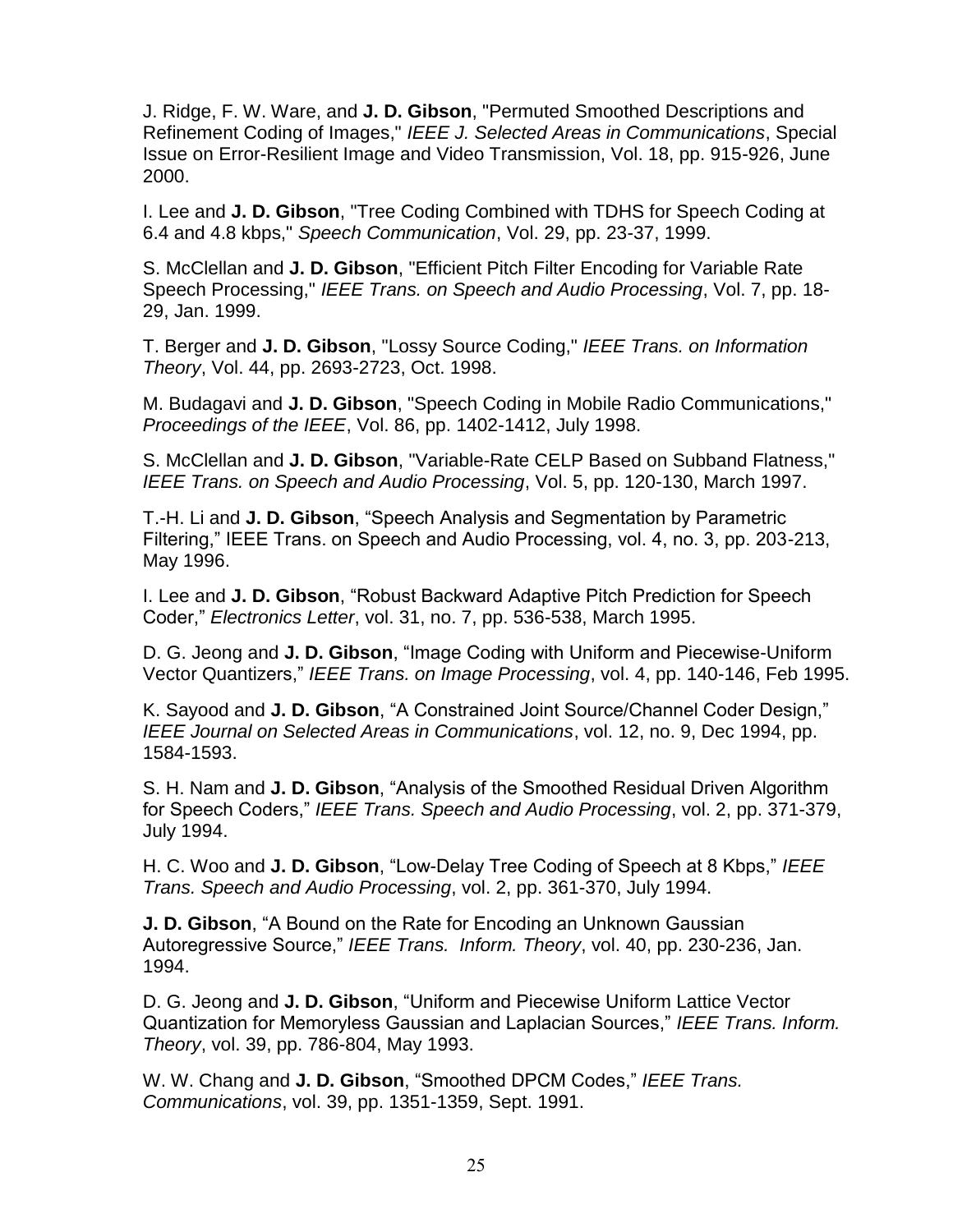J. Ridge, F. W. Ware, and **J. D. Gibson**, "Permuted Smoothed Descriptions and Refinement Coding of Images," *IEEE J. Selected Areas in Communications*, Special Issue on Error-Resilient Image and Video Transmission, Vol. 18, pp. 915-926, June 2000.

I. Lee and **J. D. Gibson**, "Tree Coding Combined with TDHS for Speech Coding at 6.4 and 4.8 kbps," *Speech Communication*, Vol. 29, pp. 23-37, 1999.

S. McClellan and **J. D. Gibson**, "Efficient Pitch Filter Encoding for Variable Rate Speech Processing," *IEEE Trans. on Speech and Audio Processing*, Vol. 7, pp. 18- 29, Jan. 1999.

T. Berger and **J. D. Gibson**, "Lossy Source Coding," *IEEE Trans. on Information Theory*, Vol. 44, pp. 2693-2723, Oct. 1998.

M. Budagavi and **J. D. Gibson**, "Speech Coding in Mobile Radio Communications," *Proceedings of the IEEE*, Vol. 86, pp. 1402-1412, July 1998.

S. McClellan and **J. D. Gibson**, "Variable-Rate CELP Based on Subband Flatness," *IEEE Trans. on Speech and Audio Processing*, Vol. 5, pp. 120-130, March 1997.

T.-H. Li and **J. D. Gibson**, "Speech Analysis and Segmentation by Parametric Filtering," IEEE Trans. on Speech and Audio Processing, vol. 4, no. 3, pp. 203-213, May 1996.

I. Lee and **J. D. Gibson**, "Robust Backward Adaptive Pitch Prediction for Speech Coder," *Electronics Letter*, vol. 31, no. 7, pp. 536-538, March 1995.

D. G. Jeong and **J. D. Gibson**, "Image Coding with Uniform and Piecewise-Uniform Vector Quantizers," *IEEE Trans. on Image Processing*, vol. 4, pp. 140-146, Feb 1995.

K. Sayood and **J. D. Gibson**, "A Constrained Joint Source/Channel Coder Design," *IEEE Journal on Selected Areas in Communications*, vol. 12, no. 9, Dec 1994, pp. 1584-1593.

S. H. Nam and **J. D. Gibson**, "Analysis of the Smoothed Residual Driven Algorithm for Speech Coders," *IEEE Trans. Speech and Audio Processing*, vol. 2, pp. 371-379, July 1994.

H. C. Woo and **J. D. Gibson**, "Low-Delay Tree Coding of Speech at 8 Kbps," *IEEE Trans. Speech and Audio Processing*, vol. 2, pp. 361-370, July 1994.

**J. D. Gibson**, "A Bound on the Rate for Encoding an Unknown Gaussian Autoregressive Source," *IEEE Trans. Inform. Theory*, vol. 40, pp. 230-236, Jan. 1994.

D. G. Jeong and **J. D. Gibson**, "Uniform and Piecewise Uniform Lattice Vector Quantization for Memoryless Gaussian and Laplacian Sources," *IEEE Trans. Inform. Theory*, vol. 39, pp. 786-804, May 1993.

W. W. Chang and **J. D. Gibson**, "Smoothed DPCM Codes," *IEEE Trans. Communications*, vol. 39, pp. 1351-1359, Sept. 1991.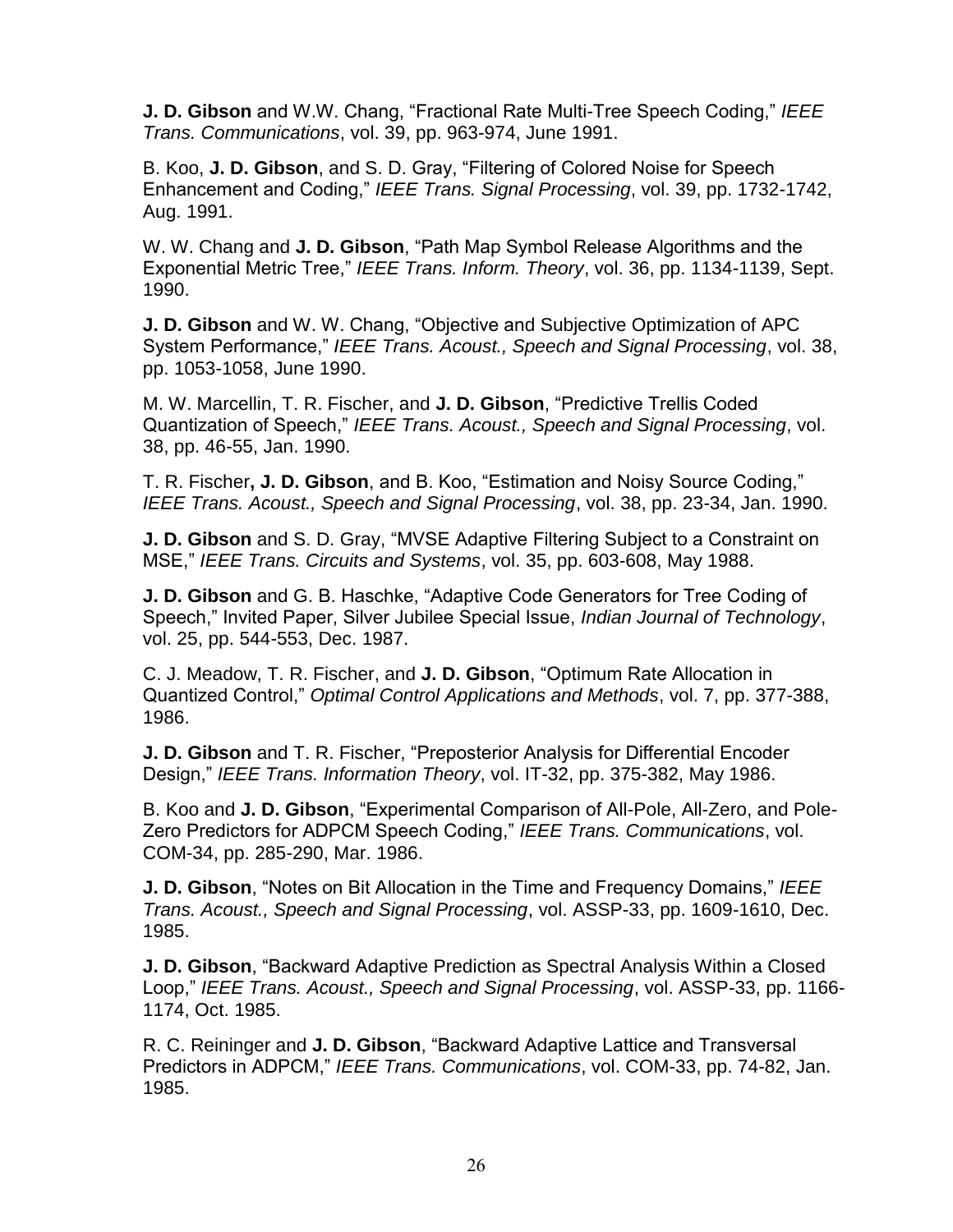**J. D. Gibson** and W.W. Chang, "Fractional Rate Multi-Tree Speech Coding," *IEEE Trans. Communications*, vol. 39, pp. 963-974, June 1991.

B. Koo, **J. D. Gibson**, and S. D. Gray, "Filtering of Colored Noise for Speech Enhancement and Coding," *IEEE Trans. Signal Processing*, vol. 39, pp. 1732-1742, Aug. 1991.

W. W. Chang and **J. D. Gibson**, "Path Map Symbol Release Algorithms and the Exponential Metric Tree," *IEEE Trans. Inform. Theory*, vol. 36, pp. 1134-1139, Sept. 1990.

**J. D. Gibson** and W. W. Chang, "Objective and Subjective Optimization of APC System Performance," *IEEE Trans. Acoust., Speech and Signal Processing*, vol. 38, pp. 1053-1058, June 1990.

M. W. Marcellin, T. R. Fischer, and **J. D. Gibson**, "Predictive Trellis Coded Quantization of Speech," *IEEE Trans. Acoust., Speech and Signal Processing*, vol. 38, pp. 46-55, Jan. 1990.

T. R. Fischer**, J. D. Gibson**, and B. Koo, "Estimation and Noisy Source Coding," *IEEE Trans. Acoust., Speech and Signal Processing*, vol. 38, pp. 23-34, Jan. 1990.

**J. D. Gibson** and S. D. Gray, "MVSE Adaptive Filtering Subject to a Constraint on MSE," *IEEE Trans. Circuits and Systems*, vol. 35, pp. 603-608, May 1988.

**J. D. Gibson** and G. B. Haschke, "Adaptive Code Generators for Tree Coding of Speech," Invited Paper, Silver Jubilee Special Issue, *Indian Journal of Technology*, vol. 25, pp. 544-553, Dec. 1987.

C. J. Meadow, T. R. Fischer, and **J. D. Gibson**, "Optimum Rate Allocation in Quantized Control," *Optimal Control Applications and Methods*, vol. 7, pp. 377-388, 1986.

**J. D. Gibson** and T. R. Fischer, "Preposterior Analysis for Differential Encoder Design," *IEEE Trans. Information Theory*, vol. IT-32, pp. 375-382, May 1986.

B. Koo and **J. D. Gibson**, "Experimental Comparison of All-Pole, All-Zero, and Pole-Zero Predictors for ADPCM Speech Coding," *IEEE Trans. Communications*, vol. COM-34, pp. 285-290, Mar. 1986.

**J. D. Gibson**, "Notes on Bit Allocation in the Time and Frequency Domains," *IEEE Trans. Acoust., Speech and Signal Processing*, vol. ASSP-33, pp. 1609-1610, Dec. 1985.

**J. D. Gibson**, "Backward Adaptive Prediction as Spectral Analysis Within a Closed Loop," *IEEE Trans. Acoust., Speech and Signal Processing*, vol. ASSP-33, pp. 1166- 1174, Oct. 1985.

R. C. Reininger and **J. D. Gibson**, "Backward Adaptive Lattice and Transversal Predictors in ADPCM," *IEEE Trans. Communications*, vol. COM-33, pp. 74-82, Jan. 1985.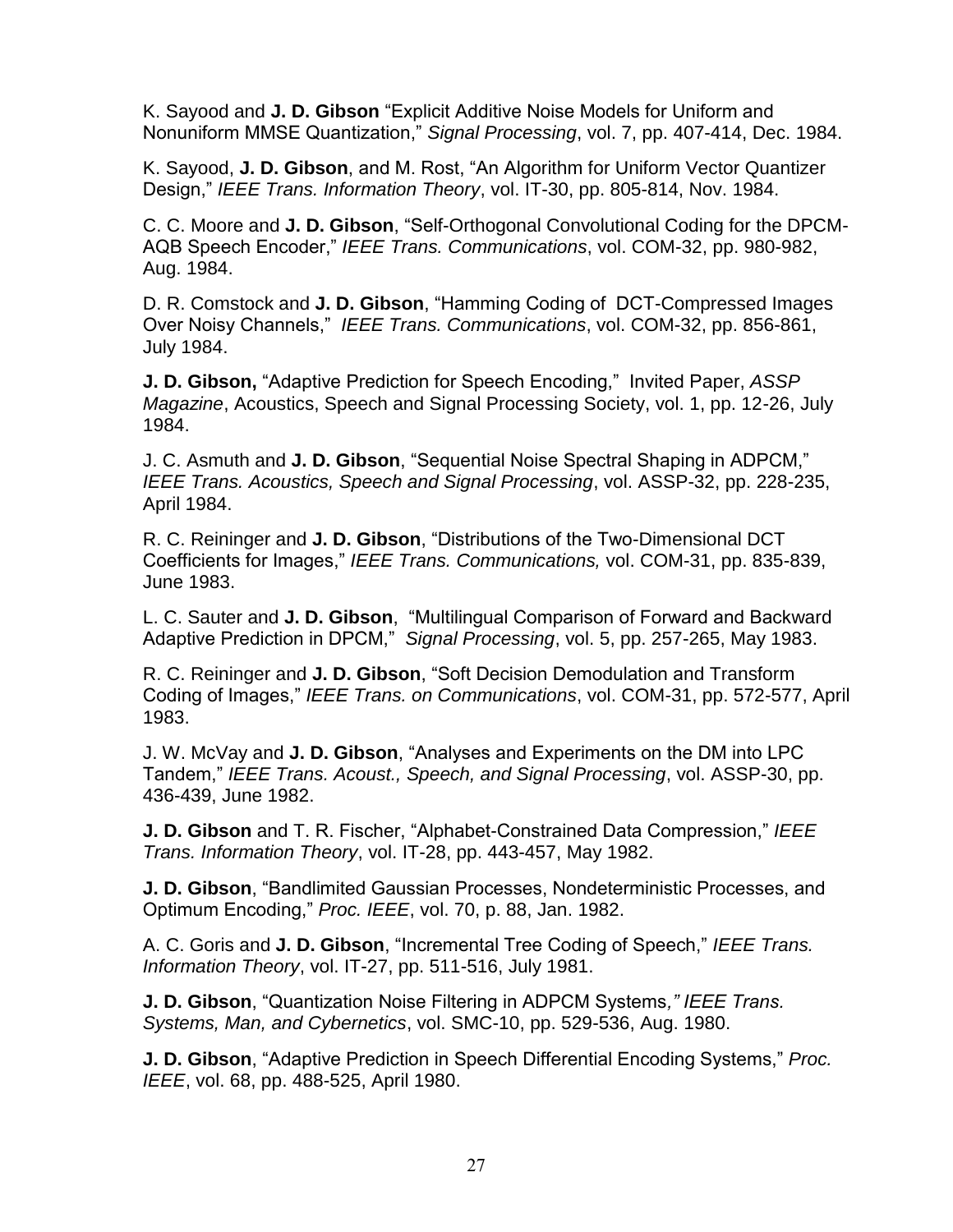K. Sayood and **J. D. Gibson** "Explicit Additive Noise Models for Uniform and Nonuniform MMSE Quantization," *Signal Processing*, vol. 7, pp. 407-414, Dec. 1984.

K. Sayood, **J. D. Gibson**, and M. Rost, "An Algorithm for Uniform Vector Quantizer Design," *IEEE Trans. Information Theory*, vol. IT-30, pp. 805-814, Nov. 1984.

C. C. Moore and **J. D. Gibson**, "Self-Orthogonal Convolutional Coding for the DPCM-AQB Speech Encoder," *IEEE Trans. Communications*, vol. COM-32, pp. 980-982, Aug. 1984.

D. R. Comstock and **J. D. Gibson**, "Hamming Coding of DCT-Compressed Images Over Noisy Channels," *IEEE Trans. Communications*, vol. COM-32, pp. 856-861, July 1984.

**J. D. Gibson,** "Adaptive Prediction for Speech Encoding," Invited Paper, *ASSP Magazine*, Acoustics, Speech and Signal Processing Society, vol. 1, pp. 12-26, July 1984.

J. C. Asmuth and **J. D. Gibson**, "Sequential Noise Spectral Shaping in ADPCM," *IEEE Trans. Acoustics, Speech and Signal Processing*, vol. ASSP-32, pp. 228-235, April 1984.

R. C. Reininger and **J. D. Gibson**, "Distributions of the Two-Dimensional DCT Coefficients for Images," *IEEE Trans. Communications,* vol. COM-31, pp. 835-839, June 1983.

L. C. Sauter and **J. D. Gibson**, "Multilingual Comparison of Forward and Backward Adaptive Prediction in DPCM," *Signal Processing*, vol. 5, pp. 257-265, May 1983.

R. C. Reininger and **J. D. Gibson**, "Soft Decision Demodulation and Transform Coding of Images," *IEEE Trans. on Communications*, vol. COM-31, pp. 572-577, April 1983.

J. W. McVay and **J. D. Gibson**, "Analyses and Experiments on the DM into LPC Tandem," *IEEE Trans. Acoust., Speech, and Signal Processing*, vol. ASSP-30, pp. 436-439, June 1982.

**J. D. Gibson** and T. R. Fischer, "Alphabet-Constrained Data Compression," *IEEE Trans. Information Theory*, vol. IT-28, pp. 443-457, May 1982.

**J. D. Gibson**, "Bandlimited Gaussian Processes, Nondeterministic Processes, and Optimum Encoding," *Proc. IEEE*, vol. 70, p. 88, Jan. 1982.

A. C. Goris and **J. D. Gibson**, "Incremental Tree Coding of Speech," *IEEE Trans. Information Theory*, vol. IT-27, pp. 511-516, July 1981.

**J. D. Gibson**, "Quantization Noise Filtering in ADPCM Systems*," IEEE Trans. Systems, Man, and Cybernetics*, vol. SMC-10, pp. 529-536, Aug. 1980.

**J. D. Gibson**, "Adaptive Prediction in Speech Differential Encoding Systems," *Proc. IEEE*, vol. 68, pp. 488-525, April 1980.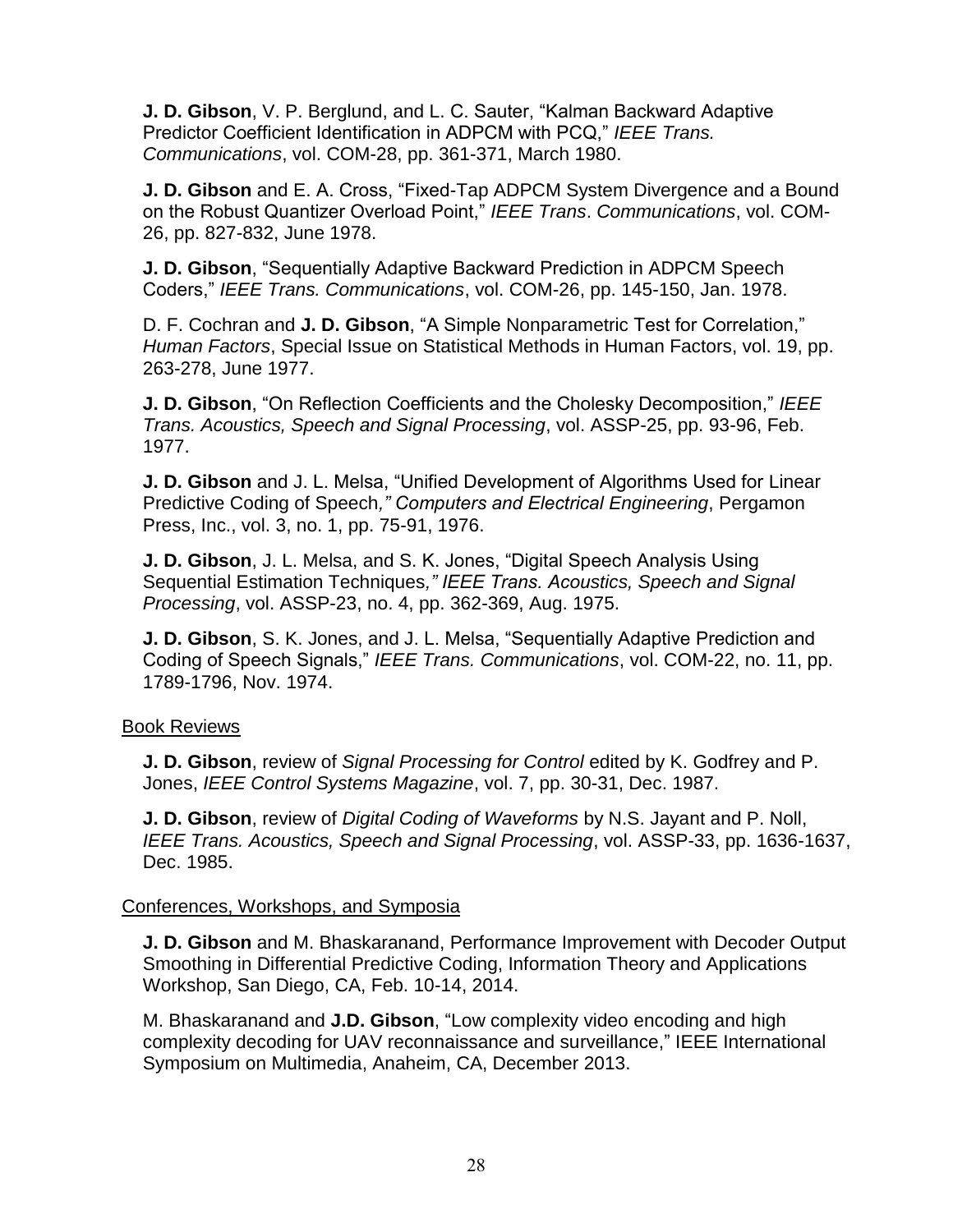**J. D. Gibson**, V. P. Berglund, and L. C. Sauter, "Kalman Backward Adaptive Predictor Coefficient Identification in ADPCM with PCQ," *IEEE Trans. Communications*, vol. COM-28, pp. 361-371, March 1980.

**J. D. Gibson** and E. A. Cross, "Fixed-Tap ADPCM System Divergence and a Bound on the Robust Quantizer Overload Point," *IEEE Trans*. *Communications*, vol. COM-26, pp. 827-832, June 1978.

**J. D. Gibson**, "Sequentially Adaptive Backward Prediction in ADPCM Speech Coders," *IEEE Trans. Communications*, vol. COM-26, pp. 145-150, Jan. 1978.

D. F. Cochran and **J. D. Gibson**, "A Simple Nonparametric Test for Correlation," *Human Factors*, Special Issue on Statistical Methods in Human Factors, vol. 19, pp. 263-278, June 1977.

**J. D. Gibson**, "On Reflection Coefficients and the Cholesky Decomposition," *IEEE Trans. Acoustics, Speech and Signal Processing*, vol. ASSP-25, pp. 93-96, Feb. 1977.

**J. D. Gibson** and J. L. Melsa, "Unified Development of Algorithms Used for Linear Predictive Coding of Speech*," Computers and Electrical Engineering*, Pergamon Press, Inc., vol. 3, no. 1, pp. 75-91, 1976.

**J. D. Gibson**, J. L. Melsa, and S. K. Jones, "Digital Speech Analysis Using Sequential Estimation Techniques*," IEEE Trans. Acoustics, Speech and Signal Processing*, vol. ASSP-23, no. 4, pp. 362-369, Aug. 1975.

**J. D. Gibson**, S. K. Jones, and J. L. Melsa, "Sequentially Adaptive Prediction and Coding of Speech Signals," *IEEE Trans. Communications*, vol. COM-22, no. 11, pp. 1789-1796, Nov. 1974.

## Book Reviews

**J. D. Gibson**, review of *Signal Processing for Control* edited by K. Godfrey and P. Jones, *IEEE Control Systems Magazine*, vol. 7, pp. 30-31, Dec. 1987.

**J. D. Gibson**, review of *Digital Coding of Waveforms* by N.S. Jayant and P. Noll, *IEEE Trans. Acoustics, Speech and Signal Processing*, vol. ASSP-33, pp. 1636-1637, Dec. 1985.

#### Conferences, Workshops, and Symposia

**J. D. Gibson** and M. Bhaskaranand, Performance Improvement with Decoder Output Smoothing in Differential Predictive Coding, Information Theory and Applications Workshop, San Diego, CA, Feb. 10-14, 2014.

M. Bhaskaranand and **J.D. Gibson**, "Low complexity video encoding and high complexity decoding for UAV reconnaissance and surveillance," IEEE International Symposium on Multimedia, Anaheim, CA, December 2013.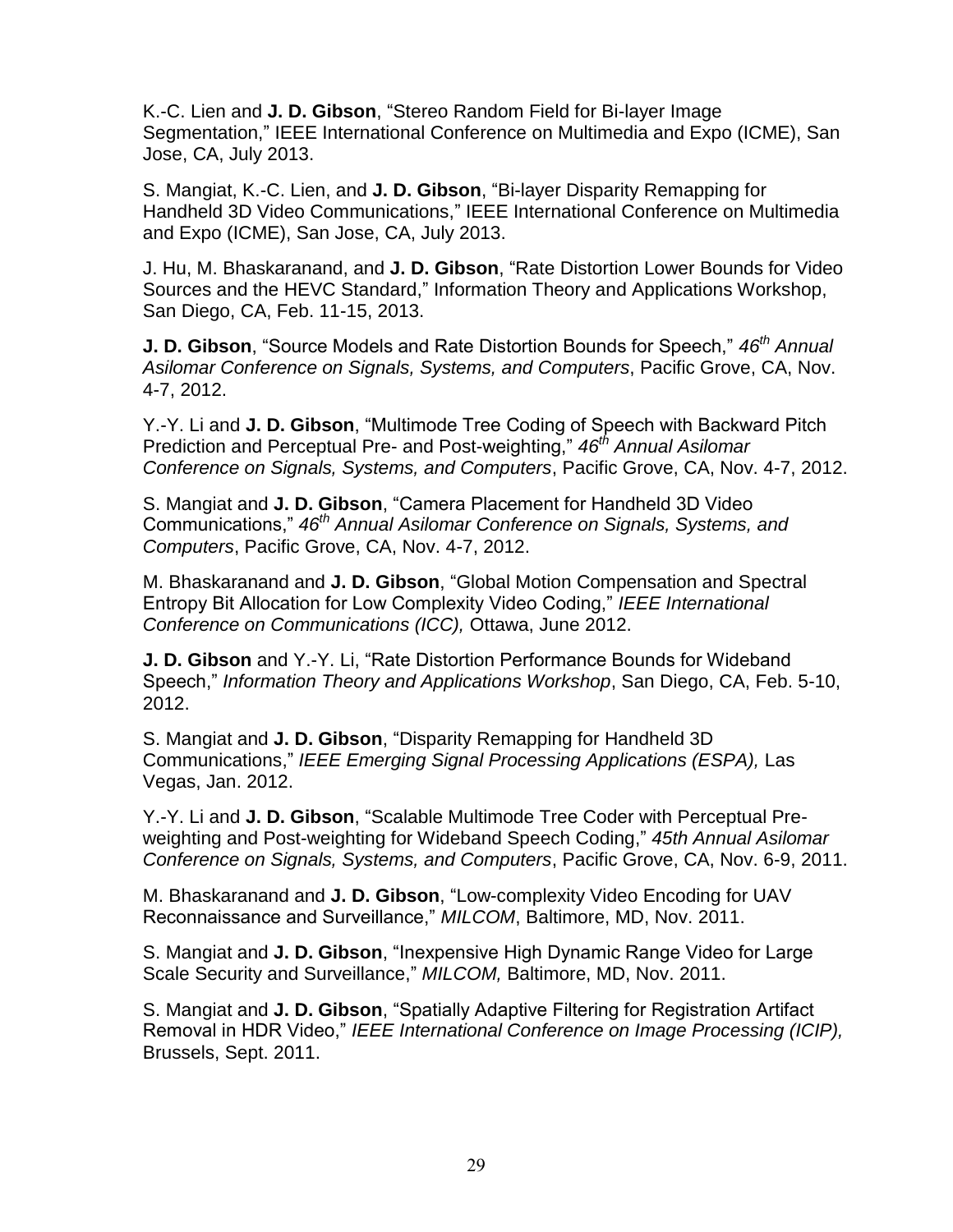K.-C. Lien and **J. D. Gibson**, "Stereo Random Field for Bi-layer Image Segmentation," IEEE International Conference on Multimedia and Expo (ICME), San Jose, CA, July 2013.

S. Mangiat, K.-C. Lien, and **J. D. Gibson**, "Bi-layer Disparity Remapping for Handheld 3D Video Communications," IEEE International Conference on Multimedia and Expo (ICME), San Jose, CA, July 2013.

J. Hu, M. Bhaskaranand, and **J. D. Gibson**, "Rate Distortion Lower Bounds for Video Sources and the HEVC Standard," Information Theory and Applications Workshop, San Diego, CA, Feb. 11-15, 2013.

**J. D. Gibson**, "Source Models and Rate Distortion Bounds for Speech," *46th Annual Asilomar Conference on Signals, Systems, and Computers*, Pacific Grove, CA, Nov. 4-7, 2012.

Y.-Y. Li and **J. D. Gibson**, "Multimode Tree Coding of Speech with Backward Pitch Prediction and Perceptual Pre- and Post-weighting," *46th Annual Asilomar Conference on Signals, Systems, and Computers*, Pacific Grove, CA, Nov. 4-7, 2012.

S. Mangiat and **J. D. Gibson**, "Camera Placement for Handheld 3D Video Communications," *46th Annual Asilomar Conference on Signals, Systems, and Computers*, Pacific Grove, CA, Nov. 4-7, 2012.

M. Bhaskaranand and **J. D. Gibson**, "Global Motion Compensation and Spectral Entropy Bit Allocation for Low Complexity Video Coding," *IEEE International Conference on Communications (ICC),* Ottawa, June 2012.

**J. D. Gibson** and Y.-Y. Li, "Rate Distortion Performance Bounds for Wideband Speech," *Information Theory and Applications Workshop*, San Diego, CA, Feb. 5-10, 2012.

S. Mangiat and **J. D. Gibson**, "Disparity Remapping for Handheld 3D Communications," *IEEE Emerging Signal Processing Applications (ESPA),* Las Vegas, Jan. 2012.

Y.-Y. Li and **J. D. Gibson**, "Scalable Multimode Tree Coder with Perceptual Preweighting and Post-weighting for Wideband Speech Coding," *45th Annual Asilomar Conference on Signals, Systems, and Computers*, Pacific Grove, CA, Nov. 6-9, 2011.

M. Bhaskaranand and **J. D. Gibson**, "Low-complexity Video Encoding for UAV Reconnaissance and Surveillance," *MILCOM*, Baltimore, MD, Nov. 2011.

S. Mangiat and **J. D. Gibson**, "Inexpensive High Dynamic Range Video for Large Scale Security and Surveillance," *MILCOM,* Baltimore, MD, Nov. 2011.

S. Mangiat and **J. D. Gibson**, "Spatially Adaptive Filtering for Registration Artifact Removal in HDR Video," *IEEE International Conference on Image Processing (ICIP),*  Brussels, Sept. 2011.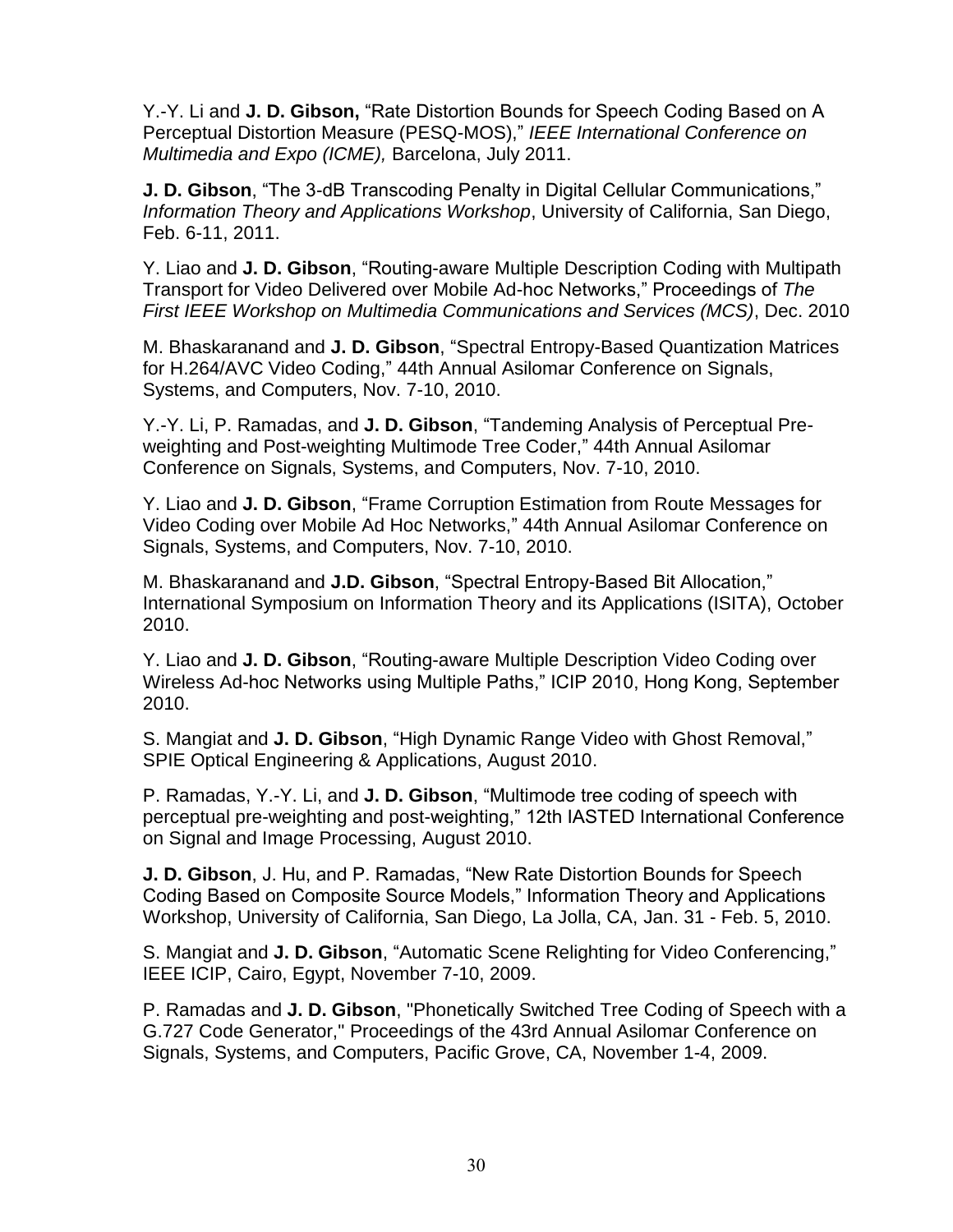Y.-Y. Li and **J. D. Gibson,** "Rate Distortion Bounds for Speech Coding Based on A Perceptual Distortion Measure (PESQ-MOS)," *IEEE International Conference on Multimedia and Expo (ICME),* Barcelona, July 2011.

**J. D. Gibson**, "The 3-dB Transcoding Penalty in Digital Cellular Communications," *Information Theory and Applications Workshop*, University of California, San Diego, Feb. 6-11, 2011.

Y. Liao and **J. D. Gibson**, "Routing-aware Multiple Description Coding with Multipath Transport for Video Delivered over Mobile Ad-hoc Networks," Proceedings of *The First IEEE Workshop on Multimedia Communications and Services (MCS)*, Dec. 2010

M. Bhaskaranand and **J. D. Gibson**, "Spectral Entropy-Based Quantization Matrices for H.264/AVC Video Coding," 44th Annual Asilomar Conference on Signals, Systems, and Computers, Nov. 7-10, 2010.

Y.-Y. Li, P. Ramadas, and **J. D. Gibson**, "Tandeming Analysis of Perceptual Preweighting and Post-weighting Multimode Tree Coder," 44th Annual Asilomar Conference on Signals, Systems, and Computers, Nov. 7-10, 2010.

Y. Liao and **J. D. Gibson**, "Frame Corruption Estimation from Route Messages for Video Coding over Mobile Ad Hoc Networks," 44th Annual Asilomar Conference on Signals, Systems, and Computers, Nov. 7-10, 2010.

M. Bhaskaranand and **J.D. Gibson**, "Spectral Entropy-Based Bit Allocation," International Symposium on Information Theory and its Applications (ISITA), October 2010.

Y. Liao and **J. D. Gibson**, "Routing-aware Multiple Description Video Coding over Wireless Ad-hoc Networks using Multiple Paths," ICIP 2010, Hong Kong, September 2010.

S. Mangiat and **J. D. Gibson**, "High Dynamic Range Video with Ghost Removal," SPIE Optical Engineering & Applications, August 2010.

P. Ramadas, Y.-Y. Li, and **J. D. Gibson**, "Multimode tree coding of speech with perceptual pre-weighting and post-weighting," 12th IASTED International Conference on Signal and Image Processing, August 2010.

**J. D. Gibson**, J. Hu, and P. Ramadas, "New Rate Distortion Bounds for Speech Coding Based on Composite Source Models," Information Theory and Applications Workshop, University of California, San Diego, La Jolla, CA, Jan. 31 - Feb. 5, 2010.

S. Mangiat and **J. D. Gibson**, "Automatic Scene Relighting for Video Conferencing," IEEE ICIP, Cairo, Egypt, November 7-10, 2009.

P. Ramadas and **J. D. Gibson**, "Phonetically Switched Tree Coding of Speech with a G.727 Code Generator," Proceedings of the 43rd Annual Asilomar Conference on Signals, Systems, and Computers, Pacific Grove, CA, November 1-4, 2009.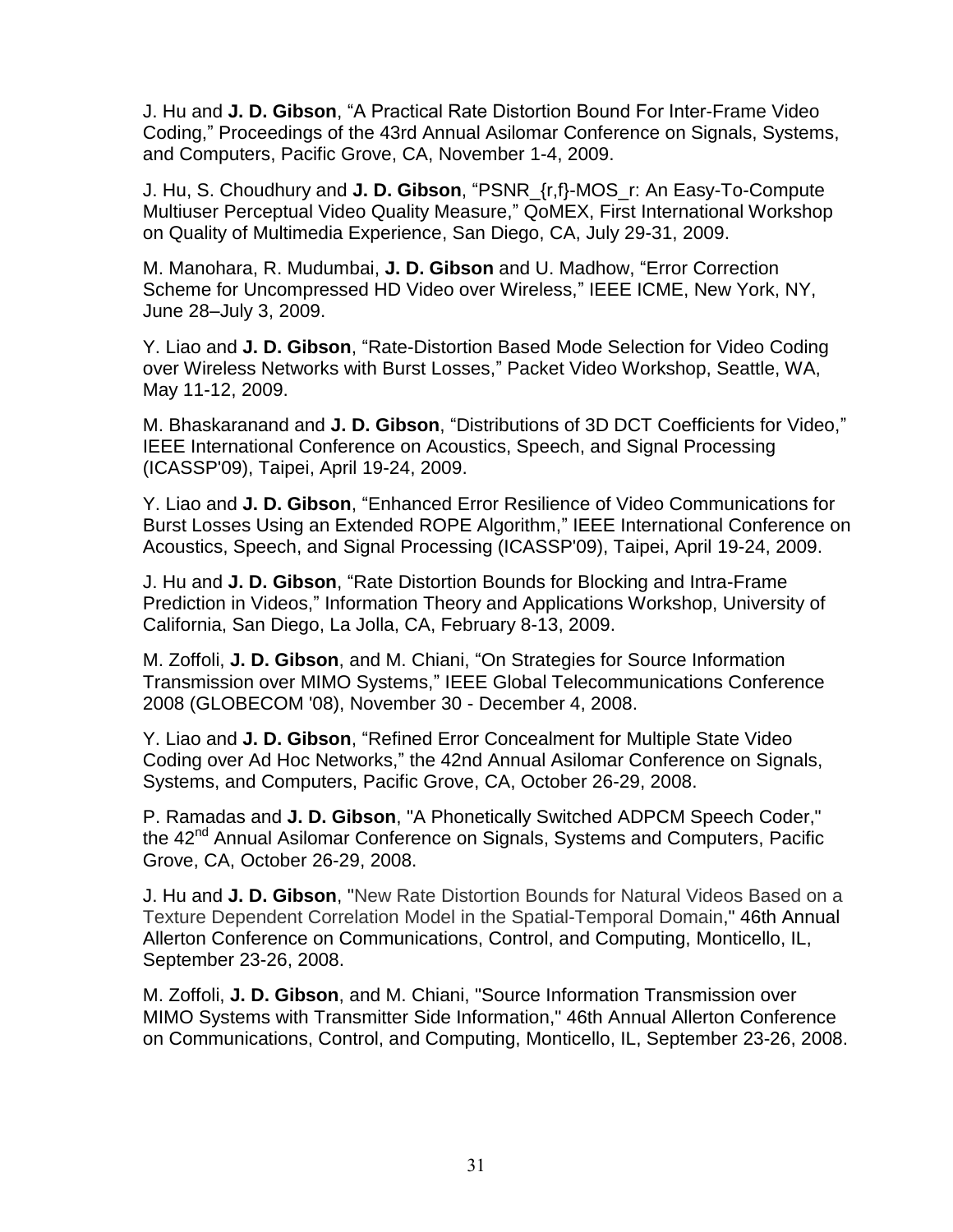J. Hu and **J. D. Gibson**, "A Practical Rate Distortion Bound For Inter-Frame Video Coding," Proceedings of the 43rd Annual Asilomar Conference on Signals, Systems, and Computers, Pacific Grove, CA, November 1-4, 2009.

J. Hu, S. Choudhury and **J. D. Gibson**, "PSNR\_{r,f}-MOS\_r: An Easy-To-Compute Multiuser Perceptual Video Quality Measure," QoMEX, First International Workshop on Quality of Multimedia Experience, San Diego, CA, July 29-31, 2009.

M. Manohara, R. Mudumbai, **J. D. Gibson** and U. Madhow, "Error Correction Scheme for Uncompressed HD Video over Wireless," IEEE ICME, New York, NY, June 28–July 3, 2009.

Y. Liao and **J. D. Gibson**, "Rate-Distortion Based Mode Selection for Video Coding over Wireless Networks with Burst Losses," Packet Video Workshop, Seattle, WA, May 11-12, 2009.

M. Bhaskaranand and **J. D. Gibson**, "Distributions of 3D DCT Coefficients for Video," IEEE International Conference on Acoustics, Speech, and Signal Processing (ICASSP'09), Taipei, April 19-24, 2009.

Y. Liao and **J. D. Gibson**, "Enhanced Error Resilience of Video Communications for Burst Losses Using an Extended ROPE Algorithm," IEEE International Conference on Acoustics, Speech, and Signal Processing (ICASSP'09), Taipei, April 19-24, 2009.

J. Hu and **J. D. Gibson**, "Rate Distortion Bounds for Blocking and Intra-Frame Prediction in Videos," Information Theory and Applications Workshop, University of California, San Diego, La Jolla, CA, February 8-13, 2009.

M. Zoffoli, **J. D. Gibson**, and M. Chiani, "On Strategies for Source Information Transmission over MIMO Systems," IEEE Global Telecommunications Conference 2008 (GLOBECOM '08), November 30 - December 4, 2008.

Y. Liao and **J. D. Gibson**, "Refined Error Concealment for Multiple State Video Coding over Ad Hoc Networks," the 42nd Annual Asilomar Conference on Signals, Systems, and Computers, Pacific Grove, CA, October 26-29, 2008.

P. Ramadas and **J. D. Gibson**, "A Phonetically Switched ADPCM Speech Coder," the 42<sup>nd</sup> Annual Asilomar Conference on Signals, Systems and Computers, Pacific Grove, CA, October 26-29, 2008.

J. Hu and **J. D. Gibson**, "New Rate Distortion Bounds for Natural Videos Based on a Texture Dependent Correlation Model in the Spatial-Temporal Domain," 46th Annual Allerton Conference on Communications, Control, and Computing, Monticello, IL, September 23-26, 2008.

M. Zoffoli, **J. D. Gibson**, and M. Chiani, "Source Information Transmission over MIMO Systems with Transmitter Side Information," 46th Annual Allerton Conference on Communications, Control, and Computing, Monticello, IL, September 23-26, 2008.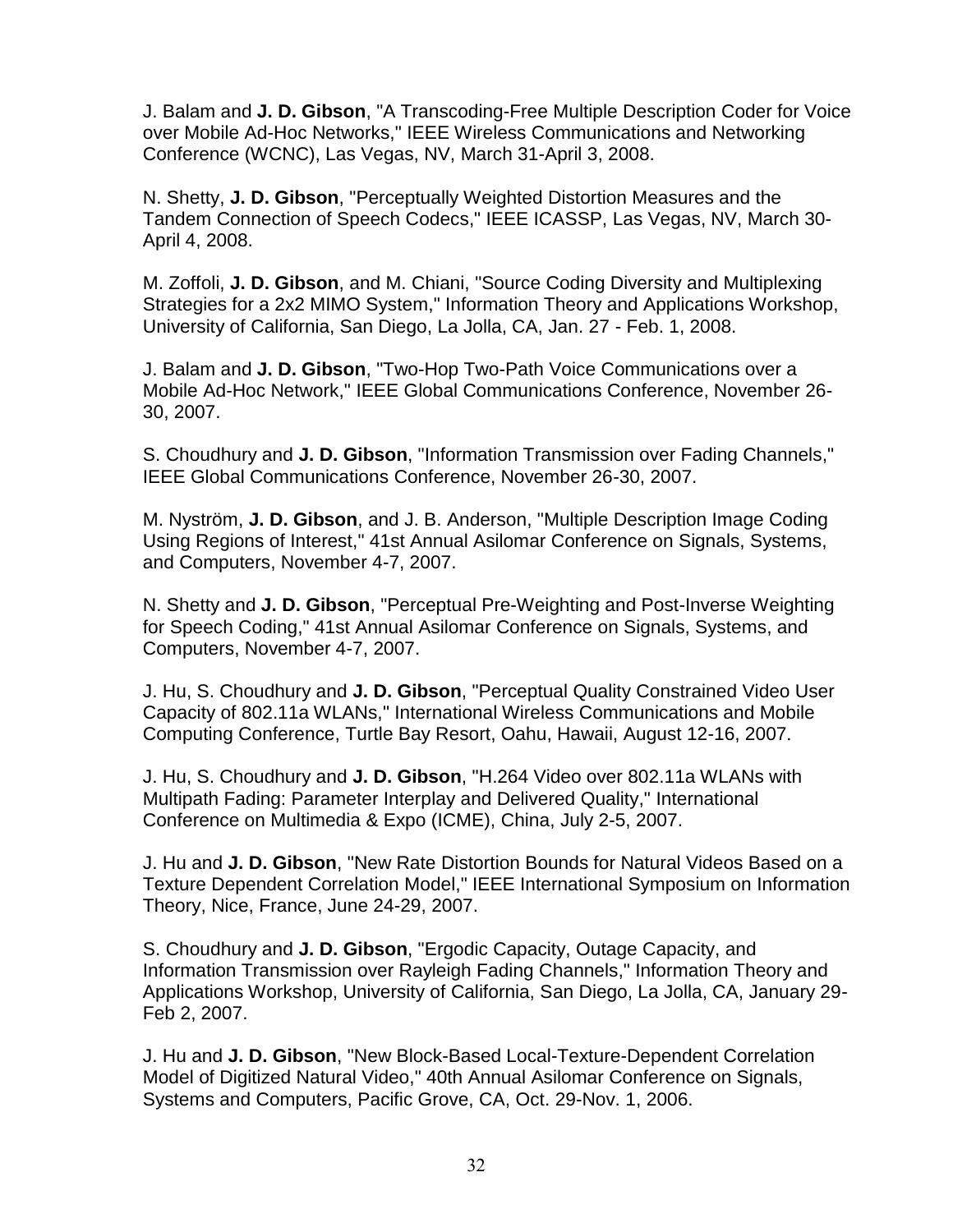J. Balam and **J. D. Gibson**, "A Transcoding-Free Multiple Description Coder for Voice over Mobile Ad-Hoc Networks," IEEE Wireless Communications and Networking Conference (WCNC), Las Vegas, NV, March 31-April 3, 2008.

N. Shetty, **J. D. Gibson**, "Perceptually Weighted Distortion Measures and the Tandem Connection of Speech Codecs," IEEE ICASSP, Las Vegas, NV, March 30- April 4, 2008.

M. Zoffoli, **J. D. Gibson**, and M. Chiani, "Source Coding Diversity and Multiplexing Strategies for a 2x2 MIMO System," Information Theory and Applications Workshop, University of California, San Diego, La Jolla, CA, Jan. 27 - Feb. 1, 2008.

J. Balam and **J. D. Gibson**, "Two-Hop Two-Path Voice Communications over a Mobile Ad-Hoc Network," IEEE Global Communications Conference, November 26- 30, 2007.

S. Choudhury and **J. D. Gibson**, "Information Transmission over Fading Channels," IEEE Global Communications Conference, November 26-30, 2007.

M. Nyström, **J. D. Gibson**, and J. B. Anderson, "Multiple Description Image Coding Using Regions of Interest," 41st Annual Asilomar Conference on Signals, Systems, and Computers, November 4-7, 2007.

N. Shetty and **J. D. Gibson**, "Perceptual Pre-Weighting and Post-Inverse Weighting for Speech Coding," 41st Annual Asilomar Conference on Signals, Systems, and Computers, November 4-7, 2007.

J. Hu, S. Choudhury and **J. D. Gibson**, "Perceptual Quality Constrained Video User Capacity of 802.11a WLANs," International Wireless Communications and Mobile Computing Conference, Turtle Bay Resort, Oahu, Hawaii, August 12-16, 2007.

J. Hu, S. Choudhury and **J. D. Gibson**, "H.264 Video over 802.11a WLANs with Multipath Fading: Parameter Interplay and Delivered Quality," International Conference on Multimedia & Expo (ICME), China, July 2-5, 2007.

J. Hu and **J. D. Gibson**, "New Rate Distortion Bounds for Natural Videos Based on a Texture Dependent Correlation Model," IEEE International Symposium on Information Theory, Nice, France, June 24-29, 2007.

S. Choudhury and **J. D. Gibson**, "Ergodic Capacity, Outage Capacity, and Information Transmission over Rayleigh Fading Channels," Information Theory and Applications Workshop, University of California, San Diego, La Jolla, CA, January 29- Feb 2, 2007.

J. Hu and **J. D. Gibson**, "New Block-Based Local-Texture-Dependent Correlation Model of Digitized Natural Video," 40th Annual Asilomar Conference on Signals, Systems and Computers, Pacific Grove, CA, Oct. 29-Nov. 1, 2006.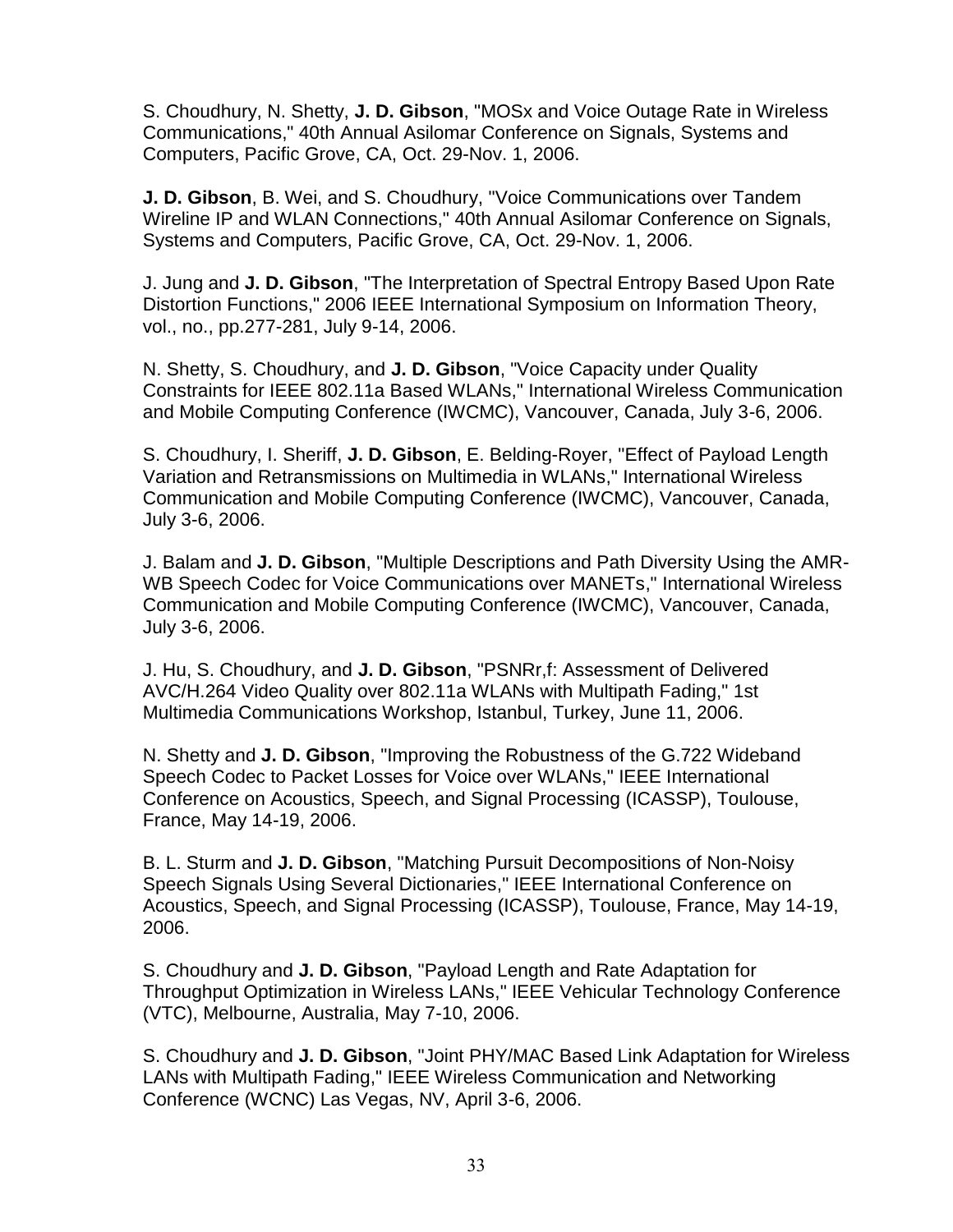S. Choudhury, N. Shetty, **J. D. Gibson**, "MOSx and Voice Outage Rate in Wireless Communications," 40th Annual Asilomar Conference on Signals, Systems and Computers, Pacific Grove, CA, Oct. 29-Nov. 1, 2006.

**J. D. Gibson**, B. Wei, and S. Choudhury, "Voice Communications over Tandem Wireline IP and WLAN Connections," 40th Annual Asilomar Conference on Signals, Systems and Computers, Pacific Grove, CA, Oct. 29-Nov. 1, 2006.

J. Jung and **J. D. Gibson**, "The Interpretation of Spectral Entropy Based Upon Rate Distortion Functions," 2006 IEEE International Symposium on Information Theory, vol., no., pp.277-281, July 9-14, 2006.

N. Shetty, S. Choudhury, and **J. D. Gibson**, "Voice Capacity under Quality Constraints for IEEE 802.11a Based WLANs," International Wireless Communication and Mobile Computing Conference (IWCMC), Vancouver, Canada, July 3-6, 2006.

S. Choudhury, I. Sheriff, **J. D. Gibson**, E. Belding-Royer, "Effect of Payload Length Variation and Retransmissions on Multimedia in WLANs," International Wireless Communication and Mobile Computing Conference (IWCMC), Vancouver, Canada, July 3-6, 2006.

J. Balam and **J. D. Gibson**, "Multiple Descriptions and Path Diversity Using the AMR-WB Speech Codec for Voice Communications over MANETs," International Wireless Communication and Mobile Computing Conference (IWCMC), Vancouver, Canada, July 3-6, 2006.

J. Hu, S. Choudhury, and **J. D. Gibson**, "PSNRr,f: Assessment of Delivered AVC/H.264 Video Quality over 802.11a WLANs with Multipath Fading," 1st Multimedia Communications Workshop, Istanbul, Turkey, June 11, 2006.

N. Shetty and **J. D. Gibson**, "Improving the Robustness of the G.722 Wideband Speech Codec to Packet Losses for Voice over WLANs," IEEE International Conference on Acoustics, Speech, and Signal Processing (ICASSP), Toulouse, France, May 14-19, 2006.

B. L. Sturm and **J. D. Gibson**, "Matching Pursuit Decompositions of Non-Noisy Speech Signals Using Several Dictionaries," IEEE International Conference on Acoustics, Speech, and Signal Processing (ICASSP), Toulouse, France, May 14-19, 2006.

S. Choudhury and **J. D. Gibson**, "Payload Length and Rate Adaptation for Throughput Optimization in Wireless LANs," IEEE Vehicular Technology Conference (VTC), Melbourne, Australia, May 7-10, 2006.

S. Choudhury and **J. D. Gibson**, "Joint PHY/MAC Based Link Adaptation for Wireless LANs with Multipath Fading," IEEE Wireless Communication and Networking Conference (WCNC) Las Vegas, NV, April 3-6, 2006.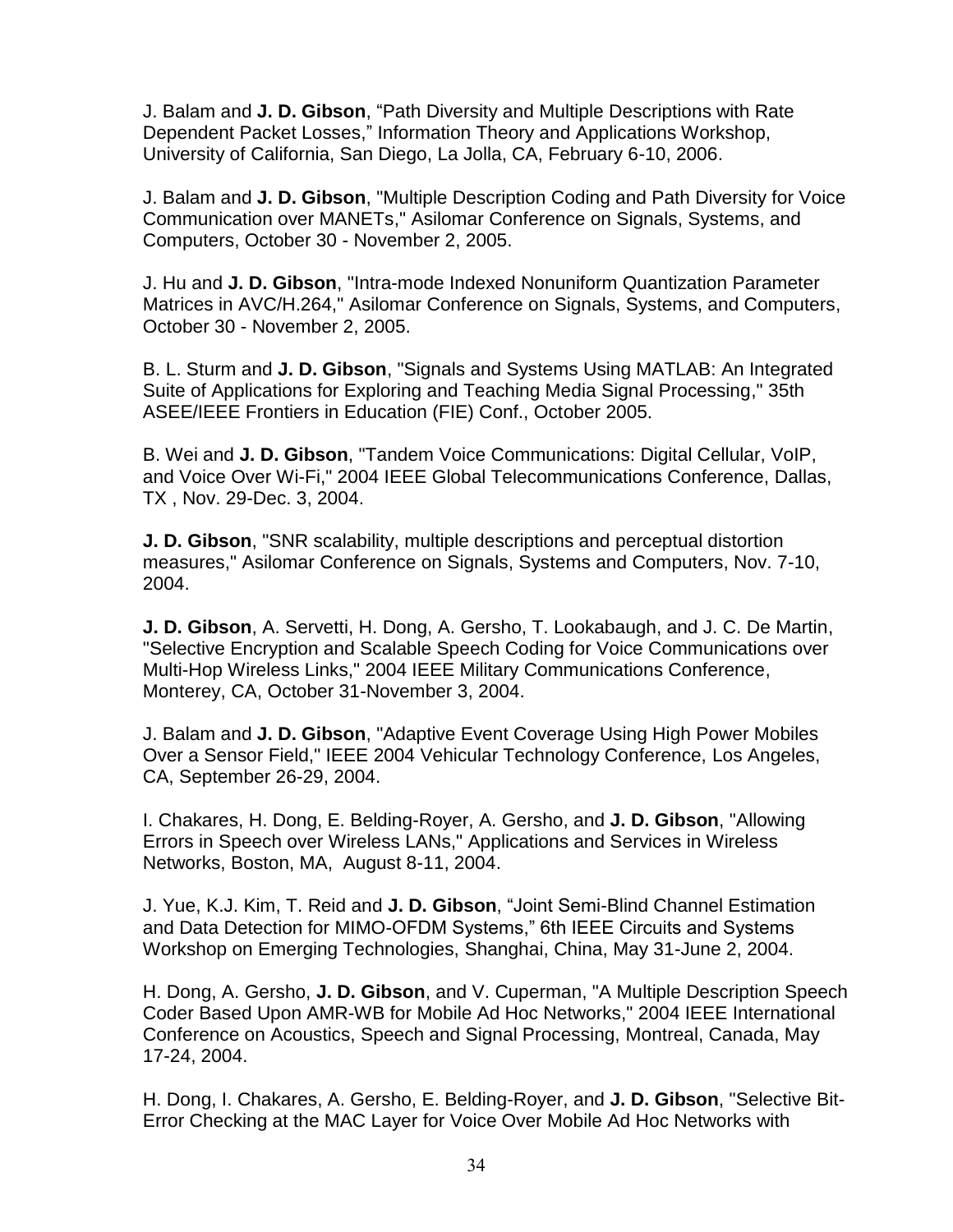J. Balam and **J. D. Gibson**, "Path Diversity and Multiple Descriptions with Rate Dependent Packet Losses," Information Theory and Applications Workshop, University of California, San Diego, La Jolla, CA, February 6-10, 2006.

J. Balam and **J. D. Gibson**, "Multiple Description Coding and Path Diversity for Voice Communication over MANETs," Asilomar Conference on Signals, Systems, and Computers, October 30 - November 2, 2005.

J. Hu and **J. D. Gibson**, "Intra-mode Indexed Nonuniform Quantization Parameter Matrices in AVC/H.264," Asilomar Conference on Signals, Systems, and Computers, October 30 - November 2, 2005.

B. L. Sturm and **J. D. Gibson**, "Signals and Systems Using MATLAB: An Integrated Suite of Applications for Exploring and Teaching Media Signal Processing," 35th ASEE/IEEE Frontiers in Education (FIE) Conf., October 2005.

B. Wei and **J. D. Gibson**, "Tandem Voice Communications: Digital Cellular, VoIP, and Voice Over Wi-Fi," 2004 IEEE Global Telecommunications Conference, Dallas, TX , Nov. 29-Dec. 3, 2004.

**J. D. Gibson**, "SNR scalability, multiple descriptions and perceptual distortion measures," Asilomar Conference on Signals, Systems and Computers, Nov. 7-10, 2004.

**J. D. Gibson**, A. Servetti, H. Dong, A. Gersho, T. Lookabaugh, and J. C. De Martin, "Selective Encryption and Scalable Speech Coding for Voice Communications over Multi-Hop Wireless Links," 2004 IEEE Military Communications Conference, Monterey, CA, October 31-November 3, 2004.

J. Balam and **J. D. Gibson**, "Adaptive Event Coverage Using High Power Mobiles Over a Sensor Field," IEEE 2004 Vehicular Technology Conference, Los Angeles, CA, September 26-29, 2004.

I. Chakares, H. Dong, E. Belding-Royer, A. Gersho, and **J. D. Gibson**, "Allowing Errors in Speech over Wireless LANs," Applications and Services in Wireless Networks, Boston, MA, August 8-11, 2004.

J. Yue, K.J. Kim, T. Reid and **J. D. Gibson**, "Joint Semi-Blind Channel Estimation and Data Detection for MIMO-OFDM Systems," 6th IEEE Circuits and Systems Workshop on Emerging Technologies, Shanghai, China, May 31-June 2, 2004.

H. Dong, A. Gersho, **J. D. Gibson**, and V. Cuperman, "A Multiple Description Speech Coder Based Upon AMR-WB for Mobile Ad Hoc Networks," 2004 IEEE International Conference on Acoustics, Speech and Signal Processing, Montreal, Canada, May 17-24, 2004.

H. Dong, I. Chakares, A. Gersho, E. Belding-Royer, and **J. D. Gibson**, "Selective Bit-Error Checking at the MAC Layer for Voice Over Mobile Ad Hoc Networks with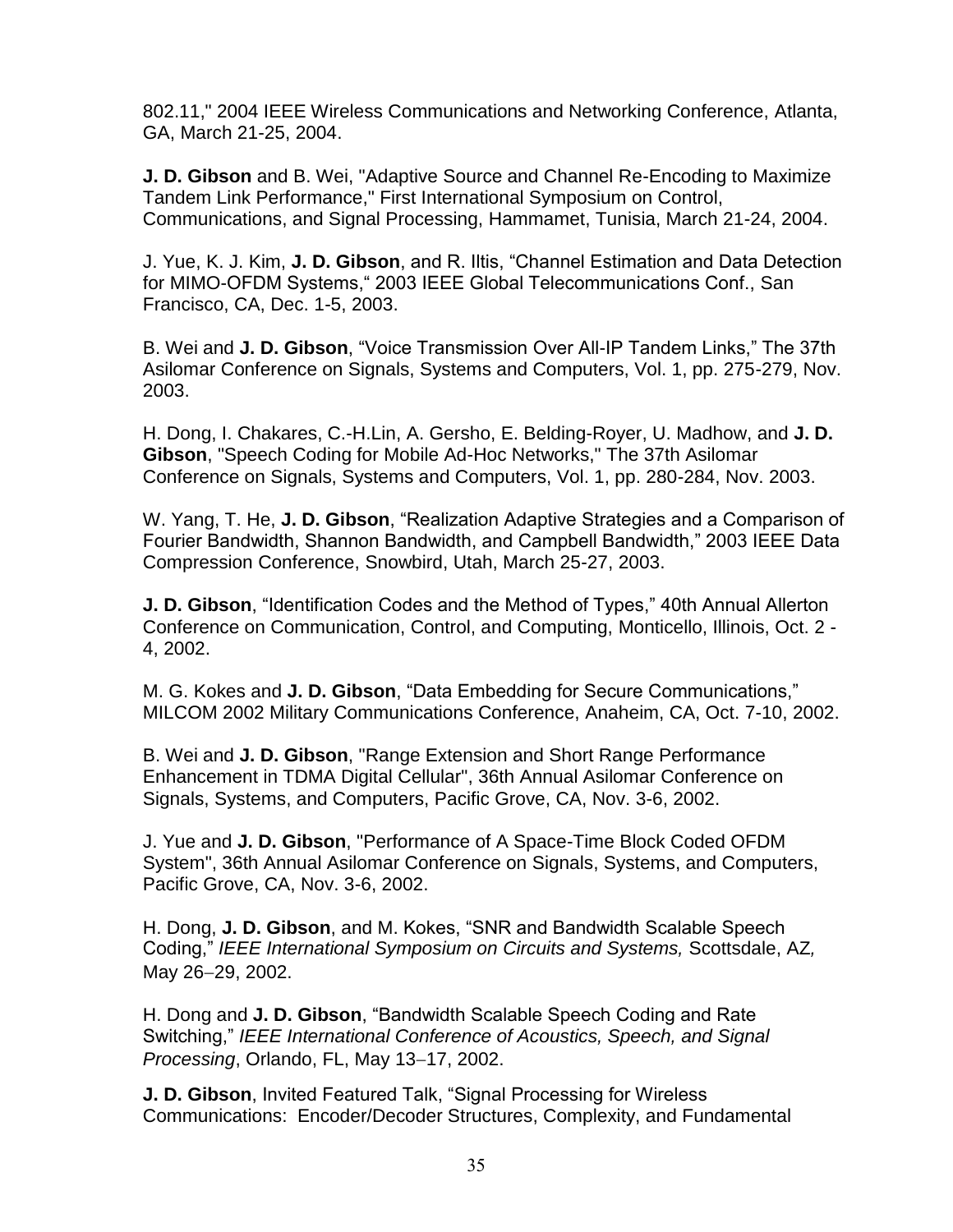802.11," 2004 IEEE Wireless Communications and Networking Conference, Atlanta, GA, March 21-25, 2004.

**J. D. Gibson** and B. Wei, "Adaptive Source and Channel Re-Encoding to Maximize Tandem Link Performance," First International Symposium on Control, Communications, and Signal Processing, Hammamet, Tunisia, March 21-24, 2004.

J. Yue, K. J. Kim, **J. D. Gibson**, and R. Iltis, "Channel Estimation and Data Detection for MIMO-OFDM Systems," 2003 IEEE Global Telecommunications Conf., San Francisco, CA, Dec. 1-5, 2003.

B. Wei and **J. D. Gibson**, "Voice Transmission Over All-IP Tandem Links," The 37th Asilomar Conference on Signals, Systems and Computers, Vol. 1, pp. 275-279, Nov. 2003.

H. Dong, I. Chakares, C.-H.Lin, A. Gersho, E. Belding-Royer, U. Madhow, and **J. D. Gibson**, "Speech Coding for Mobile Ad-Hoc Networks," The 37th Asilomar Conference on Signals, Systems and Computers, Vol. 1, pp. 280-284, Nov. 2003.

W. Yang, T. He, **J. D. Gibson**, "Realization Adaptive Strategies and a Comparison of Fourier Bandwidth, Shannon Bandwidth, and Campbell Bandwidth," 2003 IEEE Data Compression Conference, Snowbird, Utah, March 25-27, 2003.

**J. D. Gibson**, "Identification Codes and the Method of Types," 40th Annual Allerton Conference on Communication, Control, and Computing, Monticello, Illinois, Oct. 2 - 4, 2002.

M. G. Kokes and **J. D. Gibson**, "Data Embedding for Secure Communications," MILCOM 2002 Military Communications Conference, Anaheim, CA, Oct. 7-10, 2002.

B. Wei and **J. D. Gibson**, "Range Extension and Short Range Performance Enhancement in TDMA Digital Cellular", 36th Annual Asilomar Conference on Signals, Systems, and Computers, Pacific Grove, CA, Nov. 3-6, 2002.

J. Yue and **J. D. Gibson**, "Performance of A Space-Time Block Coded OFDM System", 36th Annual Asilomar Conference on Signals, Systems, and Computers, Pacific Grove, CA, Nov. 3-6, 2002.

H. Dong, **J. D. Gibson**, and M. Kokes, "SNR and Bandwidth Scalable Speech Coding," *IEEE International Symposium on Circuits and Systems,* Scottsdale, AZ*,*  May 26-29, 2002.

H. Dong and **J. D. Gibson**, "Bandwidth Scalable Speech Coding and Rate Switching," *IEEE International Conference of Acoustics, Speech, and Signal Processing, Orlando, FL, May 13-17, 2002.* 

**J. D. Gibson**, Invited Featured Talk, "Signal Processing for Wireless Communications: Encoder/Decoder Structures, Complexity, and Fundamental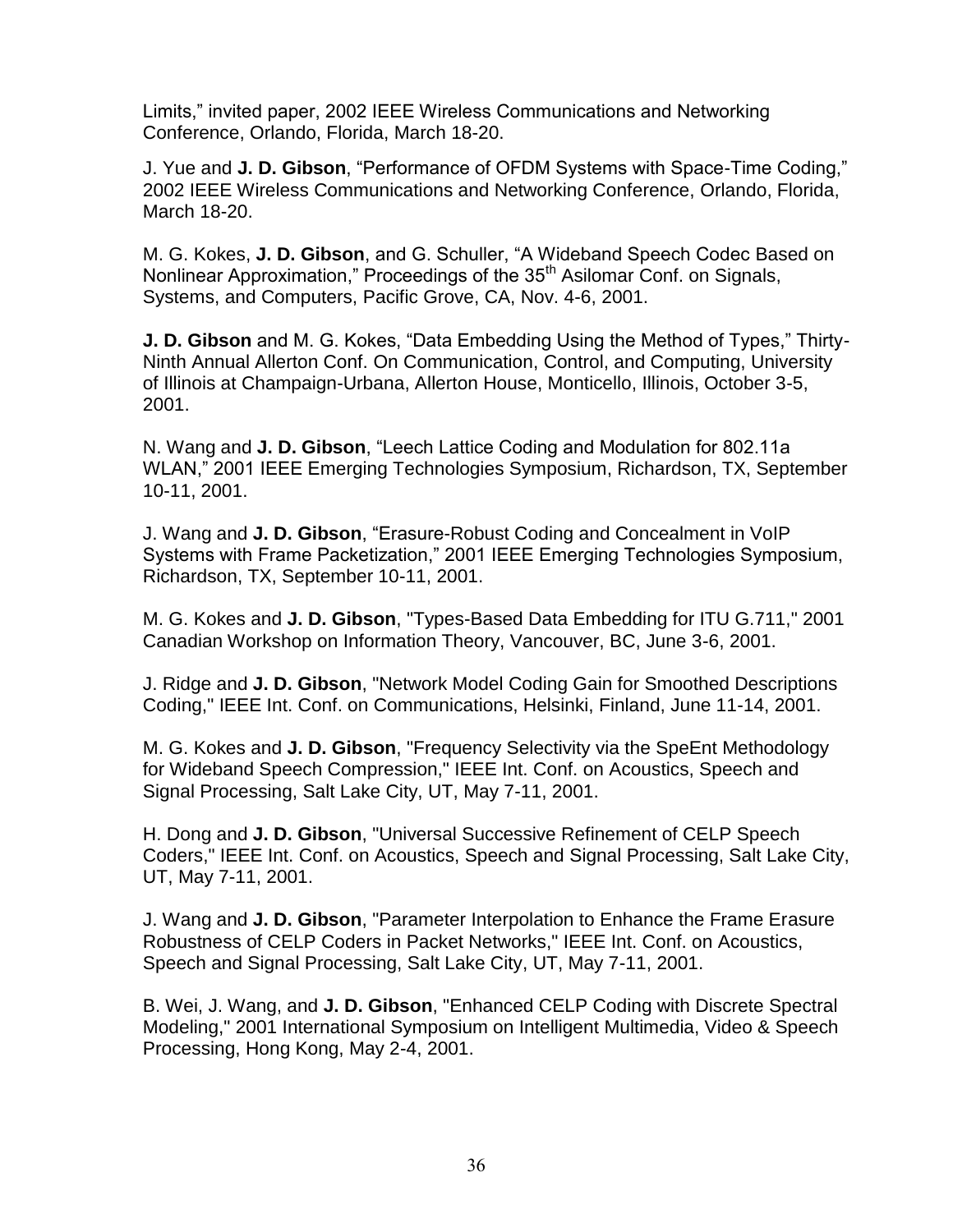Limits," invited paper, 2002 IEEE Wireless Communications and Networking Conference, Orlando, Florida, March 18-20.

J. Yue and **J. D. Gibson**, "Performance of OFDM Systems with Space-Time Coding," 2002 IEEE Wireless Communications and Networking Conference, Orlando, Florida, March 18-20.

M. G. Kokes, **J. D. Gibson**, and G. Schuller, "A Wideband Speech Codec Based on Nonlinear Approximation," Proceedings of the 35<sup>th</sup> Asilomar Conf. on Signals, Systems, and Computers, Pacific Grove, CA, Nov. 4-6, 2001.

**J. D. Gibson** and M. G. Kokes, "Data Embedding Using the Method of Types," Thirty-Ninth Annual Allerton Conf. On Communication, Control, and Computing, University of Illinois at Champaign-Urbana, Allerton House, Monticello, Illinois, October 3-5, 2001.

N. Wang and **J. D. Gibson**, "Leech Lattice Coding and Modulation for 802.11a WLAN," 2001 IEEE Emerging Technologies Symposium, Richardson, TX, September 10-11, 2001.

J. Wang and **J. D. Gibson**, "Erasure-Robust Coding and Concealment in VoIP Systems with Frame Packetization," 2001 IEEE Emerging Technologies Symposium, Richardson, TX, September 10-11, 2001.

M. G. Kokes and **J. D. Gibson**, "Types-Based Data Embedding for ITU G.711," 2001 Canadian Workshop on Information Theory, Vancouver, BC, June 3-6, 2001.

J. Ridge and **J. D. Gibson**, "Network Model Coding Gain for Smoothed Descriptions Coding," IEEE Int. Conf. on Communications, Helsinki, Finland, June 11-14, 2001.

M. G. Kokes and **J. D. Gibson**, "Frequency Selectivity via the SpeEnt Methodology for Wideband Speech Compression," IEEE Int. Conf. on Acoustics, Speech and Signal Processing, Salt Lake City, UT, May 7-11, 2001.

H. Dong and **J. D. Gibson**, "Universal Successive Refinement of CELP Speech Coders," IEEE Int. Conf. on Acoustics, Speech and Signal Processing, Salt Lake City, UT, May 7-11, 2001.

J. Wang and **J. D. Gibson**, "Parameter Interpolation to Enhance the Frame Erasure Robustness of CELP Coders in Packet Networks," IEEE Int. Conf. on Acoustics, Speech and Signal Processing, Salt Lake City, UT, May 7-11, 2001.

B. Wei, J. Wang, and **J. D. Gibson**, "Enhanced CELP Coding with Discrete Spectral Modeling," 2001 International Symposium on Intelligent Multimedia, Video & Speech Processing, Hong Kong, May 2-4, 2001.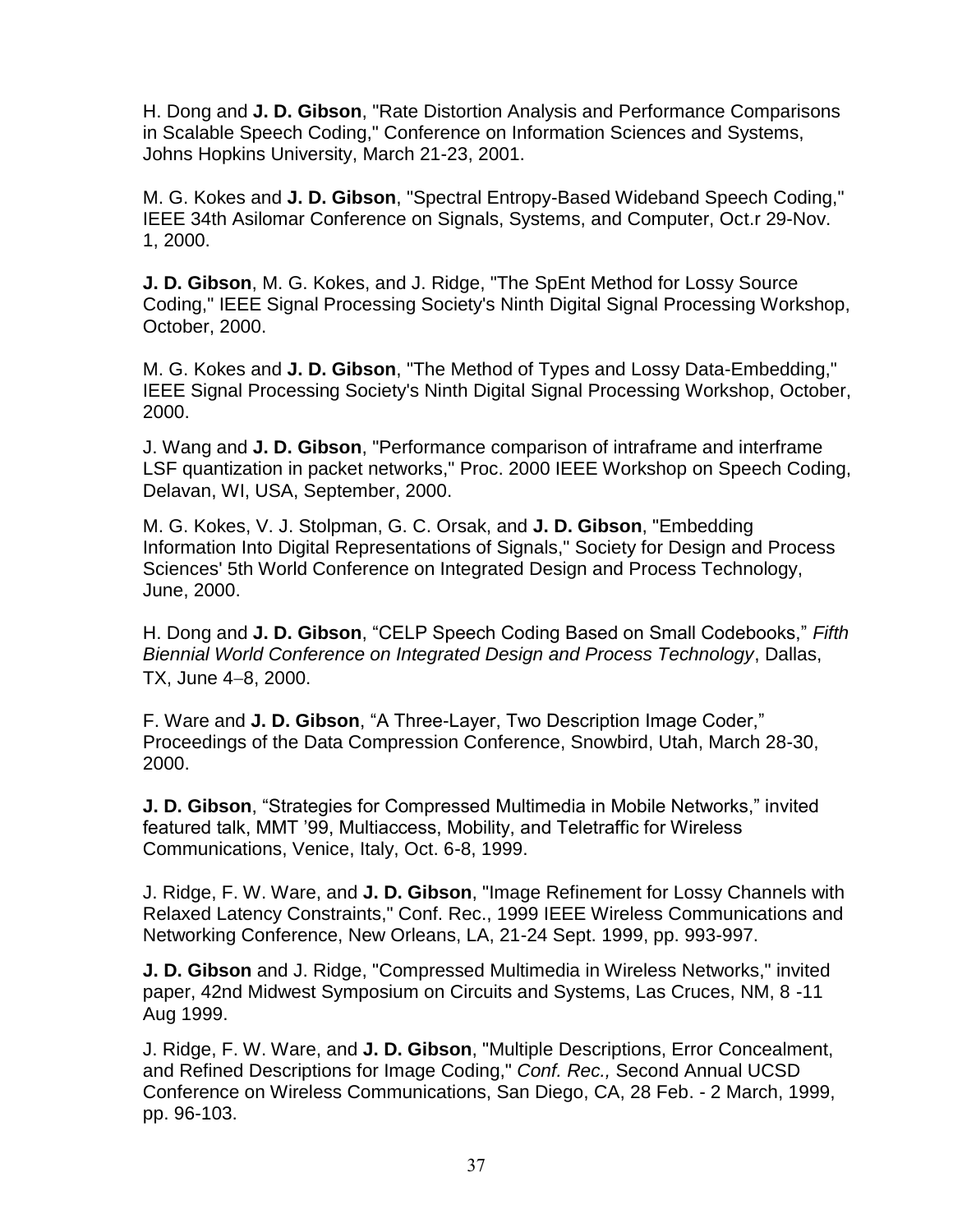H. Dong and **J. D. Gibson**, "Rate Distortion Analysis and Performance Comparisons in Scalable Speech Coding," Conference on Information Sciences and Systems, Johns Hopkins University, March 21-23, 2001.

M. G. Kokes and **J. D. Gibson**, "Spectral Entropy-Based Wideband Speech Coding," IEEE 34th Asilomar Conference on Signals, Systems, and Computer, Oct.r 29-Nov. 1, 2000.

**J. D. Gibson**, M. G. Kokes, and J. Ridge, "The SpEnt Method for Lossy Source Coding," IEEE Signal Processing Society's Ninth Digital Signal Processing Workshop, October, 2000.

M. G. Kokes and **J. D. Gibson**, "The Method of Types and Lossy Data-Embedding," IEEE Signal Processing Society's Ninth Digital Signal Processing Workshop, October, 2000.

J. Wang and **J. D. Gibson**, "Performance comparison of intraframe and interframe LSF quantization in packet networks," Proc. 2000 IEEE Workshop on Speech Coding, Delavan, WI, USA, September, 2000.

M. G. Kokes, V. J. Stolpman, G. C. Orsak, and **J. D. Gibson**, "Embedding Information Into Digital Representations of Signals," Society for Design and Process Sciences' 5th World Conference on Integrated Design and Process Technology, June, 2000.

H. Dong and **J. D. Gibson**, "CELP Speech Coding Based on Small Codebooks," *Fifth Biennial World Conference on Integrated Design and Process Technology*, Dallas,  $TX.$  June  $4-8.$  2000.

F. Ware and **J. D. Gibson**, "A Three-Layer, Two Description Image Coder," Proceedings of the Data Compression Conference, Snowbird, Utah, March 28-30, 2000.

**J. D. Gibson**, "Strategies for Compressed Multimedia in Mobile Networks," invited featured talk, MMT '99, Multiaccess, Mobility, and Teletraffic for Wireless Communications, Venice, Italy, Oct. 6-8, 1999.

J. Ridge, F. W. Ware, and **J. D. Gibson**, "Image Refinement for Lossy Channels with Relaxed Latency Constraints," Conf. Rec., 1999 IEEE Wireless Communications and Networking Conference, New Orleans, LA, 21-24 Sept. 1999, pp. 993-997.

**J. D. Gibson** and J. Ridge, "Compressed Multimedia in Wireless Networks," invited paper, 42nd Midwest Symposium on Circuits and Systems, Las Cruces, NM, 8 -11 Aug 1999.

J. Ridge, F. W. Ware, and **J. D. Gibson**, "Multiple Descriptions, Error Concealment, and Refined Descriptions for Image Coding," *Conf. Rec.,* Second Annual UCSD Conference on Wireless Communications, San Diego, CA, 28 Feb. - 2 March, 1999, pp. 96-103.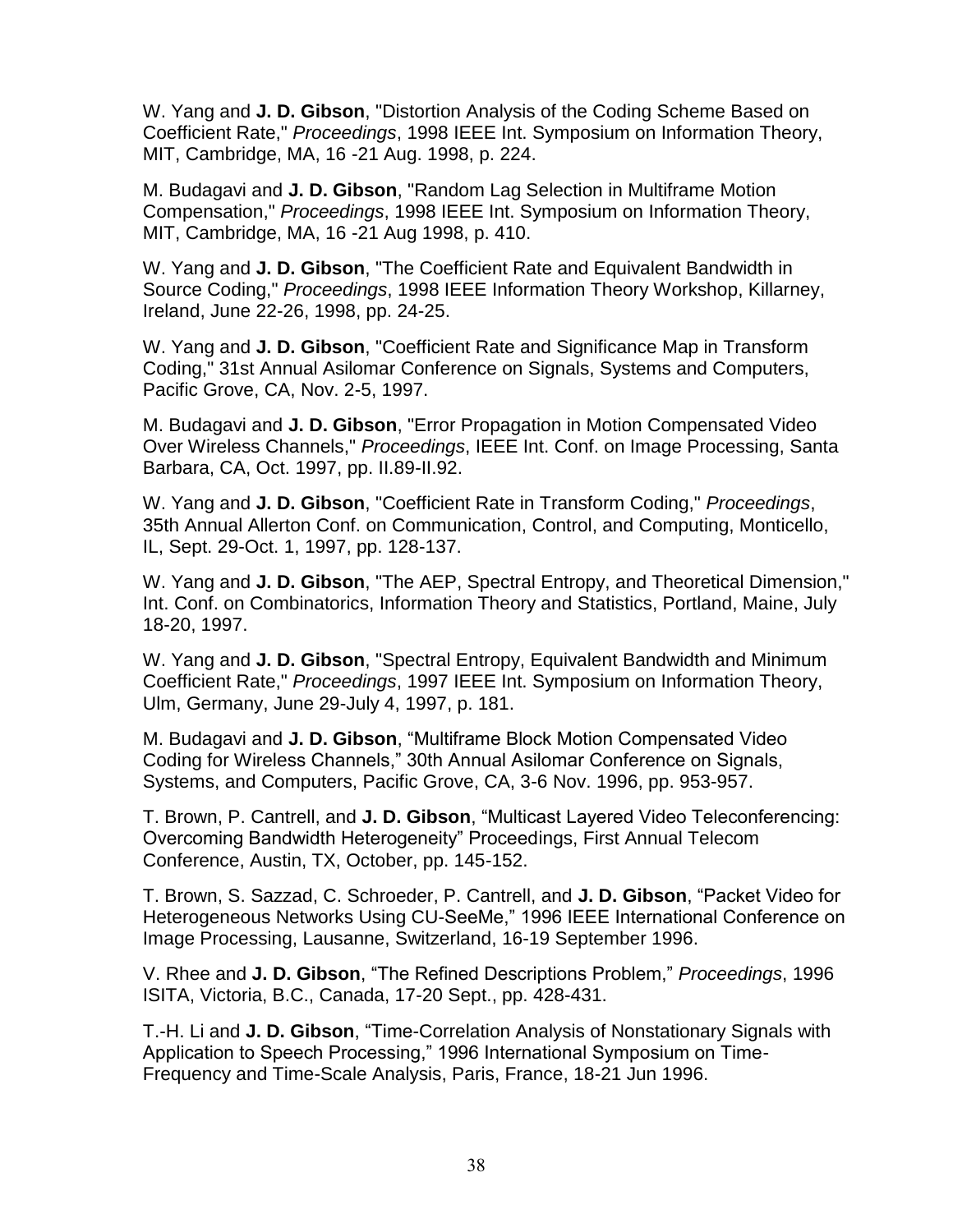W. Yang and **J. D. Gibson**, "Distortion Analysis of the Coding Scheme Based on Coefficient Rate," *Proceedings*, 1998 IEEE Int. Symposium on Information Theory, MIT, Cambridge, MA, 16 -21 Aug. 1998, p. 224.

M. Budagavi and **J. D. Gibson**, "Random Lag Selection in Multiframe Motion Compensation," *Proceedings*, 1998 IEEE Int. Symposium on Information Theory, MIT, Cambridge, MA, 16 -21 Aug 1998, p. 410.

W. Yang and **J. D. Gibson**, "The Coefficient Rate and Equivalent Bandwidth in Source Coding," *Proceedings*, 1998 IEEE Information Theory Workshop, Killarney, Ireland, June 22-26, 1998, pp. 24-25.

W. Yang and **J. D. Gibson**, "Coefficient Rate and Significance Map in Transform Coding," 31st Annual Asilomar Conference on Signals, Systems and Computers, Pacific Grove, CA, Nov. 2-5, 1997.

M. Budagavi and **J. D. Gibson**, "Error Propagation in Motion Compensated Video Over Wireless Channels," *Proceedings*, IEEE Int. Conf. on Image Processing, Santa Barbara, CA, Oct. 1997, pp. II.89-II.92.

W. Yang and **J. D. Gibson**, "Coefficient Rate in Transform Coding," *Proceedings*, 35th Annual Allerton Conf. on Communication, Control, and Computing, Monticello, IL, Sept. 29-Oct. 1, 1997, pp. 128-137.

W. Yang and **J. D. Gibson**, "The AEP, Spectral Entropy, and Theoretical Dimension," Int. Conf. on Combinatorics, Information Theory and Statistics, Portland, Maine, July 18-20, 1997.

W. Yang and **J. D. Gibson**, "Spectral Entropy, Equivalent Bandwidth and Minimum Coefficient Rate," *Proceedings*, 1997 IEEE Int. Symposium on Information Theory, Ulm, Germany, June 29-July 4, 1997, p. 181.

M. Budagavi and **J. D. Gibson**, "Multiframe Block Motion Compensated Video Coding for Wireless Channels," 30th Annual Asilomar Conference on Signals, Systems, and Computers, Pacific Grove, CA, 3-6 Nov. 1996, pp. 953-957.

T. Brown, P. Cantrell, and **J. D. Gibson**, "Multicast Layered Video Teleconferencing: Overcoming Bandwidth Heterogeneity" Proceedings, First Annual Telecom Conference, Austin, TX, October, pp. 145-152.

T. Brown, S. Sazzad, C. Schroeder, P. Cantrell, and **J. D. Gibson**, "Packet Video for Heterogeneous Networks Using CU-SeeMe," 1996 IEEE International Conference on Image Processing, Lausanne, Switzerland, 16-19 September 1996.

V. Rhee and **J. D. Gibson**, "The Refined Descriptions Problem," *Proceedings*, 1996 ISITA, Victoria, B.C., Canada, 17-20 Sept., pp. 428-431.

T.-H. Li and **J. D. Gibson**, "Time-Correlation Analysis of Nonstationary Signals with Application to Speech Processing," 1996 International Symposium on Time-Frequency and Time-Scale Analysis, Paris, France, 18-21 Jun 1996.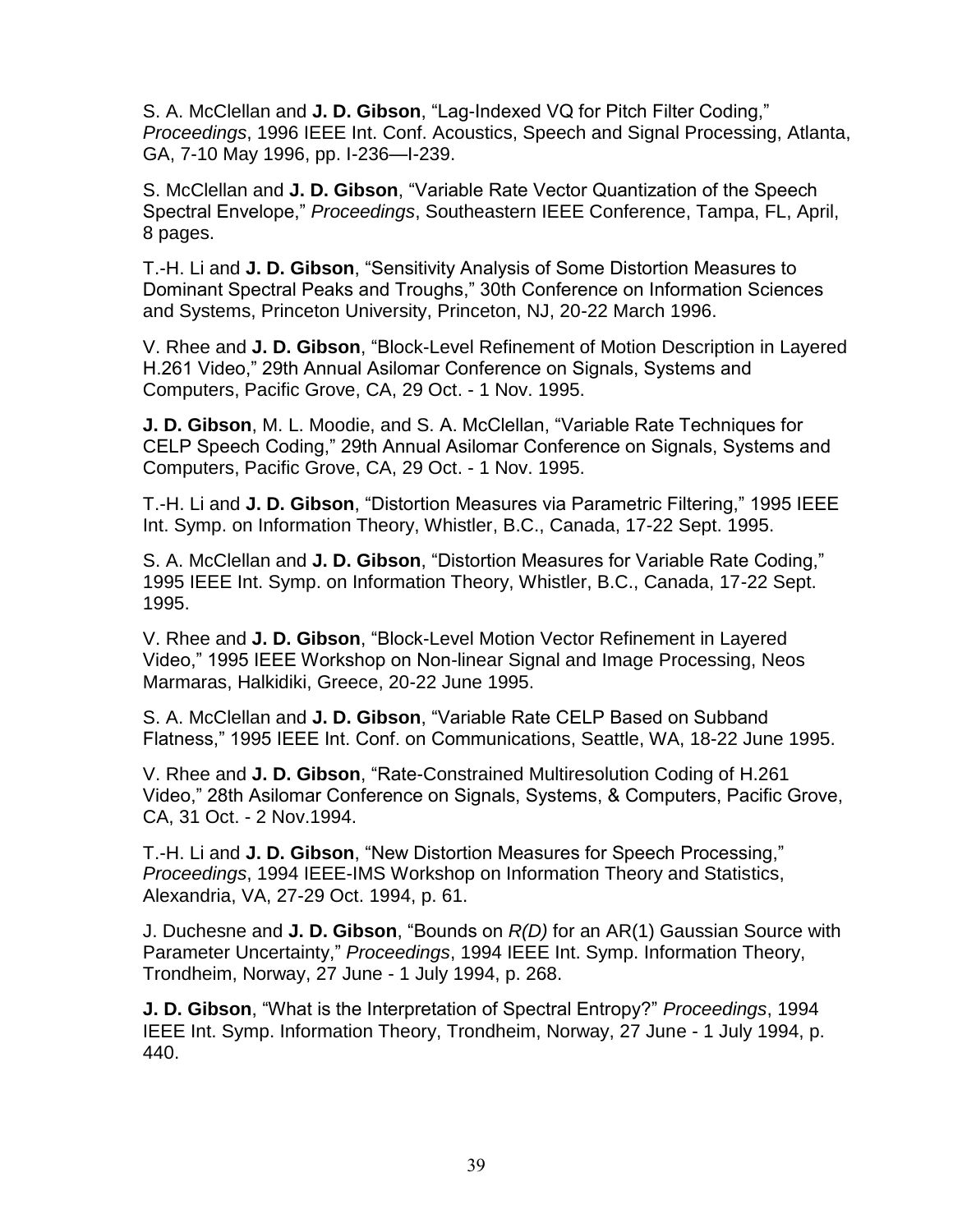S. A. McClellan and **J. D. Gibson**, "Lag-Indexed VQ for Pitch Filter Coding," *Proceedings*, 1996 IEEE Int. Conf. Acoustics, Speech and Signal Processing, Atlanta, GA, 7-10 May 1996, pp. I-236—I-239.

S. McClellan and **J. D. Gibson**, "Variable Rate Vector Quantization of the Speech Spectral Envelope," *Proceedings*, Southeastern IEEE Conference, Tampa, FL, April, 8 pages.

T.-H. Li and **J. D. Gibson**, "Sensitivity Analysis of Some Distortion Measures to Dominant Spectral Peaks and Troughs," 30th Conference on Information Sciences and Systems, Princeton University, Princeton, NJ, 20-22 March 1996.

V. Rhee and **J. D. Gibson**, "Block-Level Refinement of Motion Description in Layered H.261 Video," 29th Annual Asilomar Conference on Signals, Systems and Computers, Pacific Grove, CA, 29 Oct. - 1 Nov. 1995.

**J. D. Gibson**, M. L. Moodie, and S. A. McClellan, "Variable Rate Techniques for CELP Speech Coding," 29th Annual Asilomar Conference on Signals, Systems and Computers, Pacific Grove, CA, 29 Oct. - 1 Nov. 1995.

T.-H. Li and **J. D. Gibson**, "Distortion Measures via Parametric Filtering," 1995 IEEE Int. Symp. on Information Theory, Whistler, B.C., Canada, 17-22 Sept. 1995.

S. A. McClellan and **J. D. Gibson**, "Distortion Measures for Variable Rate Coding," 1995 IEEE Int. Symp. on Information Theory, Whistler, B.C., Canada, 17-22 Sept. 1995.

V. Rhee and **J. D. Gibson**, "Block-Level Motion Vector Refinement in Layered Video," 1995 IEEE Workshop on Non-linear Signal and Image Processing, Neos Marmaras, Halkidiki, Greece, 20-22 June 1995.

S. A. McClellan and **J. D. Gibson**, "Variable Rate CELP Based on Subband Flatness," 1995 IEEE Int. Conf. on Communications, Seattle, WA, 18-22 June 1995.

V. Rhee and **J. D. Gibson**, "Rate-Constrained Multiresolution Coding of H.261 Video," 28th Asilomar Conference on Signals, Systems, & Computers, Pacific Grove, CA, 31 Oct. - 2 Nov.1994.

T.-H. Li and **J. D. Gibson**, "New Distortion Measures for Speech Processing," *Proceedings*, 1994 IEEE-IMS Workshop on Information Theory and Statistics, Alexandria, VA, 27-29 Oct. 1994, p. 61.

J. Duchesne and **J. D. Gibson**, "Bounds on *R(D)* for an AR(1) Gaussian Source with Parameter Uncertainty," *Proceedings*, 1994 IEEE Int. Symp. Information Theory, Trondheim, Norway, 27 June - 1 July 1994, p. 268.

**J. D. Gibson**, "What is the Interpretation of Spectral Entropy?" *Proceedings*, 1994 IEEE Int. Symp. Information Theory, Trondheim, Norway, 27 June - 1 July 1994, p. 440.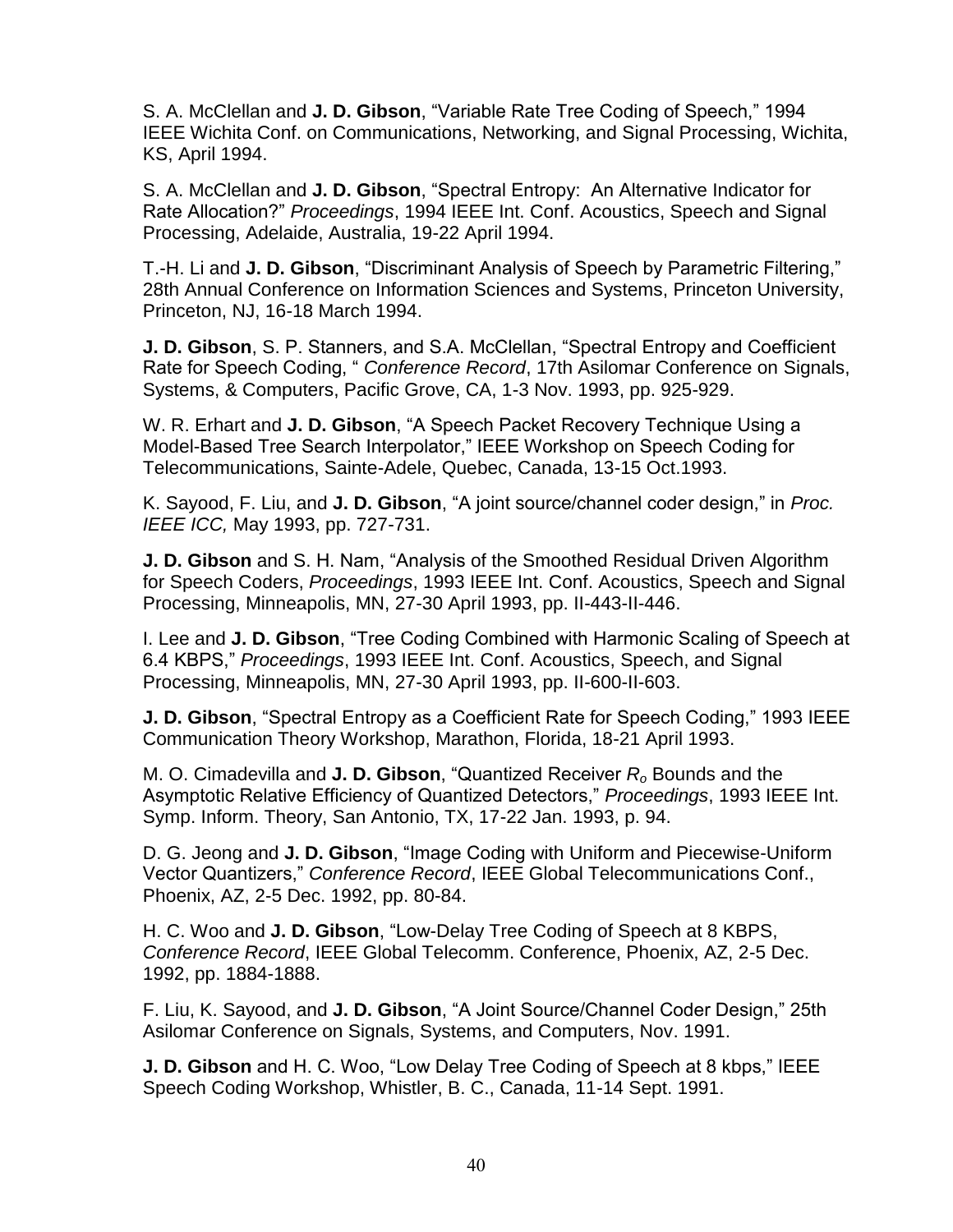S. A. McClellan and **J. D. Gibson**, "Variable Rate Tree Coding of Speech," 1994 IEEE Wichita Conf. on Communications, Networking, and Signal Processing, Wichita, KS, April 1994.

S. A. McClellan and **J. D. Gibson**, "Spectral Entropy: An Alternative Indicator for Rate Allocation?" *Proceedings*, 1994 IEEE Int. Conf. Acoustics, Speech and Signal Processing, Adelaide, Australia, 19-22 April 1994.

T.-H. Li and **J. D. Gibson**, "Discriminant Analysis of Speech by Parametric Filtering," 28th Annual Conference on Information Sciences and Systems, Princeton University, Princeton, NJ, 16-18 March 1994.

**J. D. Gibson**, S. P. Stanners, and S.A. McClellan, "Spectral Entropy and Coefficient Rate for Speech Coding, " *Conference Record*, 17th Asilomar Conference on Signals, Systems, & Computers, Pacific Grove, CA, 1-3 Nov. 1993, pp. 925-929.

W. R. Erhart and **J. D. Gibson**, "A Speech Packet Recovery Technique Using a Model-Based Tree Search Interpolator," IEEE Workshop on Speech Coding for Telecommunications, Sainte-Adele, Quebec, Canada, 13-15 Oct.1993.

K. Sayood, F. Liu, and **J. D. Gibson**, "A joint source/channel coder design," in *Proc. IEEE ICC,* May 1993, pp. 727-731.

**J. D. Gibson** and S. H. Nam, "Analysis of the Smoothed Residual Driven Algorithm for Speech Coders, *Proceedings*, 1993 IEEE Int. Conf. Acoustics, Speech and Signal Processing, Minneapolis, MN, 27-30 April 1993, pp. II-443-II-446.

I. Lee and **J. D. Gibson**, "Tree Coding Combined with Harmonic Scaling of Speech at 6.4 KBPS," *Proceedings*, 1993 IEEE Int. Conf. Acoustics, Speech, and Signal Processing, Minneapolis, MN, 27-30 April 1993, pp. II-600-II-603.

**J. D. Gibson**, "Spectral Entropy as a Coefficient Rate for Speech Coding," 1993 IEEE Communication Theory Workshop, Marathon, Florida, 18-21 April 1993.

M. O. Cimadevilla and **J. D. Gibson**, "Quantized Receiver *R<sup>o</sup>* Bounds and the Asymptotic Relative Efficiency of Quantized Detectors," *Proceedings*, 1993 IEEE Int. Symp. Inform. Theory, San Antonio, TX, 17-22 Jan. 1993, p. 94.

D. G. Jeong and **J. D. Gibson**, "Image Coding with Uniform and Piecewise-Uniform Vector Quantizers," *Conference Record*, IEEE Global Telecommunications Conf., Phoenix, AZ, 2-5 Dec. 1992, pp. 80-84.

H. C. Woo and **J. D. Gibson**, "Low-Delay Tree Coding of Speech at 8 KBPS, *Conference Record*, IEEE Global Telecomm. Conference, Phoenix, AZ, 2-5 Dec. 1992, pp. 1884-1888.

F. Liu, K. Sayood, and **J. D. Gibson**, "A Joint Source/Channel Coder Design," 25th Asilomar Conference on Signals, Systems, and Computers, Nov. 1991.

**J. D. Gibson** and H. C. Woo, "Low Delay Tree Coding of Speech at 8 kbps," IEEE Speech Coding Workshop, Whistler, B. C., Canada, 11-14 Sept. 1991.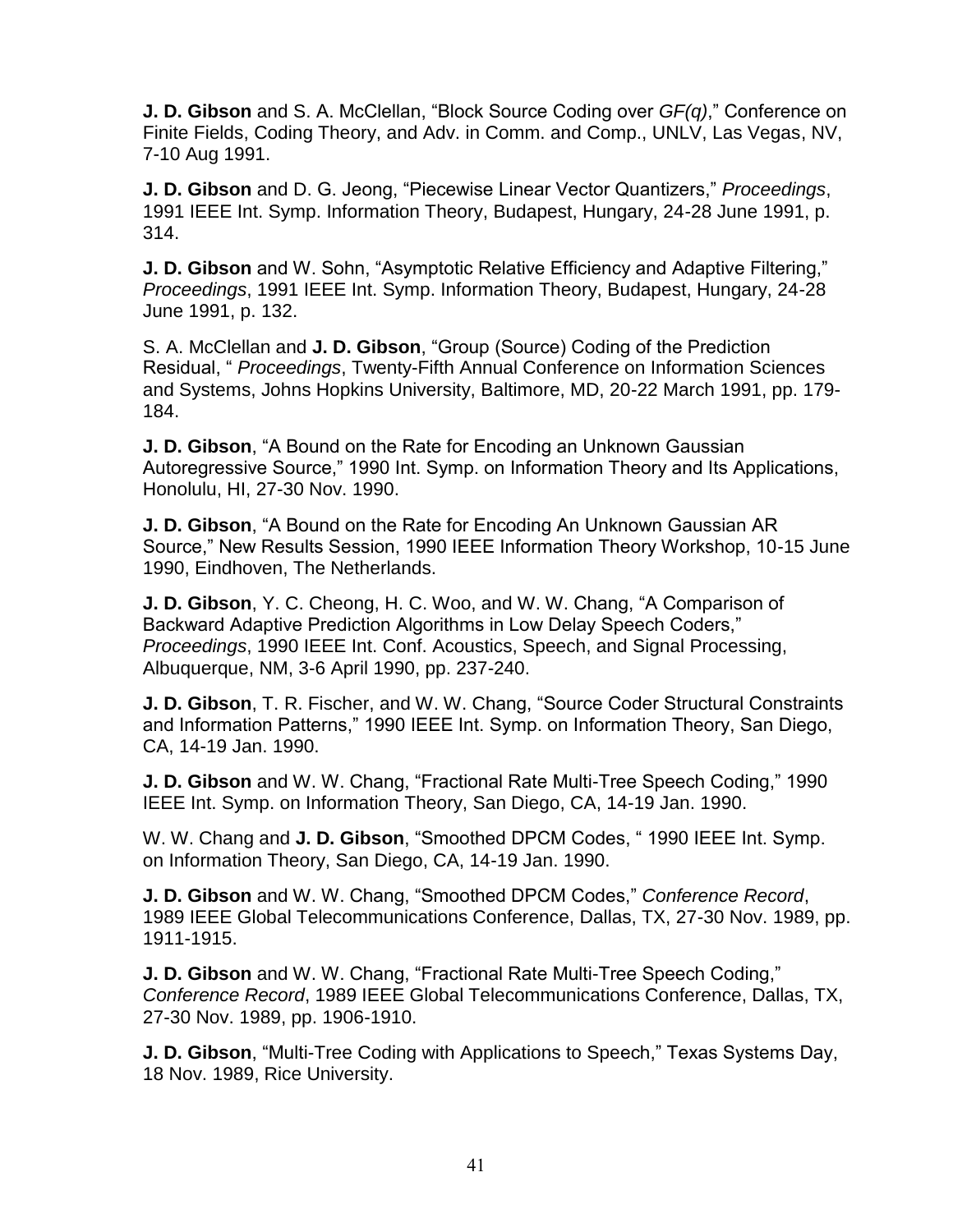**J. D. Gibson** and S. A. McClellan, "Block Source Coding over *GF(q)*," Conference on Finite Fields, Coding Theory, and Adv. in Comm. and Comp., UNLV, Las Vegas, NV, 7-10 Aug 1991.

**J. D. Gibson** and D. G. Jeong, "Piecewise Linear Vector Quantizers," *Proceedings*, 1991 IEEE Int. Symp. Information Theory, Budapest, Hungary, 24-28 June 1991, p. 314.

**J. D. Gibson** and W. Sohn, "Asymptotic Relative Efficiency and Adaptive Filtering," *Proceedings*, 1991 IEEE Int. Symp. Information Theory, Budapest, Hungary, 24-28 June 1991, p. 132.

S. A. McClellan and **J. D. Gibson**, "Group (Source) Coding of the Prediction Residual, " *Proceedings*, Twenty-Fifth Annual Conference on Information Sciences and Systems, Johns Hopkins University, Baltimore, MD, 20-22 March 1991, pp. 179- 184.

**J. D. Gibson**, "A Bound on the Rate for Encoding an Unknown Gaussian Autoregressive Source," 1990 Int. Symp. on Information Theory and Its Applications, Honolulu, HI, 27-30 Nov. 1990.

**J. D. Gibson**, "A Bound on the Rate for Encoding An Unknown Gaussian AR Source," New Results Session, 1990 IEEE Information Theory Workshop, 10-15 June 1990, Eindhoven, The Netherlands.

**J. D. Gibson**, Y. C. Cheong, H. C. Woo, and W. W. Chang, "A Comparison of Backward Adaptive Prediction Algorithms in Low Delay Speech Coders," *Proceedings*, 1990 IEEE Int. Conf. Acoustics, Speech, and Signal Processing, Albuquerque, NM, 3-6 April 1990, pp. 237-240.

**J. D. Gibson**, T. R. Fischer, and W. W. Chang, "Source Coder Structural Constraints and Information Patterns," 1990 IEEE Int. Symp. on Information Theory, San Diego, CA, 14-19 Jan. 1990.

**J. D. Gibson** and W. W. Chang, "Fractional Rate Multi-Tree Speech Coding," 1990 IEEE Int. Symp. on Information Theory, San Diego, CA, 14-19 Jan. 1990.

W. W. Chang and **J. D. Gibson**, "Smoothed DPCM Codes, " 1990 IEEE Int. Symp. on Information Theory, San Diego, CA, 14-19 Jan. 1990.

**J. D. Gibson** and W. W. Chang, "Smoothed DPCM Codes," *Conference Record*, 1989 IEEE Global Telecommunications Conference, Dallas, TX, 27-30 Nov. 1989, pp. 1911-1915.

**J. D. Gibson** and W. W. Chang, "Fractional Rate Multi-Tree Speech Coding," *Conference Record*, 1989 IEEE Global Telecommunications Conference, Dallas, TX, 27-30 Nov. 1989, pp. 1906-1910.

**J. D. Gibson**, "Multi-Tree Coding with Applications to Speech," Texas Systems Day, 18 Nov. 1989, Rice University.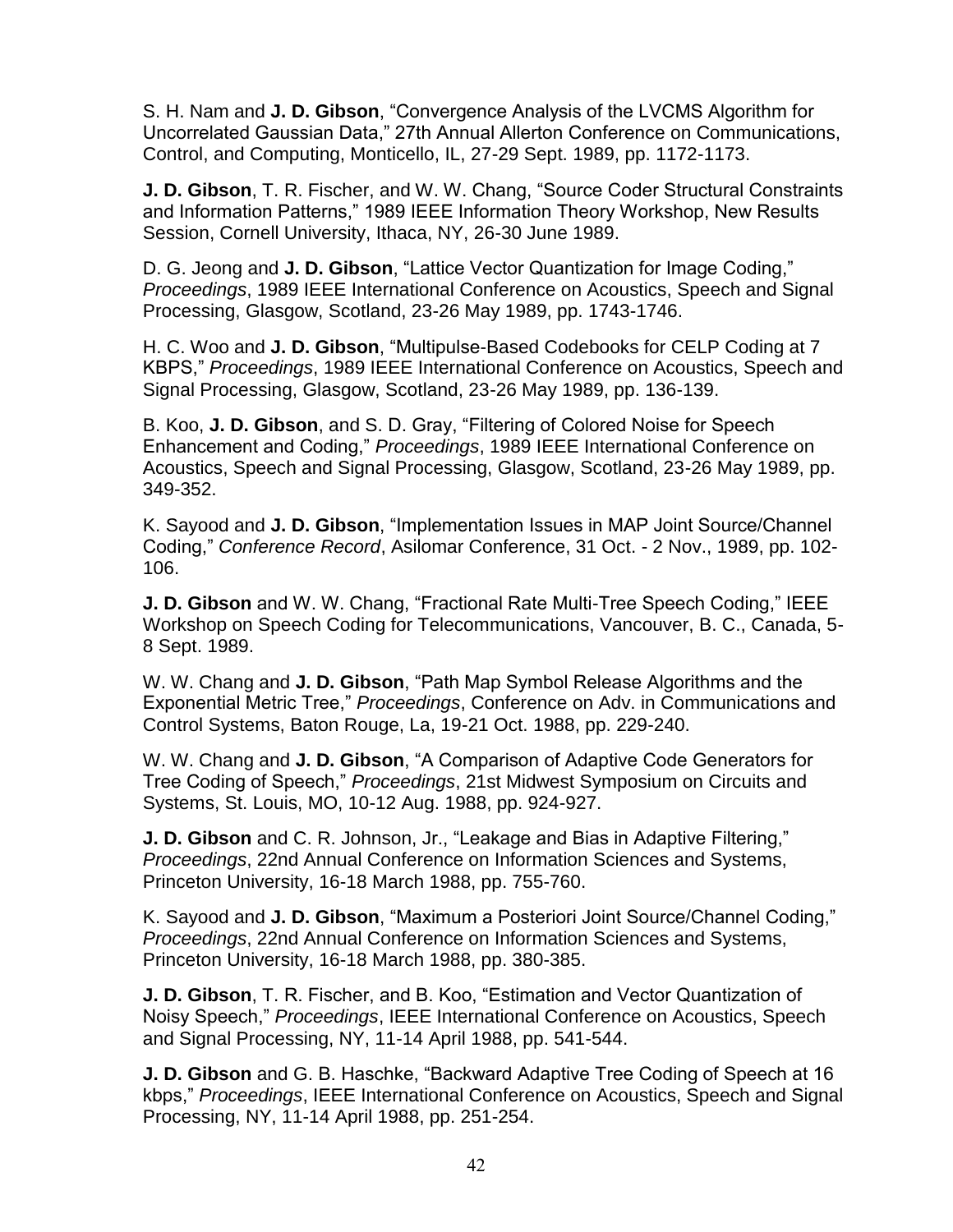S. H. Nam and **J. D. Gibson**, "Convergence Analysis of the LVCMS Algorithm for Uncorrelated Gaussian Data," 27th Annual Allerton Conference on Communications, Control, and Computing, Monticello, IL, 27-29 Sept. 1989, pp. 1172-1173.

**J. D. Gibson**, T. R. Fischer, and W. W. Chang, "Source Coder Structural Constraints and Information Patterns," 1989 IEEE Information Theory Workshop, New Results Session, Cornell University, Ithaca, NY, 26-30 June 1989.

D. G. Jeong and **J. D. Gibson**, "Lattice Vector Quantization for Image Coding," *Proceedings*, 1989 IEEE International Conference on Acoustics, Speech and Signal Processing, Glasgow, Scotland, 23-26 May 1989, pp. 1743-1746.

H. C. Woo and **J. D. Gibson**, "Multipulse-Based Codebooks for CELP Coding at 7 KBPS," *Proceedings*, 1989 IEEE International Conference on Acoustics, Speech and Signal Processing, Glasgow, Scotland, 23-26 May 1989, pp. 136-139.

B. Koo, **J. D. Gibson**, and S. D. Gray, "Filtering of Colored Noise for Speech Enhancement and Coding," *Proceedings*, 1989 IEEE International Conference on Acoustics, Speech and Signal Processing, Glasgow, Scotland, 23-26 May 1989, pp. 349-352.

K. Sayood and **J. D. Gibson**, "Implementation Issues in MAP Joint Source/Channel Coding," *Conference Record*, Asilomar Conference, 31 Oct. - 2 Nov., 1989, pp. 102- 106.

**J. D. Gibson** and W. W. Chang, "Fractional Rate Multi-Tree Speech Coding," IEEE Workshop on Speech Coding for Telecommunications, Vancouver, B. C., Canada, 5- 8 Sept. 1989.

W. W. Chang and **J. D. Gibson**, "Path Map Symbol Release Algorithms and the Exponential Metric Tree," *Proceedings*, Conference on Adv. in Communications and Control Systems, Baton Rouge, La, 19-21 Oct. 1988, pp. 229-240.

W. W. Chang and **J. D. Gibson**, "A Comparison of Adaptive Code Generators for Tree Coding of Speech," *Proceedings*, 21st Midwest Symposium on Circuits and Systems, St. Louis, MO, 10-12 Aug. 1988, pp. 924-927.

**J. D. Gibson** and C. R. Johnson, Jr., "Leakage and Bias in Adaptive Filtering," *Proceedings*, 22nd Annual Conference on Information Sciences and Systems, Princeton University, 16-18 March 1988, pp. 755-760.

K. Sayood and **J. D. Gibson**, "Maximum a Posteriori Joint Source/Channel Coding," *Proceedings*, 22nd Annual Conference on Information Sciences and Systems, Princeton University, 16-18 March 1988, pp. 380-385.

**J. D. Gibson**, T. R. Fischer, and B. Koo, "Estimation and Vector Quantization of Noisy Speech," *Proceedings*, IEEE International Conference on Acoustics, Speech and Signal Processing, NY, 11-14 April 1988, pp. 541-544.

**J. D. Gibson** and G. B. Haschke, "Backward Adaptive Tree Coding of Speech at 16 kbps," *Proceedings*, IEEE International Conference on Acoustics, Speech and Signal Processing, NY, 11-14 April 1988, pp. 251-254.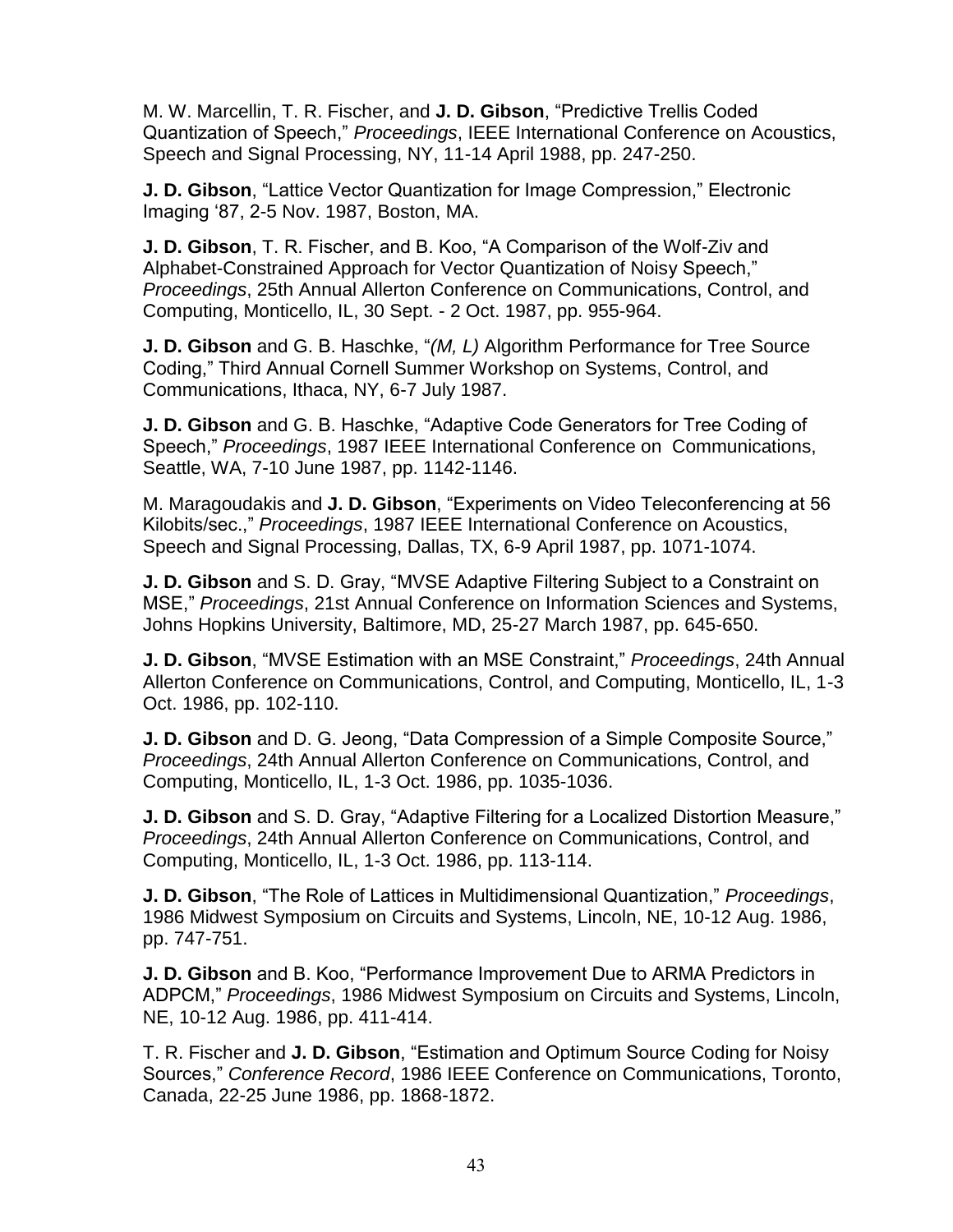M. W. Marcellin, T. R. Fischer, and **J. D. Gibson**, "Predictive Trellis Coded Quantization of Speech," *Proceedings*, IEEE International Conference on Acoustics, Speech and Signal Processing, NY, 11-14 April 1988, pp. 247-250.

**J. D. Gibson**, "Lattice Vector Quantization for Image Compression," Electronic Imaging '87, 2-5 Nov. 1987, Boston, MA.

**J. D. Gibson**, T. R. Fischer, and B. Koo, "A Comparison of the Wolf-Ziv and Alphabet-Constrained Approach for Vector Quantization of Noisy Speech," *Proceedings*, 25th Annual Allerton Conference on Communications, Control, and Computing, Monticello, IL, 30 Sept. - 2 Oct. 1987, pp. 955-964.

**J. D. Gibson** and G. B. Haschke, "*(M, L)* Algorithm Performance for Tree Source Coding," Third Annual Cornell Summer Workshop on Systems, Control, and Communications, Ithaca, NY, 6-7 July 1987.

**J. D. Gibson** and G. B. Haschke, "Adaptive Code Generators for Tree Coding of Speech," *Proceedings*, 1987 IEEE International Conference on Communications, Seattle, WA, 7-10 June 1987, pp. 1142-1146.

M. Maragoudakis and **J. D. Gibson**, "Experiments on Video Teleconferencing at 56 Kilobits/sec.," *Proceedings*, 1987 IEEE International Conference on Acoustics, Speech and Signal Processing, Dallas, TX, 6-9 April 1987, pp. 1071-1074.

**J. D. Gibson** and S. D. Gray, "MVSE Adaptive Filtering Subject to a Constraint on MSE," *Proceedings*, 21st Annual Conference on Information Sciences and Systems, Johns Hopkins University, Baltimore, MD, 25-27 March 1987, pp. 645-650.

**J. D. Gibson**, "MVSE Estimation with an MSE Constraint," *Proceedings*, 24th Annual Allerton Conference on Communications, Control, and Computing, Monticello, IL, 1-3 Oct. 1986, pp. 102-110.

**J. D. Gibson** and D. G. Jeong, "Data Compression of a Simple Composite Source," *Proceedings*, 24th Annual Allerton Conference on Communications, Control, and Computing, Monticello, IL, 1-3 Oct. 1986, pp. 1035-1036.

**J. D. Gibson** and S. D. Gray, "Adaptive Filtering for a Localized Distortion Measure," *Proceedings*, 24th Annual Allerton Conference on Communications, Control, and Computing, Monticello, IL, 1-3 Oct. 1986, pp. 113-114.

**J. D. Gibson**, "The Role of Lattices in Multidimensional Quantization," *Proceedings*, 1986 Midwest Symposium on Circuits and Systems, Lincoln, NE, 10-12 Aug. 1986, pp. 747-751.

**J. D. Gibson** and B. Koo, "Performance Improvement Due to ARMA Predictors in ADPCM," *Proceedings*, 1986 Midwest Symposium on Circuits and Systems, Lincoln, NE, 10-12 Aug. 1986, pp. 411-414.

T. R. Fischer and **J. D. Gibson**, "Estimation and Optimum Source Coding for Noisy Sources," *Conference Record*, 1986 IEEE Conference on Communications, Toronto, Canada, 22-25 June 1986, pp. 1868-1872.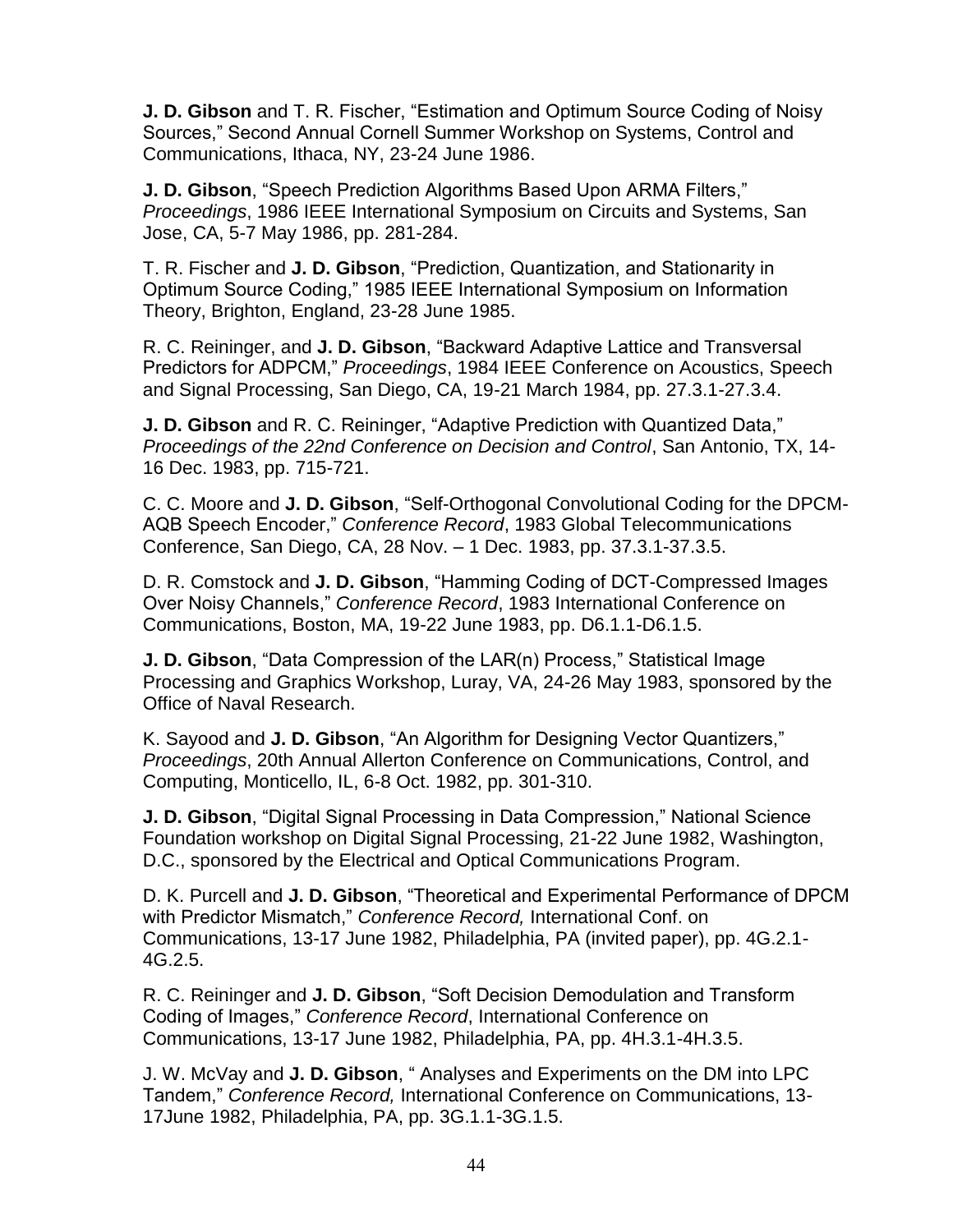**J. D. Gibson** and T. R. Fischer, "Estimation and Optimum Source Coding of Noisy Sources," Second Annual Cornell Summer Workshop on Systems, Control and Communications, Ithaca, NY, 23-24 June 1986.

**J. D. Gibson**, "Speech Prediction Algorithms Based Upon ARMA Filters," *Proceedings*, 1986 IEEE International Symposium on Circuits and Systems, San Jose, CA, 5-7 May 1986, pp. 281-284.

T. R. Fischer and **J. D. Gibson**, "Prediction, Quantization, and Stationarity in Optimum Source Coding," 1985 IEEE International Symposium on Information Theory, Brighton, England, 23-28 June 1985.

R. C. Reininger, and **J. D. Gibson**, "Backward Adaptive Lattice and Transversal Predictors for ADPCM," *Proceedings*, 1984 IEEE Conference on Acoustics, Speech and Signal Processing, San Diego, CA, 19-21 March 1984, pp. 27.3.1-27.3.4.

**J. D. Gibson** and R. C. Reininger, "Adaptive Prediction with Quantized Data," *Proceedings of the 22nd Conference on Decision and Control*, San Antonio, TX, 14- 16 Dec. 1983, pp. 715-721.

C. C. Moore and **J. D. Gibson**, "Self-Orthogonal Convolutional Coding for the DPCM-AQB Speech Encoder," *Conference Record*, 1983 Global Telecommunications Conference, San Diego, CA, 28 Nov. – 1 Dec. 1983, pp. 37.3.1-37.3.5.

D. R. Comstock and **J. D. Gibson**, "Hamming Coding of DCT-Compressed Images Over Noisy Channels," *Conference Record*, 1983 International Conference on Communications, Boston, MA, 19-22 June 1983, pp. D6.1.1-D6.1.5.

**J. D. Gibson**, "Data Compression of the LAR(n) Process," Statistical Image Processing and Graphics Workshop, Luray, VA, 24-26 May 1983, sponsored by the Office of Naval Research.

K. Sayood and **J. D. Gibson**, "An Algorithm for Designing Vector Quantizers," *Proceedings*, 20th Annual Allerton Conference on Communications, Control, and Computing, Monticello, IL, 6-8 Oct. 1982, pp. 301-310.

**J. D. Gibson**, "Digital Signal Processing in Data Compression," National Science Foundation workshop on Digital Signal Processing, 21-22 June 1982, Washington, D.C., sponsored by the Electrical and Optical Communications Program.

D. K. Purcell and **J. D. Gibson**, "Theoretical and Experimental Performance of DPCM with Predictor Mismatch," *Conference Record,* International Conf. on Communications, 13-17 June 1982, Philadelphia, PA (invited paper), pp. 4G.2.1- 4G.2.5.

R. C. Reininger and **J. D. Gibson**, "Soft Decision Demodulation and Transform Coding of Images," *Conference Record*, International Conference on Communications, 13-17 June 1982, Philadelphia, PA, pp. 4H.3.1-4H.3.5.

J. W. McVay and **J. D. Gibson**, " Analyses and Experiments on the DM into LPC Tandem," *Conference Record,* International Conference on Communications, 13- 17June 1982, Philadelphia, PA, pp. 3G.1.1-3G.1.5.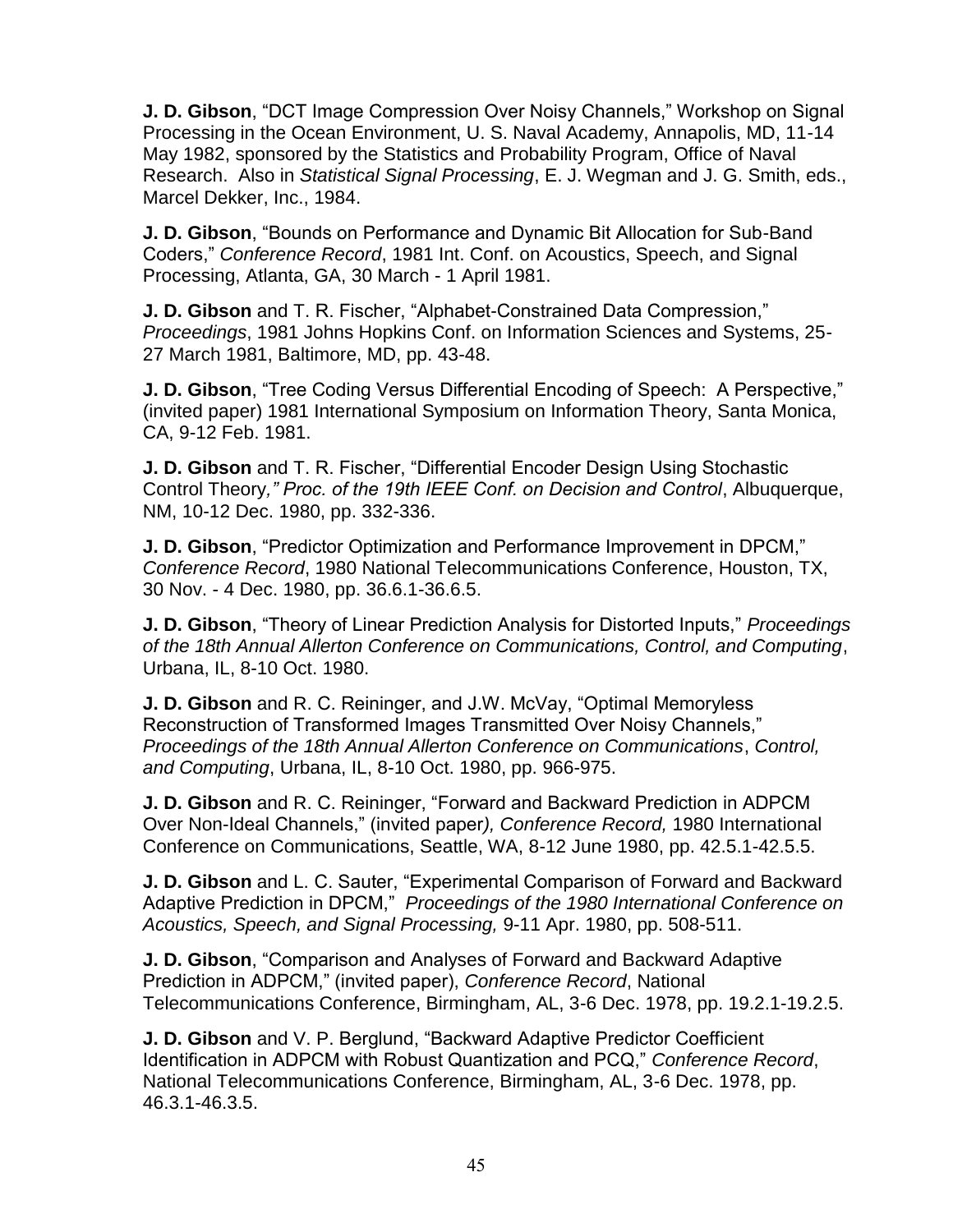**J. D. Gibson**, "DCT Image Compression Over Noisy Channels," Workshop on Signal Processing in the Ocean Environment, U. S. Naval Academy, Annapolis, MD, 11-14 May 1982, sponsored by the Statistics and Probability Program, Office of Naval Research. Also in *Statistical Signal Processing*, E. J. Wegman and J. G. Smith, eds., Marcel Dekker, Inc., 1984.

**J. D. Gibson**, "Bounds on Performance and Dynamic Bit Allocation for Sub-Band Coders," *Conference Record*, 1981 Int. Conf. on Acoustics, Speech, and Signal Processing, Atlanta, GA, 30 March - 1 April 1981.

**J. D. Gibson** and T. R. Fischer, "Alphabet-Constrained Data Compression," *Proceedings*, 1981 Johns Hopkins Conf. on Information Sciences and Systems, 25- 27 March 1981, Baltimore, MD, pp. 43-48.

**J. D. Gibson**, "Tree Coding Versus Differential Encoding of Speech: A Perspective," (invited paper) 1981 International Symposium on Information Theory, Santa Monica, CA, 9-12 Feb. 1981.

**J. D. Gibson** and T. R. Fischer, "Differential Encoder Design Using Stochastic Control Theory*," Proc. of the 19th IEEE Conf. on Decision and Control*, Albuquerque, NM, 10-12 Dec. 1980, pp. 332-336.

**J. D. Gibson**, "Predictor Optimization and Performance Improvement in DPCM," *Conference Record*, 1980 National Telecommunications Conference, Houston, TX, 30 Nov. - 4 Dec. 1980, pp. 36.6.1-36.6.5.

**J. D. Gibson**, "Theory of Linear Prediction Analysis for Distorted Inputs," *Proceedings of the 18th Annual Allerton Conference on Communications, Control, and Computing*, Urbana, IL, 8-10 Oct. 1980.

**J. D. Gibson** and R. C. Reininger, and J.W. McVay, "Optimal Memoryless Reconstruction of Transformed Images Transmitted Over Noisy Channels," *Proceedings of the 18th Annual Allerton Conference on Communications*, *Control, and Computing*, Urbana, IL, 8-10 Oct. 1980, pp. 966-975.

**J. D. Gibson** and R. C. Reininger, "Forward and Backward Prediction in ADPCM Over Non-Ideal Channels," (invited paper*), Conference Record,* 1980 International Conference on Communications, Seattle, WA, 8-12 June 1980, pp. 42.5.1-42.5.5.

**J. D. Gibson** and L. C. Sauter, "Experimental Comparison of Forward and Backward Adaptive Prediction in DPCM," *Proceedings of the 1980 International Conference on Acoustics, Speech, and Signal Processing,* 9-11 Apr. 1980, pp. 508-511.

**J. D. Gibson**, "Comparison and Analyses of Forward and Backward Adaptive Prediction in ADPCM," (invited paper), *Conference Record*, National Telecommunications Conference, Birmingham, AL, 3-6 Dec. 1978, pp. 19.2.1-19.2.5.

**J. D. Gibson** and V. P. Berglund, "Backward Adaptive Predictor Coefficient Identification in ADPCM with Robust Quantization and PCQ," *Conference Record*, National Telecommunications Conference, Birmingham, AL, 3-6 Dec. 1978, pp. 46.3.1-46.3.5.